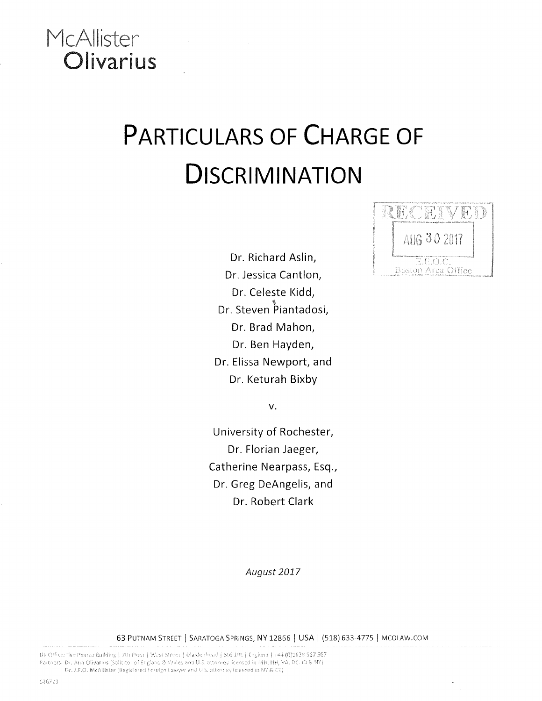

# **PARTICULARS OF CHARGE OF DISCRIMINATION**

Dr. Richard Aslin, Dr. Jessica Cantlon, Dr. Celeste Kidd, Dr. Steven Piantadosi, Dr. Brad Mahon, Dr. Ben Hayden, Dr. Elissa Newport, and Dr. Keturah Bixby

 $V_{\cdot}$ 

University of Rochester, Dr. Florian Jaeger, Catherine Nearpass, Esq., Dr. Greg DeAngelis, and Dr. Robert Clark

August 2017



63 PUTNAM STREET | SARATOGA SPRINGS, NY 12866 | USA | (518) 633-4775 | MCOLAW.COM

UK Office: The Pearce Building | 7th Floor | West Street | Maidenhead | St6 IRt. | England | +44 (0)1628 567 567 Partners: Dr. Ann Olivarius (Solicitor of England & Wales and U.S. attorney licensed in MN, NH, VA, DC. ID & NY) Dr. J.F.O. McAllister (Registered Foreign Lawyer and U.S. attorney licensed in NY & CT)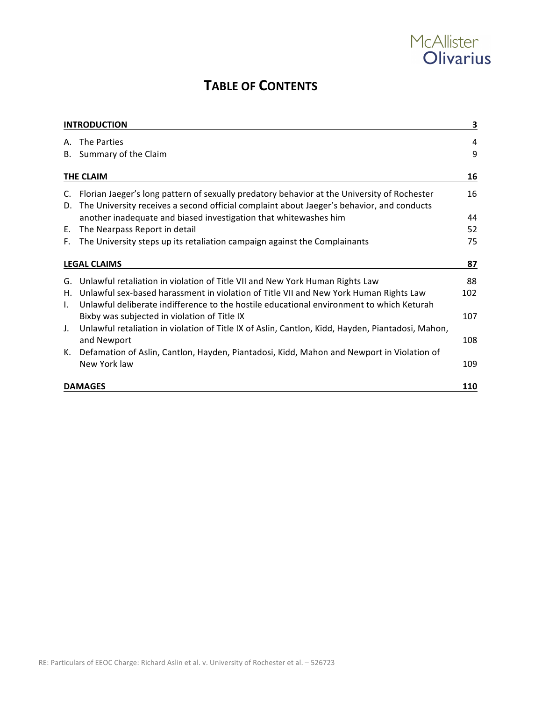

### TABLE OF CONTENTS

| <b>INTRODUCTION</b> |                                                                                                                                                                                             | 3   |
|---------------------|---------------------------------------------------------------------------------------------------------------------------------------------------------------------------------------------|-----|
| А.                  | The Parties                                                                                                                                                                                 | 4   |
|                     | B. Summary of the Claim                                                                                                                                                                     | 9   |
|                     | THE CLAIM                                                                                                                                                                                   | 16  |
| D.                  | C. Florian Jaeger's long pattern of sexually predatory behavior at the University of Rochester<br>The University receives a second official complaint about Jaeger's behavior, and conducts | 16  |
|                     | another inadequate and biased investigation that whitewashes him                                                                                                                            | 44  |
| Е.                  | The Nearpass Report in detail                                                                                                                                                               | 52  |
| F.                  | The University steps up its retaliation campaign against the Complainants                                                                                                                   | 75  |
|                     | <b>LEGAL CLAIMS</b>                                                                                                                                                                         | 87  |
| G.                  | Unlawful retaliation in violation of Title VII and New York Human Rights Law                                                                                                                | 88  |
| Η.                  | Unlawful sex-based harassment in violation of Title VII and New York Human Rights Law                                                                                                       | 102 |
| I.                  | Unlawful deliberate indifference to the hostile educational environment to which Keturah<br>Bixby was subjected in violation of Title IX                                                    | 107 |
| J.                  | Unlawful retaliation in violation of Title IX of Aslin, Cantlon, Kidd, Hayden, Piantadosi, Mahon,<br>and Newport                                                                            | 108 |
| к.                  | Defamation of Aslin, Cantlon, Hayden, Piantadosi, Kidd, Mahon and Newport in Violation of<br>New York law                                                                                   | 109 |
|                     | <b>DAMAGES</b>                                                                                                                                                                              |     |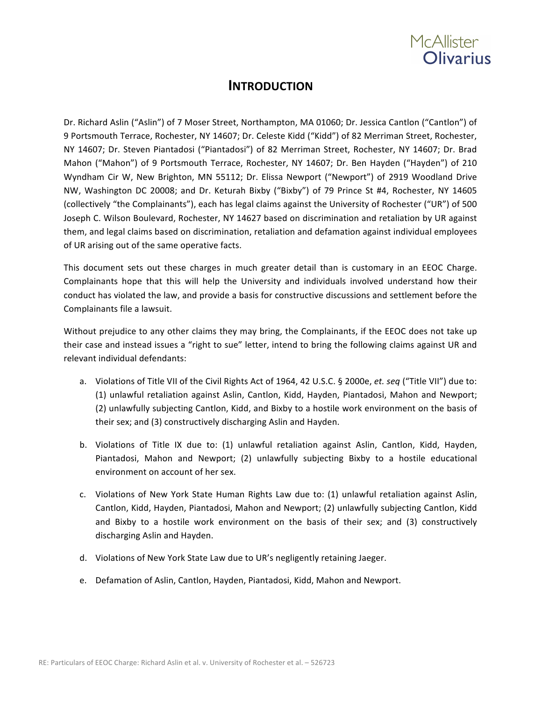

### INTRODUCTION

Dr. Richard Aslin ("Aslin") of 7 Moser Street, Northampton, MA 01060; Dr. Jessica Cantlon ("Cantlon") of 9 Portsmouth Terrace, Rochester, NY 14607; Dr. Celeste Kidd ("Kidd") of 82 Merriman Street, Rochester, NY 14607; Dr. Steven Piantadosi ("Piantadosi") of 82 Merriman Street, Rochester, NY 14607; Dr. Brad Mahon ("Mahon") of 9 Portsmouth Terrace, Rochester, NY 14607; Dr. Ben Hayden ("Hayden") of 210 Wyndham Cir W, New Brighton, MN 55112; Dr. Elissa Newport ("Newport") of 2919 Woodland Drive NW, Washington DC 20008; and Dr. Keturah Bixby ("Bixby") of 79 Prince St #4, Rochester, NY 14605 (collectively "the Complainants"), each has legal claims against the University of Rochester ("UR") of 500 Joseph C. Wilson Boulevard, Rochester, NY 14627 based on discrimination and retaliation by UR against them, and legal claims based on discrimination, retaliation and defamation against individual employees of UR arising out of the same operative facts. 

This document sets out these charges in much greater detail than is customary in an EEOC Charge. Complainants hope that this will help the University and individuals involved understand how their conduct has violated the law, and provide a basis for constructive discussions and settlement before the Complainants file a lawsuit. 

Without prejudice to any other claims they may bring, the Complainants, if the EEOC does not take up their case and instead issues a "right to sue" letter, intend to bring the following claims against UR and relevant individual defendants:

- a. Violations of Title VII of the Civil Rights Act of 1964, 42 U.S.C. § 2000e, et. seq ("Title VII") due to: (1) unlawful retaliation against Aslin, Cantlon, Kidd, Hayden, Piantadosi, Mahon and Newport; (2) unlawfully subjecting Cantlon, Kidd, and Bixby to a hostile work environment on the basis of their sex; and (3) constructively discharging Aslin and Hayden.
- b. Violations of Title IX due to: (1) unlawful retaliation against Aslin, Cantlon, Kidd, Hayden, Piantadosi, Mahon and Newport; (2) unlawfully subjecting Bixby to a hostile educational environment on account of her sex.
- c. Violations of New York State Human Rights Law due to: (1) unlawful retaliation against Aslin, Cantlon, Kidd, Hayden, Piantadosi, Mahon and Newport; (2) unlawfully subjecting Cantlon, Kidd and Bixby to a hostile work environment on the basis of their sex; and (3) constructively discharging Aslin and Hayden.
- d. Violations of New York State Law due to UR's negligently retaining Jaeger.
- e. Defamation of Aslin, Cantlon, Hayden, Piantadosi, Kidd, Mahon and Newport.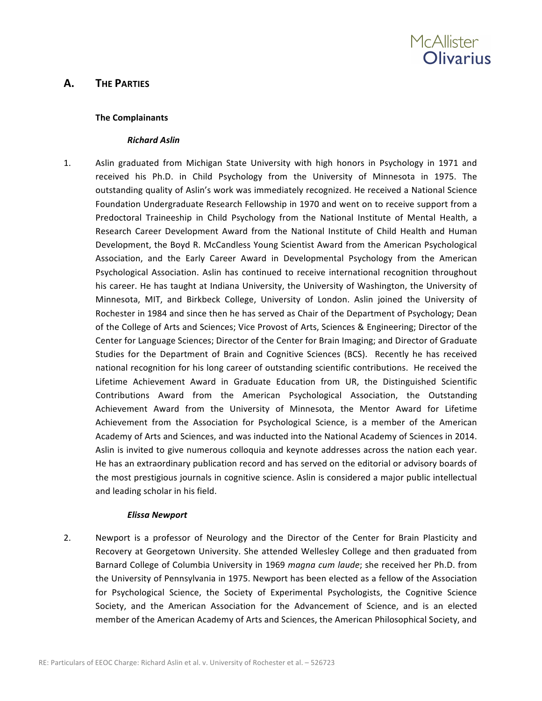

#### A. THE PARTIES

#### The Complainants

#### Richard Aslin

1. Aslin graduated from Michigan State University with high honors in Psychology in 1971 and received his Ph.D. in Child Psychology from the University of Minnesota in 1975. The outstanding quality of Aslin's work was immediately recognized. He received a National Science Foundation Undergraduate Research Fellowship in 1970 and went on to receive support from a Predoctoral Traineeship in Child Psychology from the National Institute of Mental Health, a Research Career Development Award from the National Institute of Child Health and Human Development, the Boyd R. McCandless Young Scientist Award from the American Psychological Association, and the Early Career Award in Developmental Psychology from the American Psychological Association. Aslin has continued to receive international recognition throughout his career. He has taught at Indiana University, the University of Washington, the University of Minnesota, MIT, and Birkbeck College, University of London. Aslin joined the University of Rochester in 1984 and since then he has served as Chair of the Department of Psychology; Dean of the College of Arts and Sciences; Vice Provost of Arts, Sciences & Engineering; Director of the Center for Language Sciences; Director of the Center for Brain Imaging; and Director of Graduate Studies for the Department of Brain and Cognitive Sciences (BCS). Recently he has received national recognition for his long career of outstanding scientific contributions. He received the Lifetime Achievement Award in Graduate Education from UR, the Distinguished Scientific Contributions Award from the American Psychological Association, the Outstanding Achievement Award from the University of Minnesota, the Mentor Award for Lifetime Achievement from the Association for Psychological Science, is a member of the American Academy of Arts and Sciences, and was inducted into the National Academy of Sciences in 2014. Aslin is invited to give numerous colloquia and keynote addresses across the nation each year. He has an extraordinary publication record and has served on the editorial or advisory boards of the most prestigious journals in cognitive science. Aslin is considered a major public intellectual and leading scholar in his field.

#### Elissa Newport

2. Newport is a professor of Neurology and the Director of the Center for Brain Plasticity and Recovery at Georgetown University. She attended Wellesley College and then graduated from Barnard College of Columbia University in 1969 magna cum laude; she received her Ph.D. from the University of Pennsylvania in 1975. Newport has been elected as a fellow of the Association for Psychological Science, the Society of Experimental Psychologists, the Cognitive Science Society, and the American Association for the Advancement of Science, and is an elected member of the American Academy of Arts and Sciences, the American Philosophical Society, and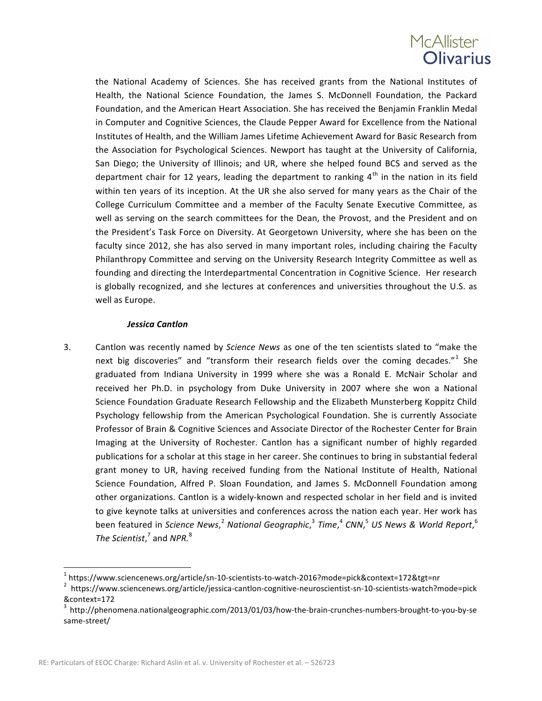## McAllister Olivarius

the National Academy of Sciences. She has received grants from the National Institutes of Health, the National Science Foundation, the James S. McDonnell Foundation, the Packard Foundation, and the American Heart Association. She has received the Benjamin Franklin Medal in Computer and Cognitive Sciences, the Claude Pepper Award for Excellence from the National Institutes of Health, and the William James Lifetime Achievement Award for Basic Research from the Association for Psychological Sciences. Newport has taught at the University of California, San Diego; the University of Illinois; and UR, where she helped found BCS and served as the department chair for 12 years, leading the department to ranking  $4<sup>th</sup>$  in the nation in its field within ten years of its inception. At the UR she also served for many years as the Chair of the College Curriculum Committee and a member of the Faculty Senate Executive Committee, as well as serving on the search committees for the Dean, the Provost, and the President and on the President's Task Force on Diversity. At Georgetown University, where she has been on the faculty since 2012, she has also served in many important roles, including chairing the Faculty Philanthropy Committee and serving on the University Research Integrity Committee as well as founding and directing the Interdepartmental Concentration in Cognitive Science. Her research is globally recognized, and she lectures at conferences and universities throughout the U.S. as well as Europe.

#### Jessica Cantlon

3. Cantlon was recently named by Science News as one of the ten scientists slated to "make the next big discoveries" and "transform their research fields over the coming decades."<sup>1</sup> She graduated from Indiana University in 1999 where she was a Ronald E. McNair Scholar and received her Ph.D. in psychology from Duke University in 2007 where she won a National Science Foundation Graduate Research Fellowship and the Elizabeth Munsterberg Koppitz Child Psychology fellowship from the American Psychological Foundation. She is currently Associate Professor of Brain & Cognitive Sciences and Associate Director of the Rochester Center for Brain Imaging at the University of Rochester. Cantlon has a significant number of highly regarded publications for a scholar at this stage in her career. She continues to bring in substantial federal grant money to UR, having received funding from the National Institute of Health, National Science Foundation, Alfred P. Sloan Foundation, and James S. McDonnell Foundation among other organizations. Cantlon is a widely-known and respected scholar in her field and is invited to give keynote talks at universities and conferences across the nation each year. Her work has been featured in Science News,<sup>2</sup> National Geographic,<sup>3</sup> Time,<sup>4</sup> CNN,<sup>5</sup> US News & World Report,<sup>6</sup> The Scientist, $^7$  and NPR. $^8$ 

<sup>&</sup>lt;sup>1</sup> https://www.sciencenews.org/article/sn-10-scientists-to-watch-2016?mode=pick&context=172&tgt=nr<br><sup>2</sup> https://www.sciencenews.org/article/jessica-cantlon-cognitive-neuroscientist-sn-10-scientists-watch?mode=pick &context=172

 $3$  http://phenomena.nationalgeographic.com/2013/01/03/how-the-brain-crunches-numbers-brought-to-you-by-se same-street/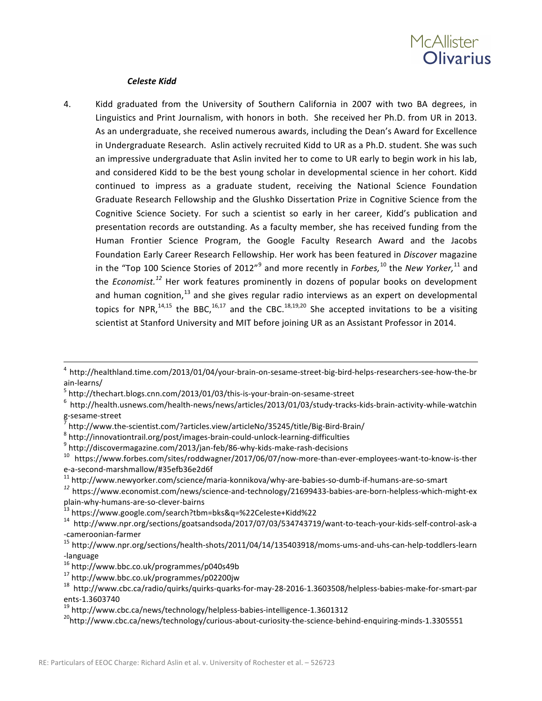

#### Celeste Kidd

4. Kidd graduated from the University of Southern California in 2007 with two BA degrees, in Linguistics and Print Journalism, with honors in both. She received her Ph.D. from UR in 2013. As an undergraduate, she received numerous awards, including the Dean's Award for Excellence in Undergraduate Research. Aslin actively recruited Kidd to UR as a Ph.D. student. She was such an impressive undergraduate that Aslin invited her to come to UR early to begin work in his lab, and considered Kidd to be the best young scholar in developmental science in her cohort. Kidd continued to impress as a graduate student, receiving the National Science Foundation Graduate Research Fellowship and the Glushko Dissertation Prize in Cognitive Science from the Cognitive Science Society. For such a scientist so early in her career, Kidd's publication and presentation records are outstanding. As a faculty member, she has received funding from the Human Frontier Science Program, the Google Faculty Research Award and the Jacobs Foundation Early Career Research Fellowship. Her work has been featured in Discover magazine in the "Top 100 Science Stories of 2012"<sup>9</sup> and more recently in *Forbes*,  $^{10}$  the *New Yorker*,  $^{11}$  and the Economist.<sup>12</sup> Her work features prominently in dozens of popular books on development and human cognition, $^{13}$  and she gives regular radio interviews as an expert on developmental topics for NPR,  $14,15$  the BBC,  $16,17$  and the CBC.  $18,19,20$  She accepted invitations to be a visiting scientist at Stanford University and MIT before joining UR as an Assistant Professor in 2014. 

<sup>&</sup>lt;u> Andreas Andreas Andreas Andreas Andreas Andreas Andreas Andreas Andreas Andreas Andreas Andreas Andreas Andr</u>  $4$  http://healthland.time.com/2013/01/04/your-brain-on-sesame-street-big-bird-helps-researchers-see-how-the-br

ain-learns/<br><sup>5</sup> http://thechart.blogs.cnn.com/2013/01/03/this-is-your-brain-on-sesame-street<br><sup>6</sup> http://health.usnews.com/health-news/news/articles/2013/01/03/study-tracks-kids-brain-activity-while-watchin<br>g-sesame-street

 $\frac{1}{2}$  http://www.the-scientist.com/?articles.view/articleNo/35245/title/Big-Bird-Brain/<br>  $\frac{1}{2}$  http://innovationtrail.org/post/images-brain-could-unlock-learning-difficulties<br>  $\frac{1}{2}$  http://discovermagazine.com e-a-second-marshmallow/#35efb36e2d6f<br><sup>11</sup> http://www.newyorker.com/science/maria-konnikova/why-are-babies-so-dumb-if-humans-are-so-smart<br><sup>12</sup> https://www.economist.com/news/science-and-technology/21699433-babies-are-born-h

plain-why-humans-are-so-clever-bairns<br>
<sup>13</sup> https://www.google.com/search?tbm=bks&q=%22Celeste+Kidd%22<br>
<sup>14</sup> http://www.npr.org/sections/goatsandsoda/2017/07/03/534743719/want-to-teach-your-kids-self-control-ask-a

<sup>-</sup>cameroonian-farmer<br><sup>15</sup> http://www.npr.org/sections/health-shots/2011/04/14/135403918/moms-ums-and-uhs-can-help-toddlers-learn -language<br><sup>16</sup> http://www.bbc.co.uk/programmes/p040s49b<br><sup>17</sup> http://www.bbc.co.uk/programmes/p02200jw<br><sup>18</sup> http://www.cbc.ca/radio/quirks/quirks-quarks-for-may-28-2016-1.3603508/helpless-babies-make-for-smart-par

ents-1.3603740<br><sup>19</sup> http://www.cbc.ca/news/technology/helpless-babies-intelligence-1.3601312<br><sup>20</sup>http://www.cbc.ca/news/technology/curious-about-curiosity-the-science-behind-enquiring-minds-1.3305551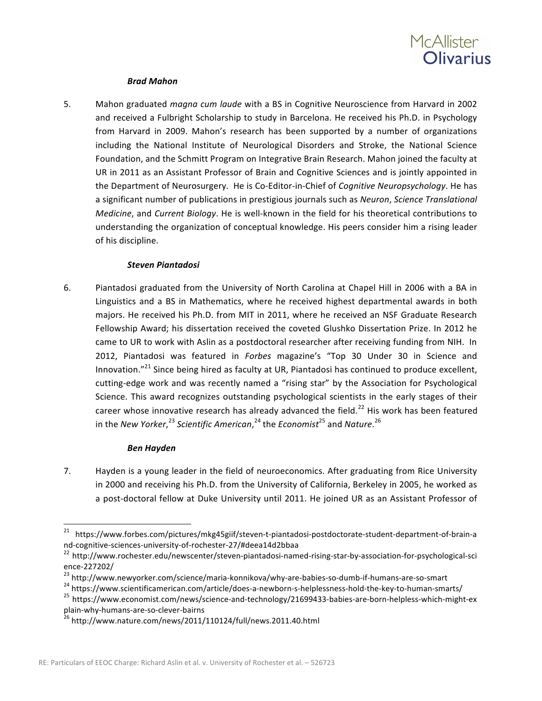

#### Brad Mahon

5. Mahon graduated magna cum laude with a BS in Cognitive Neuroscience from Harvard in 2002 and received a Fulbright Scholarship to study in Barcelona. He received his Ph.D. in Psychology from Harvard in 2009. Mahon's research has been supported by a number of organizations including the National Institute of Neurological Disorders and Stroke, the National Science Foundation, and the Schmitt Program on Integrative Brain Research. Mahon joined the faculty at UR in 2011 as an Assistant Professor of Brain and Cognitive Sciences and is jointly appointed in the Department of Neurosurgery. He is Co-Editor-in-Chief of Cognitive Neuropsychology. He has a significant number of publications in prestigious journals such as Neuron, Science Translational Medicine, and Current Biology. He is well-known in the field for his theoretical contributions to understanding the organization of conceptual knowledge. His peers consider him a rising leader of his discipline. 

#### Steven Piantadosi

6. Piantadosi graduated from the University of North Carolina at Chapel Hill in 2006 with a BA in Linguistics and a BS in Mathematics, where he received highest departmental awards in both majors. He received his Ph.D. from MIT in 2011, where he received an NSF Graduate Research Fellowship Award; his dissertation received the coveted Glushko Dissertation Prize. In 2012 he came to UR to work with Aslin as a postdoctoral researcher after receiving funding from NIH. In 2012, Piantadosi was featured in Forbes magazine's "Top 30 Under 30 in Science and Innovation."<sup>21</sup> Since being hired as faculty at UR, Piantadosi has continued to produce excellent, cutting-edge work and was recently named a "rising star" by the Association for Psychological Science. This award recognizes outstanding psychological scientists in the early stages of their career whose innovative research has already advanced the field.<sup>22</sup> His work has been featured in the New Yorker,<sup>23</sup> Scientific American,<sup>24</sup> the Economist<sup>25</sup> and Nature.<sup>26</sup>

#### Ben Hayden

7. Hayden is a young leader in the field of neuroeconomics. After graduating from Rice University in 2000 and receiving his Ph.D. from the University of California, Berkeley in 2005, he worked as a post-doctoral fellow at Duke University until 2011. He joined UR as an Assistant Professor of

<sup>&</sup>lt;sup>21</sup> https://www.forbes.com/pictures/mkg45giif/steven-t-piantadosi-postdoctorate-student-department-of-brain-a nd-cognitive-sciences-university-of-rochester-27/#deea14d2bbaa<br><sup>22</sup> http://www.rochester.edu/newscenter/steven-piantadosi-named-rising-star-by-association-for-psychological-sci

ence-227202/<br>
<sup>23</sup> http://www.newyorker.com/science/maria-konnikova/why-are-babies-so-dumb-if-humans-are-so-smart<br>
<sup>24</sup> https://www.scientificamerican.com/article/does-a-newborn-s-helplessness-hold-the-key-to-human-smarts/

 $26$  http://www.nature.com/news/2011/110124/full/news.2011.40.html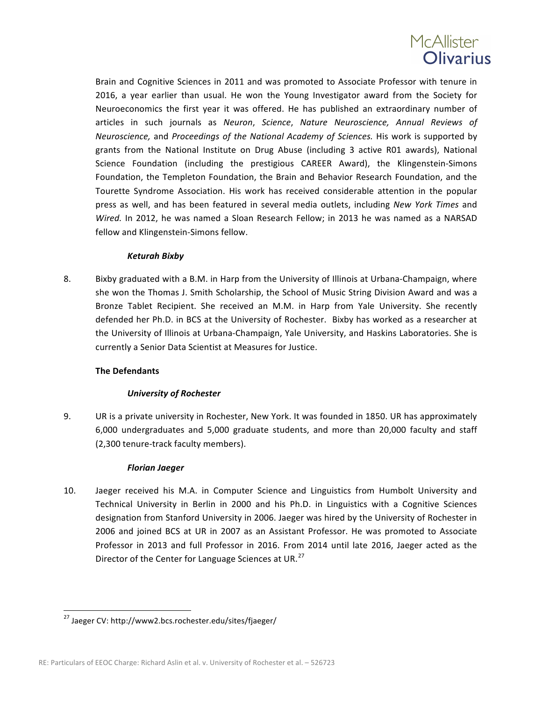

Brain and Cognitive Sciences in 2011 and was promoted to Associate Professor with tenure in 2016, a year earlier than usual. He won the Young Investigator award from the Society for Neuroeconomics the first year it was offered. He has published an extraordinary number of articles in such journals as Neuron, Science, Nature Neuroscience, Annual Reviews of Neuroscience, and Proceedings of the National Academy of Sciences. His work is supported by grants from the National Institute on Drug Abuse (including 3 active R01 awards), National Science Foundation (including the prestigious CAREER Award), the Klingenstein-Simons Foundation, the Templeton Foundation, the Brain and Behavior Research Foundation, and the Tourette Syndrome Association. His work has received considerable attention in the popular press as well, and has been featured in several media outlets, including New York Times and Wired. In 2012, he was named a Sloan Research Fellow; in 2013 he was named as a NARSAD fellow and Klingenstein-Simons fellow.

#### Keturah Bixby

8. Bixby graduated with a B.M. in Harp from the University of Illinois at Urbana-Champaign, where she won the Thomas J. Smith Scholarship, the School of Music String Division Award and was a Bronze Tablet Recipient. She received an M.M. in Harp from Yale University. She recently defended her Ph.D. in BCS at the University of Rochester. Bixby has worked as a researcher at the University of Illinois at Urbana-Champaign, Yale University, and Haskins Laboratories. She is currently a Senior Data Scientist at Measures for Justice.

#### The Defendants

#### University of Rochester

9. UR is a private university in Rochester, New York. It was founded in 1850. UR has approximately 6,000 undergraduates and 5,000 graduate students, and more than 20,000 faculty and staff (2,300 tenure-track faculty members).

#### Florian Jaeger

10. Jaeger received his M.A. in Computer Science and Linguistics from Humbolt University and Technical University in Berlin in 2000 and his Ph.D. in Linguistics with a Cognitive Sciences designation from Stanford University in 2006. Jaeger was hired by the University of Rochester in 2006 and joined BCS at UR in 2007 as an Assistant Professor. He was promoted to Associate Professor in 2013 and full Professor in 2016. From 2014 until late 2016, Jaeger acted as the Director of the Center for Language Sciences at UR.<sup>27</sup>

 <sup>27</sup> Jaeger CV: http://www2.bcs.rochester.edu/sites/fjaeger/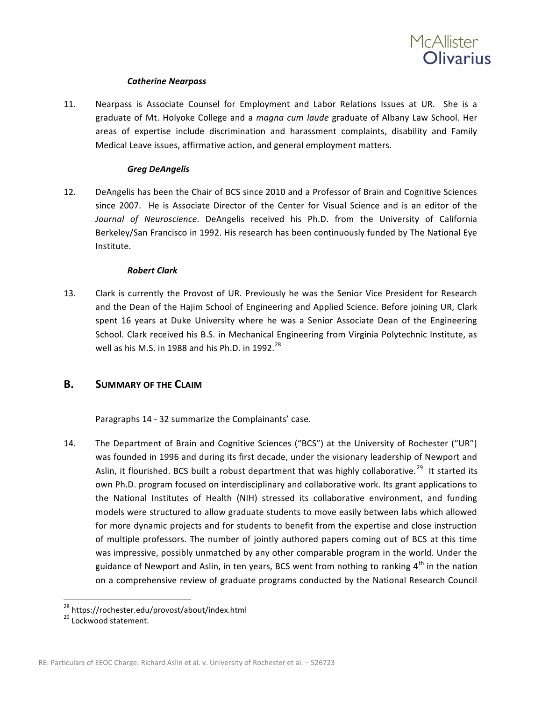

#### Catherine Nearpass

11. Nearpass is Associate Counsel for Employment and Labor Relations Issues at UR. She is a graduate of Mt. Holyoke College and a *magna cum laude* graduate of Albany Law School. Her areas of expertise include discrimination and harassment complaints, disability and Family Medical Leave issues, affirmative action, and general employment matters. 

#### Greg DeAngelis

12. DeAngelis has been the Chair of BCS since 2010 and a Professor of Brain and Cognitive Sciences since 2007. He is Associate Director of the Center for Visual Science and is an editor of the Journal of Neuroscience. DeAngelis received his Ph.D. from the University of California Berkeley/San Francisco in 1992. His research has been continuously funded by The National Eye Institute. 

#### Robert Clark

13. Clark is currently the Provost of UR. Previously he was the Senior Vice President for Research and the Dean of the Hajim School of Engineering and Applied Science. Before joining UR, Clark spent 16 years at Duke University where he was a Senior Associate Dean of the Engineering School. Clark received his B.S. in Mechanical Engineering from Virginia Polytechnic Institute, as well as his M.S. in 1988 and his Ph.D. in 1992. $^{28}$ 

#### B. SUMMARY OF THE CLAIM

Paragraphs 14 - 32 summarize the Complainants' case.

14. The Department of Brain and Cognitive Sciences ("BCS") at the University of Rochester ("UR") was founded in 1996 and during its first decade, under the visionary leadership of Newport and Aslin, it flourished. BCS built a robust department that was highly collaborative.<sup>29</sup> It started its own Ph.D. program focused on interdisciplinary and collaborative work. Its grant applications to the National Institutes of Health (NIH) stressed its collaborative environment, and funding models were structured to allow graduate students to move easily between labs which allowed for more dynamic projects and for students to benefit from the expertise and close instruction of multiple professors. The number of jointly authored papers coming out of BCS at this time was impressive, possibly unmatched by any other comparable program in the world. Under the guidance of Newport and Aslin, in ten years, BCS went from nothing to ranking  $4<sup>th</sup>$  in the nation on a comprehensive review of graduate programs conducted by the National Research Council

<sup>&</sup>lt;sup>28</sup> https://rochester.edu/provost/about/index.html<br><sup>29</sup> Lockwood statement.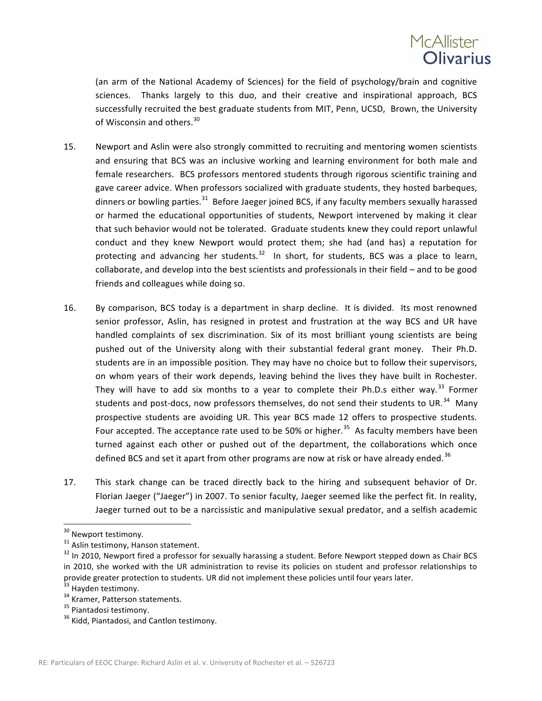

(an arm of the National Academy of Sciences) for the field of psychology/brain and cognitive sciences. Thanks largely to this duo, and their creative and inspirational approach, BCS successfully recruited the best graduate students from MIT, Penn, UCSD, Brown, the University of Wisconsin and others.<sup>30</sup>

- 15. Newport and Aslin were also strongly committed to recruiting and mentoring women scientists and ensuring that BCS was an inclusive working and learning environment for both male and female researchers. BCS professors mentored students through rigorous scientific training and gave career advice. When professors socialized with graduate students, they hosted barbeques, dinners or bowling parties.<sup>31</sup> Before Jaeger joined BCS, if any faculty members sexually harassed or harmed the educational opportunities of students, Newport intervened by making it clear that such behavior would not be tolerated. Graduate students knew they could report unlawful conduct and they knew Newport would protect them; she had (and has) a reputation for protecting and advancing her students.<sup>32</sup> In short, for students, BCS was a place to learn, collaborate, and develop into the best scientists and professionals in their field – and to be good friends and colleagues while doing so.
- 16. By comparison, BCS today is a department in sharp decline. It is divided. Its most renowned senior professor, Aslin, has resigned in protest and frustration at the way BCS and UR have handled complaints of sex discrimination. Six of its most brilliant young scientists are being pushed out of the University along with their substantial federal grant money. Their Ph.D. students are in an impossible position. They may have no choice but to follow their supervisors, on whom years of their work depends, leaving behind the lives they have built in Rochester. They will have to add six months to a year to complete their Ph.D.s either way.<sup>33</sup> Former students and post-docs, now professors themselves, do not send their students to UR.<sup>34</sup> Many prospective students are avoiding UR. This year BCS made 12 offers to prospective students. Four accepted. The acceptance rate used to be 50% or higher.<sup>35</sup> As faculty members have been turned against each other or pushed out of the department, the collaborations which once defined BCS and set it apart from other programs are now at risk or have already ended.<sup>36</sup>
- 17. This stark change can be traced directly back to the hiring and subsequent behavior of Dr. Florian Jaeger ("Jaeger") in 2007. To senior faculty, Jaeger seemed like the perfect fit. In reality, Jaeger turned out to be a narcissistic and manipulative sexual predator, and a selfish academic

<sup>&</sup>lt;sup>30</sup> Newport testimony.<br><sup>31</sup> Aslin testimony, Hanson statement.<br><sup>32</sup> In 2010, Newport fired a professor for sexually harassing a student. Before Newport stepped down as Chair BCS in 2010, she worked with the UR administration to revise its policies on student and professor relationships to provide greater protection to students. UR did not implement these policies until four years later.<br><sup>33</sup> Hayden testimony.<br><sup>34</sup> Kramer, Patterson statements.<br><sup>35</sup> Piantadosi testimony.<br><sup>36</sup> Kidd, Piantadosi, and Cantlon te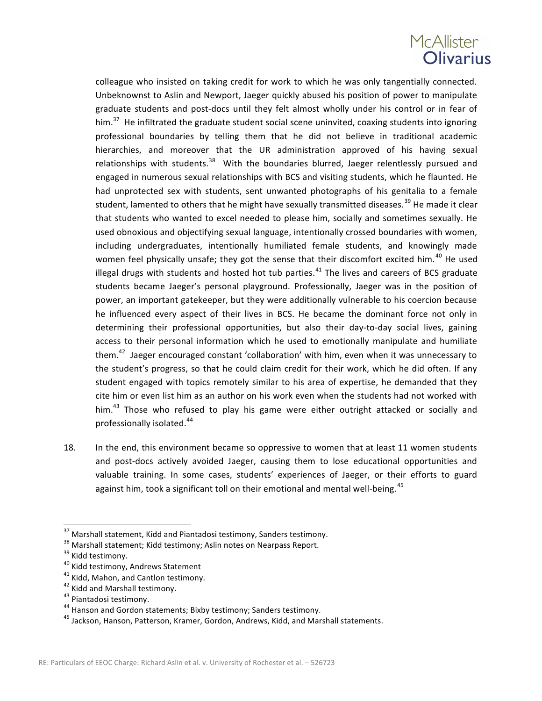# McAllister Olivarius

colleague who insisted on taking credit for work to which he was only tangentially connected. 

 Unbeknownst to Aslin and Newport, Jaeger quickly abused his position of power to manipulate graduate students and post-docs until they felt almost wholly under his control or in fear of him.<sup>37</sup> He infiltrated the graduate student social scene uninvited, coaxing students into ignoring professional boundaries by telling them that he did not believe in traditional academic hierarchies, and moreover that the UR administration approved of his having sexual relationships with students.<sup>38</sup> With the boundaries blurred, Jaeger relentlessly pursued and engaged in numerous sexual relationships with BCS and visiting students, which he flaunted. He had unprotected sex with students, sent unwanted photographs of his genitalia to a female student, lamented to others that he might have sexually transmitted diseases.<sup>39</sup> He made it clear that students who wanted to excel needed to please him, socially and sometimes sexually. He used obnoxious and objectifying sexual language, intentionally crossed boundaries with women, including undergraduates, intentionally humiliated female students, and knowingly made women feel physically unsafe; they got the sense that their discomfort excited him.<sup>40</sup> He used illegal drugs with students and hosted hot tub parties.<sup>41</sup> The lives and careers of BCS graduate students became Jaeger's personal playground. Professionally, Jaeger was in the position of power, an important gatekeeper, but they were additionally vulnerable to his coercion because he influenced every aspect of their lives in BCS. He became the dominant force not only in determining their professional opportunities, but also their day-to-day social lives, gaining access to their personal information which he used to emotionally manipulate and humiliate them.<sup>42</sup> Jaeger encouraged constant 'collaboration' with him, even when it was unnecessary to the student's progress, so that he could claim credit for their work, which he did often. If any student engaged with topics remotely similar to his area of expertise, he demanded that they cite him or even list him as an author on his work even when the students had not worked with him.<sup>43</sup> Those who refused to play his game were either outright attacked or socially and professionally isolated.<sup>44</sup>

18. In the end, this environment became so oppressive to women that at least 11 women students and post-docs actively avoided Jaeger, causing them to lose educational opportunities and valuable training. In some cases, students' experiences of Jaeger, or their efforts to guard against him, took a significant toll on their emotional and mental well-being.<sup>45</sup>

<sup>&</sup>lt;sup>37</sup> Marshall statement, Kidd and Piantadosi testimony, Sanders testimony.

<sup>&</sup>lt;sup>38</sup> Marshall statement; Kidd testimony; Aslin notes on Nearpass Report.<br><sup>39</sup> Kidd testimony.<br><sup>40</sup> Kidd testimony, Andrews Statement<br><sup>41</sup> Kidd, Mahon, and Cantlon testimony.<br><sup>42</sup> Kidd and Marshall testimony.<br><sup>43</sup> Piantado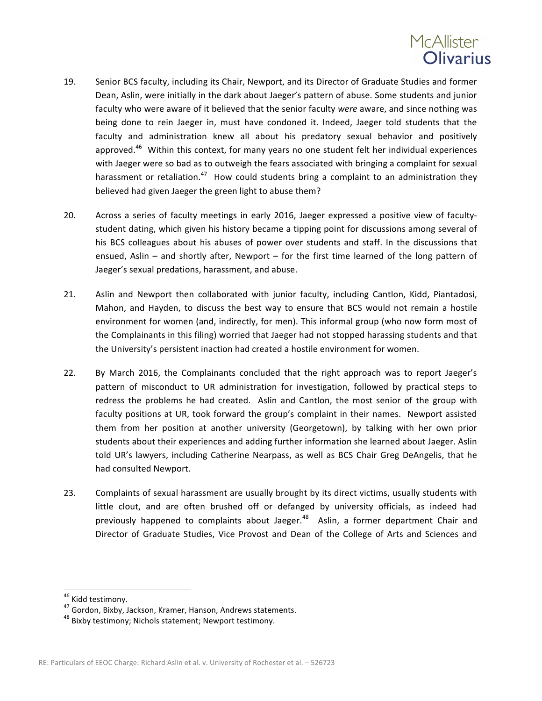

- 19. Senior BCS faculty, including its Chair, Newport, and its Director of Graduate Studies and former Dean, Aslin, were initially in the dark about Jaeger's pattern of abuse. Some students and junior faculty who were aware of it believed that the senior faculty were aware, and since nothing was being done to rein Jaeger in, must have condoned it. Indeed, Jaeger told students that the faculty and administration knew all about his predatory sexual behavior and positively approved.<sup>46</sup> Within this context, for many years no one student felt her individual experiences with Jaeger were so bad as to outweigh the fears associated with bringing a complaint for sexual harassment or retaliation.<sup>47</sup> How could students bring a complaint to an administration they believed had given Jaeger the green light to abuse them?
- 20. Across a series of faculty meetings in early 2016, Jaeger expressed a positive view of facultystudent dating, which given his history became a tipping point for discussions among several of his BCS colleagues about his abuses of power over students and staff. In the discussions that ensued, Aslin – and shortly after, Newport – for the first time learned of the long pattern of Jaeger's sexual predations, harassment, and abuse.
- 21. Aslin and Newport then collaborated with junior faculty, including Cantlon, Kidd, Piantadosi, Mahon, and Hayden, to discuss the best way to ensure that BCS would not remain a hostile environment for women (and, indirectly, for men). This informal group (who now form most of the Complainants in this filing) worried that Jaeger had not stopped harassing students and that the University's persistent inaction had created a hostile environment for women.
- 22. By March 2016, the Complainants concluded that the right approach was to report Jaeger's pattern of misconduct to UR administration for investigation, followed by practical steps to redress the problems he had created. Aslin and Cantlon, the most senior of the group with faculty positions at UR, took forward the group's complaint in their names. Newport assisted them from her position at another university (Georgetown), by talking with her own prior students about their experiences and adding further information she learned about Jaeger. Aslin told UR's lawyers, including Catherine Nearpass, as well as BCS Chair Greg DeAngelis, that he had consulted Newport.
- 23. Complaints of sexual harassment are usually brought by its direct victims, usually students with little clout, and are often brushed off or defanged by university officials, as indeed had previously happened to complaints about Jaeger.<sup>48</sup> Aslin, a former department Chair and Director of Graduate Studies, Vice Provost and Dean of the College of Arts and Sciences and

<sup>&</sup>lt;sup>46</sup> Kidd testimony.

<sup>&</sup>lt;sup>47</sup> Gordon, Bixby, Jackson, Kramer, Hanson, Andrews statements.  $48$  Bixby testimony; Nichols statement; Newport testimony.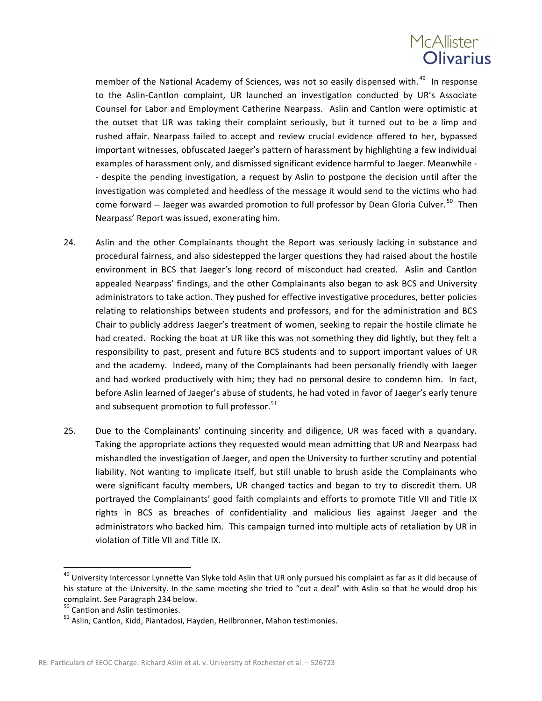# McAllister **Olivarius**

member of the National Academy of Sciences, was not so easily dispensed with.<sup>49</sup> In response to the Aslin-Cantlon complaint, UR launched an investigation conducted by UR's Associate Counsel for Labor and Employment Catherine Nearpass. Aslin and Cantlon were optimistic at the outset that UR was taking their complaint seriously, but it turned out to be a limp and rushed affair. Nearpass failed to accept and review crucial evidence offered to her, bypassed important witnesses, obfuscated Jaeger's pattern of harassment by highlighting a few individual examples of harassment only, and dismissed significant evidence harmful to Jaeger. Meanwhile -- despite the pending investigation, a request by Aslin to postpone the decision until after the investigation was completed and heedless of the message it would send to the victims who had come forward -- Jaeger was awarded promotion to full professor by Dean Gloria Culver.<sup>50</sup> Then Nearpass' Report was issued, exonerating him.

- 24. Aslin and the other Complainants thought the Report was seriously lacking in substance and procedural fairness, and also sidestepped the larger questions they had raised about the hostile environment in BCS that Jaeger's long record of misconduct had created. Aslin and Cantlon appealed Nearpass' findings, and the other Complainants also began to ask BCS and University administrators to take action. They pushed for effective investigative procedures, better policies relating to relationships between students and professors, and for the administration and BCS Chair to publicly address Jaeger's treatment of women, seeking to repair the hostile climate he had created. Rocking the boat at UR like this was not something they did lightly, but they felt a responsibility to past, present and future BCS students and to support important values of UR and the academy. Indeed, many of the Complainants had been personally friendly with Jaeger and had worked productively with him; they had no personal desire to condemn him. In fact, before Aslin learned of Jaeger's abuse of students, he had voted in favor of Jaeger's early tenure and subsequent promotion to full professor.<sup>51</sup>
- 25. Due to the Complainants' continuing sincerity and diligence, UR was faced with a quandary. 

 Taking the appropriate actions they requested would mean admitting that UR and Nearpass had mishandled the investigation of Jaeger, and open the University to further scrutiny and potential liability. Not wanting to implicate itself, but still unable to brush aside the Complainants who were significant faculty members, UR changed tactics and began to try to discredit them. UR portrayed the Complainants' good faith complaints and efforts to promote Title VII and Title IX rights in BCS as breaches of confidentiality and malicious lies against Jaeger and the administrators who backed him. This campaign turned into multiple acts of retaliation by UR in violation of Title VII and Title IX.

<sup>&</sup>lt;sup>49</sup> University Intercessor Lynnette Van Slyke told Aslin that UR only pursued his complaint as far as it did because of his stature at the University. In the same meeting she tried to "cut a deal" with Aslin so that he would drop his complaint. See Paragraph 234 below.<br><sup>50</sup> Cantlon and Aslin testimonies.<br><sup>51</sup> Aslin, Cantlon, Kidd, Piantadosi, Hayden, Heilbronner, Mahon testimonies.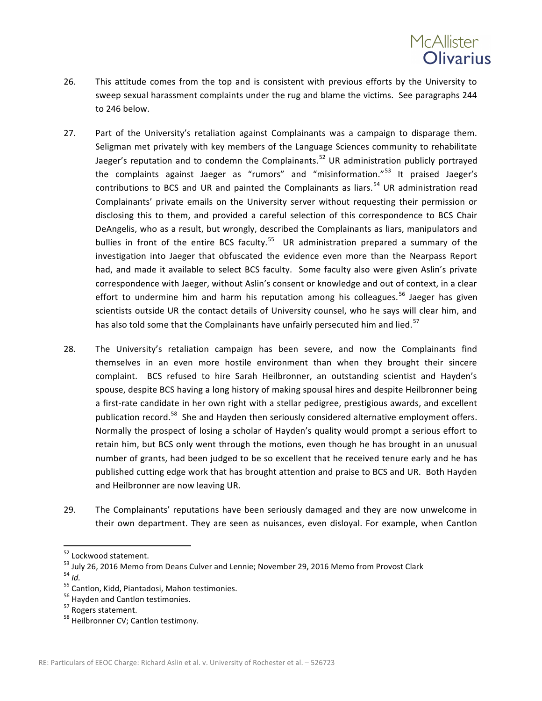

- 26. This attitude comes from the top and is consistent with previous efforts by the University to sweep sexual harassment complaints under the rug and blame the victims. See paragraphs 244 to 246 below.
- 27. Part of the University's retaliation against Complainants was a campaign to disparage them. 

 Seligman met privately with key members of the Language Sciences community to rehabilitate Jaeger's reputation and to condemn the Complainants.<sup>52</sup> UR administration publicly portrayed the complaints against Jaeger as "rumors" and "misinformation."<sup>53</sup> It praised Jaeger's contributions to BCS and UR and painted the Complainants as liars.<sup>54</sup> UR administration read Complainants' private emails on the University server without requesting their permission or disclosing this to them, and provided a careful selection of this correspondence to BCS Chair DeAngelis, who as a result, but wrongly, described the Complainants as liars, manipulators and bullies in front of the entire BCS faculty.<sup>55</sup> UR administration prepared a summary of the investigation into Jaeger that obfuscated the evidence even more than the Nearpass Report had, and made it available to select BCS faculty. Some faculty also were given Aslin's private correspondence with Jaeger, without Aslin's consent or knowledge and out of context, in a clear effort to undermine him and harm his reputation among his colleagues.<sup>56</sup> Jaeger has given scientists outside UR the contact details of University counsel, who he says will clear him, and has also told some that the Complainants have unfairly persecuted him and lied.<sup>57</sup>
- 28. The University's retaliation campaign has been severe, and now the Complainants find themselves in an even more hostile environment than when they brought their sincere complaint. BCS refused to hire Sarah Heilbronner, an outstanding scientist and Hayden's spouse, despite BCS having a long history of making spousal hires and despite Heilbronner being a first-rate candidate in her own right with a stellar pedigree, prestigious awards, and excellent publication record.<sup>58</sup> She and Hayden then seriously considered alternative employment offers. Normally the prospect of losing a scholar of Hayden's quality would prompt a serious effort to retain him, but BCS only went through the motions, even though he has brought in an unusual number of grants, had been judged to be so excellent that he received tenure early and he has published cutting edge work that has brought attention and praise to BCS and UR. Both Hayden and Heilbronner are now leaving UR.
- 29. The Complainants' reputations have been seriously damaged and they are now unwelcome in their own department. They are seen as nuisances, even disloyal. For example, when Cantlon

<sup>&</sup>lt;sup>52</sup> Lockwood statement.<br>
<sup>53</sup> July 26, 2016 Memo from Deans Culver and Lennie; November 29, 2016 Memo from Provost Clark<br>
<sup>54</sup> *Id.*<br>
<sup>55</sup> Cantlon, Kidd, Piantadosi, Mahon testimonies.<br>
<sup>56</sup> Hayden and Cantlon testimonie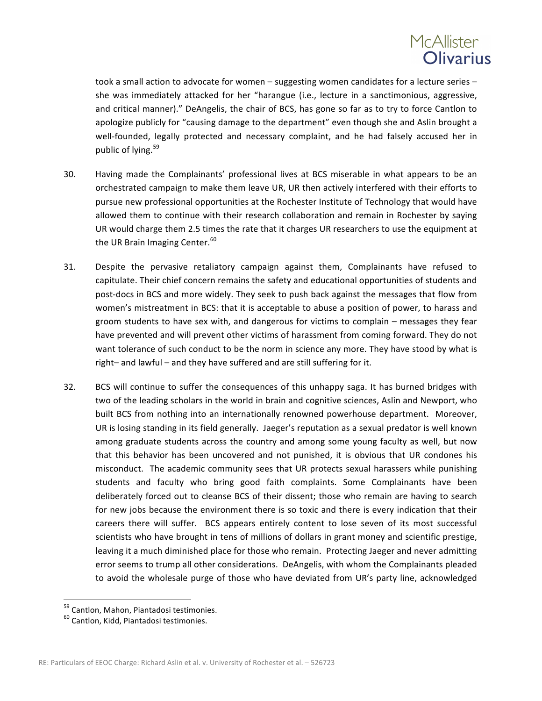

took a small action to advocate for women – suggesting women candidates for a lecture series – she was immediately attacked for her "harangue (i.e., lecture in a sanctimonious, aggressive, and critical manner)." DeAngelis, the chair of BCS, has gone so far as to try to force Cantlon to apologize publicly for "causing damage to the department" even though she and Aslin brought a well-founded, legally protected and necessary complaint, and he had falsely accused her in public of lying.<sup>59</sup>

- 30. Having made the Complainants' professional lives at BCS miserable in what appears to be an orchestrated campaign to make them leave UR, UR then actively interfered with their efforts to pursue new professional opportunities at the Rochester Institute of Technology that would have allowed them to continue with their research collaboration and remain in Rochester by saying UR would charge them 2.5 times the rate that it charges UR researchers to use the equipment at the UR Brain Imaging Center. $60$
- 31. Despite the pervasive retaliatory campaign against them, Complainants have refused to capitulate. Their chief concern remains the safety and educational opportunities of students and post-docs in BCS and more widely. They seek to push back against the messages that flow from women's mistreatment in BCS: that it is acceptable to abuse a position of power, to harass and groom students to have sex with, and dangerous for victims to complain – messages they fear have prevented and will prevent other victims of harassment from coming forward. They do not want tolerance of such conduct to be the norm in science any more. They have stood by what is right– and lawful – and they have suffered and are still suffering for it.
- 32. BCS will continue to suffer the consequences of this unhappy saga. It has burned bridges with two of the leading scholars in the world in brain and cognitive sciences, Aslin and Newport, who built BCS from nothing into an internationally renowned powerhouse department. Moreover, UR is losing standing in its field generally. Jaeger's reputation as a sexual predator is well known among graduate students across the country and among some young faculty as well, but now that this behavior has been uncovered and not punished, it is obvious that UR condones his misconduct. The academic community sees that UR protects sexual harassers while punishing students and faculty who bring good faith complaints. Some Complainants have been deliberately forced out to cleanse BCS of their dissent; those who remain are having to search for new jobs because the environment there is so toxic and there is every indication that their careers there will suffer. BCS appears entirely content to lose seven of its most successful scientists who have brought in tens of millions of dollars in grant money and scientific prestige, leaving it a much diminished place for those who remain. Protecting Jaeger and never admitting error seems to trump all other considerations. DeAngelis, with whom the Complainants pleaded to avoid the wholesale purge of those who have deviated from UR's party line, acknowledged

<sup>&</sup>lt;sup>59</sup> Cantlon, Mahon, Piantadosi testimonies.<br><sup>60</sup> Cantlon, Kidd, Piantadosi testimonies.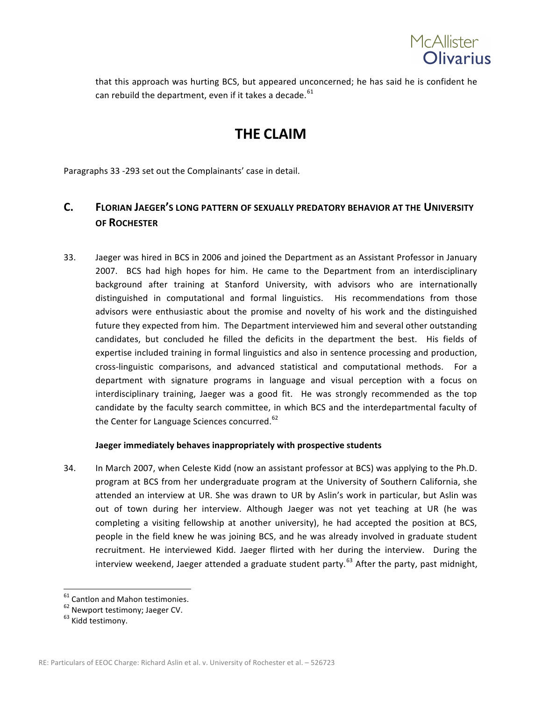

that this approach was hurting BCS, but appeared unconcerned; he has said he is confident he can rebuild the department, even if it takes a decade.  $61$ 

### THE CLAIM

Paragraphs 33 -293 set out the Complainants' case in detail.

### C. FLORIAN JAEGER'S LONG PATTERN OF SEXUALLY PREDATORY BEHAVIOR AT THE UNIVERSITY OF ROCHESTER

33. Jaeger was hired in BCS in 2006 and joined the Department as an Assistant Professor in January 2007. BCS had high hopes for him. He came to the Department from an interdisciplinary background after training at Stanford University, with advisors who are internationally distinguished in computational and formal linguistics. His recommendations from those advisors were enthusiastic about the promise and novelty of his work and the distinguished future they expected from him. The Department interviewed him and several other outstanding candidates, but concluded he filled the deficits in the department the best. His fields of expertise included training in formal linguistics and also in sentence processing and production, cross-linguistic comparisons, and advanced statistical and computational methods. For a department with signature programs in language and visual perception with a focus on interdisciplinary training, Jaeger was a good fit. He was strongly recommended as the top candidate by the faculty search committee, in which BCS and the interdepartmental faculty of the Center for Language Sciences concurred. $62$ 

#### Jaeger immediately behaves inappropriately with prospective students

34. In March 2007, when Celeste Kidd (now an assistant professor at BCS) was applying to the Ph.D. program at BCS from her undergraduate program at the University of Southern California, she attended an interview at UR. She was drawn to UR by Aslin's work in particular, but Aslin was out of town during her interview. Although Jaeger was not yet teaching at UR (he was completing a visiting fellowship at another university), he had accepted the position at BCS, people in the field knew he was joining BCS, and he was already involved in graduate student recruitment. He interviewed Kidd. Jaeger flirted with her during the interview. During the interview weekend, Jaeger attended a graduate student party.<sup>63</sup> After the party, past midnight,

 $61$  Cantlon and Mahon testimonies.

 $\frac{62}{62}$  Newport testimony; Jaeger CV.  $\frac{63}{63}$  Kidd testimony.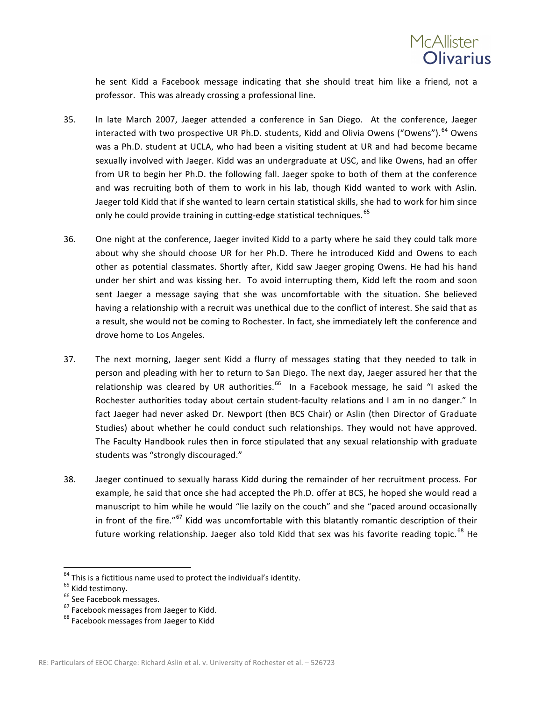

he sent Kidd a Facebook message indicating that she should treat him like a friend, not a professor. This was already crossing a professional line.

- 35. In late March 2007, Jaeger attended a conference in San Diego. At the conference, Jaeger interacted with two prospective UR Ph.D. students, Kidd and Olivia Owens ("Owens").  $64$  Owens was a Ph.D. student at UCLA, who had been a visiting student at UR and had become became sexually involved with Jaeger. Kidd was an undergraduate at USC, and like Owens, had an offer from UR to begin her Ph.D. the following fall. Jaeger spoke to both of them at the conference and was recruiting both of them to work in his lab, though Kidd wanted to work with Aslin. 

 Jaeger told Kidd that if she wanted to learn certain statistical skills, she had to work for him since only he could provide training in cutting-edge statistical techniques. $65$
- 36. One night at the conference, Jaeger invited Kidd to a party where he said they could talk more about why she should choose UR for her Ph.D. There he introduced Kidd and Owens to each other as potential classmates. Shortly after, Kidd saw Jaeger groping Owens. He had his hand under her shirt and was kissing her. To avoid interrupting them, Kidd left the room and soon sent Jaeger a message saying that she was uncomfortable with the situation. She believed having a relationship with a recruit was unethical due to the conflict of interest. She said that as a result, she would not be coming to Rochester. In fact, she immediately left the conference and drove home to Los Angeles.
- 37. The next morning, Jaeger sent Kidd a flurry of messages stating that they needed to talk in person and pleading with her to return to San Diego. The next day, Jaeger assured her that the relationship was cleared by UR authorities.<sup>66</sup> In a Facebook message, he said "I asked the Rochester authorities today about certain student-faculty relations and I am in no danger." In fact Jaeger had never asked Dr. Newport (then BCS Chair) or Aslin (then Director of Graduate Studies) about whether he could conduct such relationships. They would not have approved. The Faculty Handbook rules then in force stipulated that any sexual relationship with graduate students was "strongly discouraged."
- 38. Jaeger continued to sexually harass Kidd during the remainder of her recruitment process. For example, he said that once she had accepted the Ph.D. offer at BCS, he hoped she would read a manuscript to him while he would "lie lazily on the couch" and she "paced around occasionally in front of the fire."<sup>67</sup> Kidd was uncomfortable with this blatantly romantic description of their future working relationship. Jaeger also told Kidd that sex was his favorite reading topic.<sup>68</sup> He

<sup>&</sup>lt;sup>64</sup> This is a fictitious name used to protect the individual's identity.<br>
<sup>65</sup> Kidd testimony.<br>
<sup>66</sup> See Facebook messages.<br>
<sup>67</sup> Facebook messages from Jaeger to Kidd.<br>
<sup>68</sup> Facebook messages from Jaeger to Kidd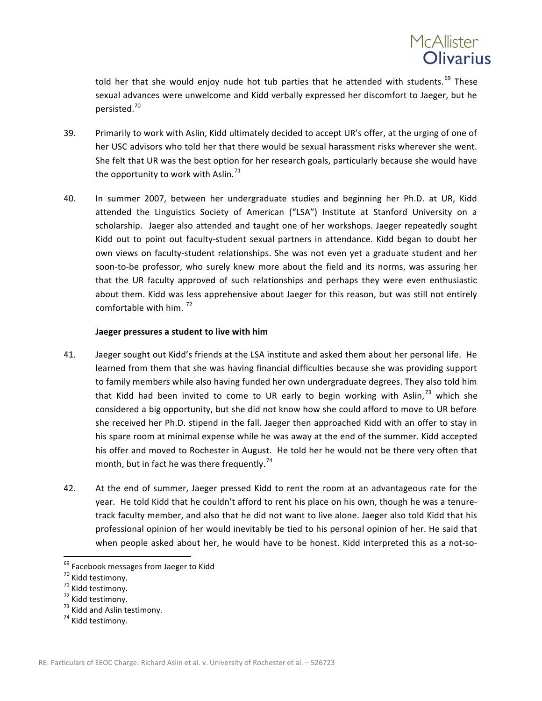

told her that she would enjoy nude hot tub parties that he attended with students.<sup>69</sup> These sexual advances were unwelcome and Kidd verbally expressed her discomfort to Jaeger, but he persisted.<sup>70</sup>

- 39. Primarily to work with Aslin, Kidd ultimately decided to accept UR's offer, at the urging of one of her USC advisors who told her that there would be sexual harassment risks wherever she went. She felt that UR was the best option for her research goals, particularly because she would have the opportunity to work with Aslin.<sup>71</sup>
- 40. In summer 2007, between her undergraduate studies and beginning her Ph.D. at UR, Kidd attended the Linguistics Society of American ("LSA") Institute at Stanford University on a scholarship. Jaeger also attended and taught one of her workshops. Jaeger repeatedly sought Kidd out to point out faculty-student sexual partners in attendance. Kidd began to doubt her own views on faculty-student relationships. She was not even yet a graduate student and her soon-to-be professor, who surely knew more about the field and its norms, was assuring her that the UR faculty approved of such relationships and perhaps they were even enthusiastic about them. Kidd was less apprehensive about Jaeger for this reason, but was still not entirely comfortable with him. <sup>72</sup>

#### Jaeger pressures a student to live with him

- 41. Jaeger sought out Kidd's friends at the LSA institute and asked them about her personal life. He learned from them that she was having financial difficulties because she was providing support to family members while also having funded her own undergraduate degrees. They also told him that Kidd had been invited to come to UR early to begin working with Aslin, $73$  which she considered a big opportunity, but she did not know how she could afford to move to UR before she received her Ph.D. stipend in the fall. Jaeger then approached Kidd with an offer to stay in his spare room at minimal expense while he was away at the end of the summer. Kidd accepted his offer and moved to Rochester in August. He told her he would not be there very often that month, but in fact he was there frequently.<sup>74</sup>
- 42. At the end of summer, Jaeger pressed Kidd to rent the room at an advantageous rate for the year. He told Kidd that he couldn't afford to rent his place on his own, though he was a tenuretrack faculty member, and also that he did not want to live alone. Jaeger also told Kidd that his professional opinion of her would inevitably be tied to his personal opinion of her. He said that when people asked about her, he would have to be honest. Kidd interpreted this as a not-so-

<sup>&</sup>lt;sup>69</sup> Facebook messages from Jaeger to Kidd<br><sup>70</sup> Kidd testimony.<br><sup>71</sup> Kidd testimony.<br><sup>72</sup> Kidd testimony.<br><sup>73</sup> Kidd and Aslin testimony.<br><sup>74</sup> Kidd testimony.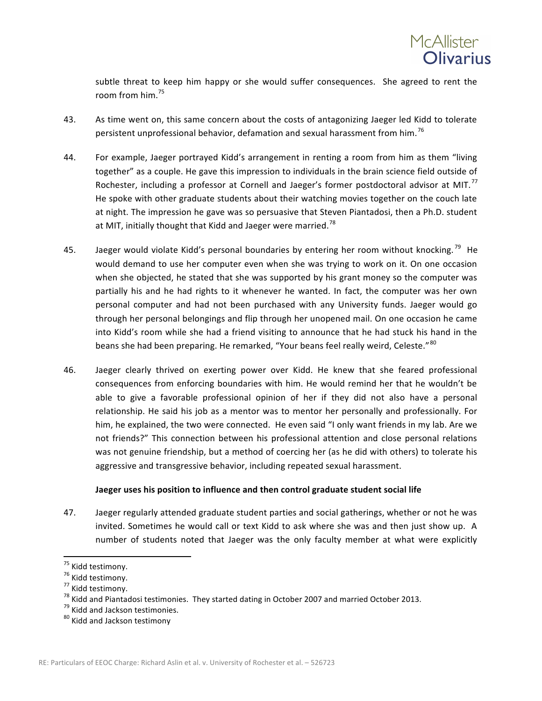

subtle threat to keep him happy or she would suffer consequences. She agreed to rent the room from him.<sup>75</sup>

- 43. As time went on, this same concern about the costs of antagonizing Jaeger led Kidd to tolerate persistent unprofessional behavior, defamation and sexual harassment from him.<sup>76</sup>
- 44. For example, Jaeger portrayed Kidd's arrangement in renting a room from him as them "living together" as a couple. He gave this impression to individuals in the brain science field outside of Rochester, including a professor at Cornell and Jaeger's former postdoctoral advisor at MIT.<sup>77</sup> He spoke with other graduate students about their watching movies together on the couch late at night. The impression he gave was so persuasive that Steven Piantadosi, then a Ph.D. student at MIT, initially thought that Kidd and Jaeger were married.<sup>78</sup>
- 45. Jaeger would violate Kidd's personal boundaries by entering her room without knocking.<sup>79</sup> He would demand to use her computer even when she was trying to work on it. On one occasion when she objected, he stated that she was supported by his grant money so the computer was partially his and he had rights to it whenever he wanted. In fact, the computer was her own personal computer and had not been purchased with any University funds. Jaeger would go through her personal belongings and flip through her unopened mail. On one occasion he came into Kidd's room while she had a friend visiting to announce that he had stuck his hand in the beans she had been preparing. He remarked, "Your beans feel really weird, Celeste."<sup>80</sup>
- 46. Jaeger clearly thrived on exerting power over Kidd. He knew that she feared professional consequences from enforcing boundaries with him. He would remind her that he wouldn't be able to give a favorable professional opinion of her if they did not also have a personal relationship. He said his job as a mentor was to mentor her personally and professionally. For him, he explained, the two were connected. He even said "I only want friends in my lab. Are we not friends?" This connection between his professional attention and close personal relations was not genuine friendship, but a method of coercing her (as he did with others) to tolerate his aggressive and transgressive behavior, including repeated sexual harassment.

#### Jaeger uses his position to influence and then control graduate student social life

47. Jaeger regularly attended graduate student parties and social gatherings, whether or not he was invited. Sometimes he would call or text Kidd to ask where she was and then just show up. A number of students noted that Jaeger was the only faculty member at what were explicitly

<sup>75</sup> Kidd testimony.

<sup>&</sup>lt;sup>76</sup> Kidd testimony.<br><sup>77</sup> Kidd testimony.<br><sup>78</sup> Kidd and Piantadosi testimonies. They started dating in October 2007 and married October 2013.<br><sup>79</sup> Kidd and Jackson testimony.<br><sup>80</sup> Kidd and Jackson testimony.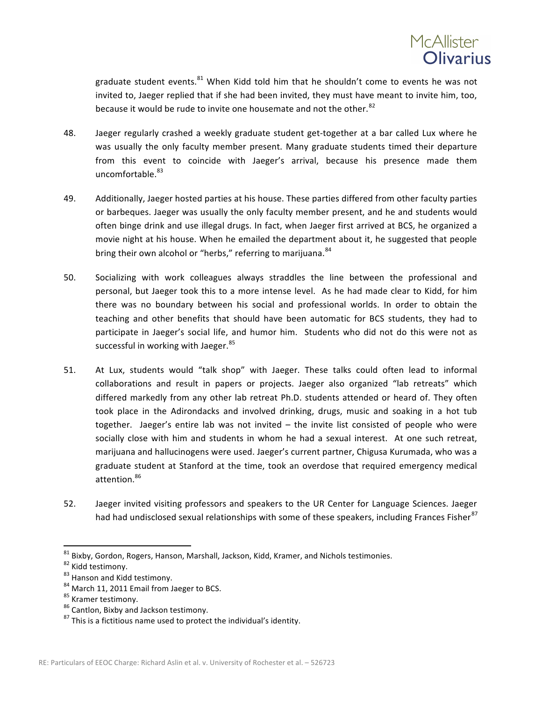

graduate student events.<sup>81</sup> When Kidd told him that he shouldn't come to events he was not invited to, Jaeger replied that if she had been invited, they must have meant to invite him, too, because it would be rude to invite one housemate and not the other.<sup>82</sup>

- 48. Jaeger regularly crashed a weekly graduate student get-together at a bar called Lux where he was usually the only faculty member present. Many graduate students timed their departure from this event to coincide with Jaeger's arrival, because his presence made them uncomfortable. $83$
- 49. Additionally, Jaeger hosted parties at his house. These parties differed from other faculty parties or barbeques. Jaeger was usually the only faculty member present, and he and students would often binge drink and use illegal drugs. In fact, when Jaeger first arrived at BCS, he organized a movie night at his house. When he emailed the department about it, he suggested that people bring their own alcohol or "herbs," referring to marijuana.<sup>84</sup>
- 50. Socializing with work colleagues always straddles the line between the professional and personal, but Jaeger took this to a more intense level. As he had made clear to Kidd, for him there was no boundary between his social and professional worlds. In order to obtain the teaching and other benefits that should have been automatic for BCS students, they had to participate in Jaeger's social life, and humor him. Students who did not do this were not as successful in working with Jaeger.<sup>85</sup>
- 51. At Lux, students would "talk shop" with Jaeger. These talks could often lead to informal collaborations and result in papers or projects. Jaeger also organized "lab retreats" which differed markedly from any other lab retreat Ph.D. students attended or heard of. They often took place in the Adirondacks and involved drinking, drugs, music and soaking in a hot tub together. Jaeger's entire lab was not invited – the invite list consisted of people who were socially close with him and students in whom he had a sexual interest. At one such retreat, marijuana and hallucinogens were used. Jaeger's current partner, Chigusa Kurumada, who was a graduate student at Stanford at the time, took an overdose that required emergency medical attention.<sup>86</sup>
- 52. Jaeger invited visiting professors and speakers to the UR Center for Language Sciences. Jaeger had had undisclosed sexual relationships with some of these speakers, including Frances Fisher<sup>87</sup>

<sup>&</sup>lt;sup>81</sup> Bixby, Gordon, Rogers, Hanson, Marshall, Jackson, Kidd, Kramer, and Nichols testimonies.<br>
<sup>82</sup> Kidd testimony.<br>
<sup>83</sup> Hanson and Kidd testimony.<br>
<sup>84</sup> March 11, 2011 Email from Jaeger to BCS.<br>
<sup>85</sup> Kramer testimony.<br>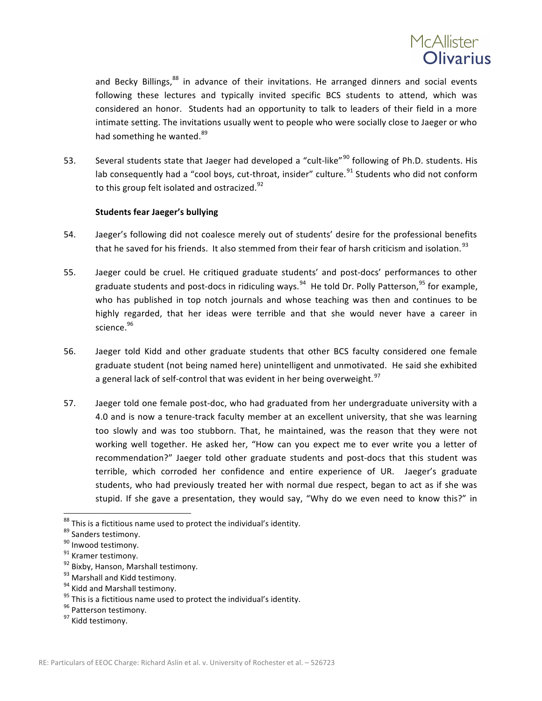

and Becky Billings,<sup>88</sup> in advance of their invitations. He arranged dinners and social events following these lectures and typically invited specific BCS students to attend, which was considered an honor. Students had an opportunity to talk to leaders of their field in a more intimate setting. The invitations usually went to people who were socially close to Jaeger or who had something he wanted.<sup>89</sup>

53. Several students state that Jaeger had developed a "cult-like"<sup>90</sup> following of Ph.D. students. His lab consequently had a "cool boys, cut-throat, insider" culture.<sup>91</sup> Students who did not conform to this group felt isolated and ostracized.<sup>92</sup>

#### Students fear Jaeger's bullying

- 54. Jaeger's following did not coalesce merely out of students' desire for the professional benefits that he saved for his friends. It also stemmed from their fear of harsh criticism and isolation.<sup>93</sup>
- 55. Jaeger could be cruel. He critiqued graduate students' and post-docs' performances to other graduate students and post-docs in ridiculing ways.<sup>94</sup> He told Dr. Polly Patterson,<sup>95</sup> for example, who has published in top notch journals and whose teaching was then and continues to be highly regarded, that her ideas were terrible and that she would never have a career in science.<sup>96</sup>
- 56. Jaeger told Kidd and other graduate students that other BCS faculty considered one female graduate student (not being named here) unintelligent and unmotivated. He said she exhibited a general lack of self-control that was evident in her being overweight.<sup>97</sup>
- 57. Jaeger told one female post-doc, who had graduated from her undergraduate university with a 4.0 and is now a tenure-track faculty member at an excellent university, that she was learning too slowly and was too stubborn. That, he maintained, was the reason that they were not working well together. He asked her, "How can you expect me to ever write you a letter of recommendation?" Jaeger told other graduate students and post-docs that this student was terrible, which corroded her confidence and entire experience of UR. Jaeger's graduate students, who had previously treated her with normal due respect, began to act as if she was stupid. If she gave a presentation, they would say, "Why do we even need to know this?" in

<sup>&</sup>lt;sup>88</sup> This is a fictitious name used to protect the individual's identity.<br><sup>89</sup> Sanders testimony.<br><sup>90</sup> Inwood testimony.<br><sup>91</sup> Kramer testimony.<br><sup>92</sup> Bixby, Hanson, Marshall testimony.<br><sup>93</sup> Marshall and Kidd testimony.<br><sup>94</sup>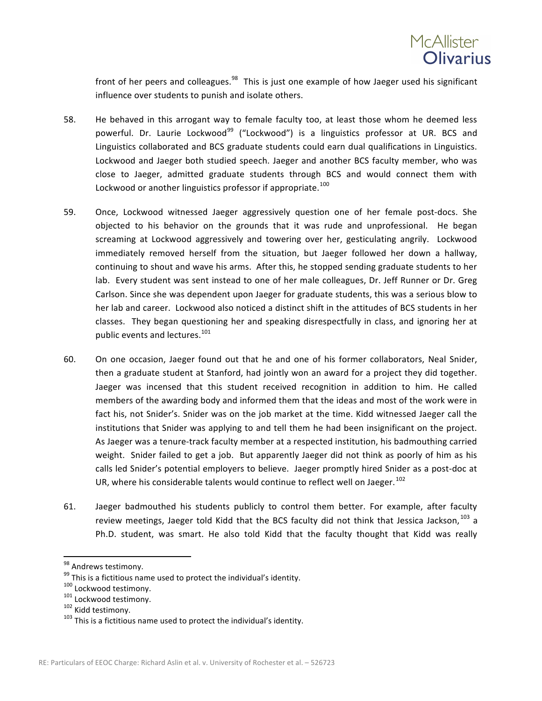

front of her peers and colleagues.  $98$  This is just one example of how Jaeger used his significant influence over students to punish and isolate others. 

- 58. He behaved in this arrogant way to female faculty too, at least those whom he deemed less powerful. Dr. Laurie Lockwood<sup>99</sup> ("Lockwood") is a linguistics professor at UR. BCS and Linguistics collaborated and BCS graduate students could earn dual qualifications in Linguistics. Lockwood and Jaeger both studied speech. Jaeger and another BCS faculty member, who was close to Jaeger, admitted graduate students through BCS and would connect them with Lockwood or another linguistics professor if appropriate.<sup>100</sup>
- 59. Once, Lockwood witnessed Jaeger aggressively question one of her female post-docs. She objected to his behavior on the grounds that it was rude and unprofessional. He began screaming at Lockwood aggressively and towering over her, gesticulating angrily. Lockwood immediately removed herself from the situation, but Jaeger followed her down a hallway, continuing to shout and wave his arms. After this, he stopped sending graduate students to her lab. Every student was sent instead to one of her male colleagues, Dr. Jeff Runner or Dr. Greg Carlson. Since she was dependent upon Jaeger for graduate students, this was a serious blow to her lab and career. Lockwood also noticed a distinct shift in the attitudes of BCS students in her classes. They began questioning her and speaking disrespectfully in class, and ignoring her at public events and lectures.<sup>101</sup>
- 60. On one occasion, Jaeger found out that he and one of his former collaborators, Neal Snider, then a graduate student at Stanford, had jointly won an award for a project they did together. Jaeger was incensed that this student received recognition in addition to him. He called members of the awarding body and informed them that the ideas and most of the work were in fact his, not Snider's. Snider was on the job market at the time. Kidd witnessed Jaeger call the institutions that Snider was applying to and tell them he had been insignificant on the project. As Jaeger was a tenure-track faculty member at a respected institution, his badmouthing carried weight. Snider failed to get a job. But apparently Jaeger did not think as poorly of him as his calls led Snider's potential employers to believe. Jaeger promptly hired Snider as a post-doc at UR, where his considerable talents would continue to reflect well on Jaeger.<sup>102</sup>
- 61. Jaeger badmouthed his students publicly to control them better. For example, after faculty review meetings, Jaeger told Kidd that the BCS faculty did not think that Jessica Jackson, 103 a Ph.D. student, was smart. He also told Kidd that the faculty thought that Kidd was really

<sup>98</sup> Andrews testimony.

<sup>&</sup>lt;sup>99</sup> This is a fictitious name used to protect the individual's identity.<br>
<sup>100</sup> Lockwood testimony.<br>
<sup>101</sup> Lockwood testimony.<br>
<sup>102</sup> Kidd testimony.<br>
<sup>103</sup> This is a fictitious name used to protect the individual's iden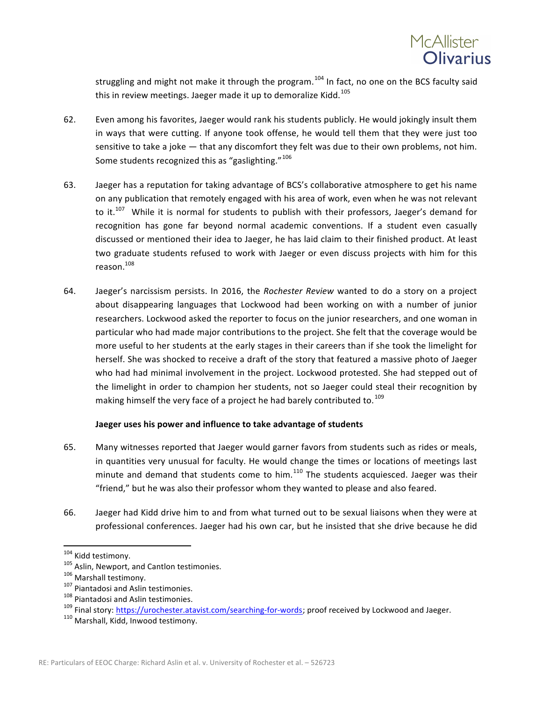

struggling and might not make it through the program.<sup>104</sup> In fact, no one on the BCS faculty said this in review meetings. Jaeger made it up to demoralize Kidd.<sup>105</sup>

- 62. Even among his favorites, Jaeger would rank his students publicly. He would jokingly insult them in ways that were cutting. If anyone took offense, he would tell them that they were just too sensitive to take a joke — that any discomfort they felt was due to their own problems, not him. Some students recognized this as "gaslighting."<sup>106</sup>
- 63. Jaeger has a reputation for taking advantage of BCS's collaborative atmosphere to get his name on any publication that remotely engaged with his area of work, even when he was not relevant to it.<sup>107</sup> While it is normal for students to publish with their professors, Jaeger's demand for recognition has gone far beyond normal academic conventions. If a student even casually discussed or mentioned their idea to Jaeger, he has laid claim to their finished product. At least two graduate students refused to work with Jaeger or even discuss projects with him for this reason.108
- 64. Jaeger's narcissism persists. In 2016, the Rochester Review wanted to do a story on a project about disappearing languages that Lockwood had been working on with a number of junior researchers. Lockwood asked the reporter to focus on the junior researchers, and one woman in particular who had made major contributions to the project. She felt that the coverage would be more useful to her students at the early stages in their careers than if she took the limelight for herself. She was shocked to receive a draft of the story that featured a massive photo of Jaeger who had had minimal involvement in the project. Lockwood protested. She had stepped out of the limelight in order to champion her students, not so Jaeger could steal their recognition by making himself the very face of a project he had barely contributed to.<sup>109</sup>

#### Jaeger uses his power and influence to take advantage of students

- 65. Many witnesses reported that Jaeger would garner favors from students such as rides or meals, in quantities very unusual for faculty. He would change the times or locations of meetings last minute and demand that students come to him. $110$  The students acquiesced. Jaeger was their "friend," but he was also their professor whom they wanted to please and also feared.
- 66. Jaeger had Kidd drive him to and from what turned out to be sexual liaisons when they were at professional conferences. Jaeger had his own car, but he insisted that she drive because he did

<sup>&</sup>lt;sup>104</sup> Kidd testimony.<br><sup>105</sup> Aslin, Newport, and Cantlon testimonies.<br><sup>106</sup> Marshall testimony.<br><sup>107</sup> Piantadosi and Aslin testimonies.<br><sup>108</sup> Final story: <u>https://urochester.atavist.com/searching-for-words;</u> proof received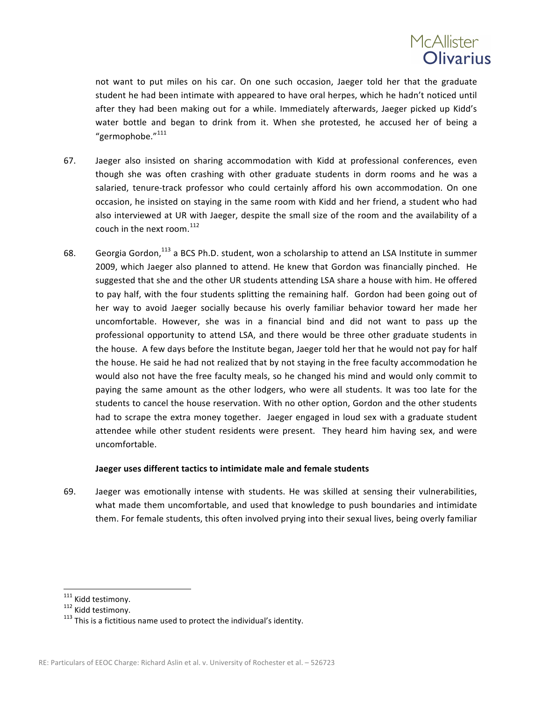

not want to put miles on his car. On one such occasion, Jaeger told her that the graduate student he had been intimate with appeared to have oral herpes, which he hadn't noticed until after they had been making out for a while. Immediately afterwards, Jaeger picked up Kidd's water bottle and began to drink from it. When she protested, he accused her of being a "germophobe."<sup>111</sup>

- 67. Jaeger also insisted on sharing accommodation with Kidd at professional conferences, even though she was often crashing with other graduate students in dorm rooms and he was a salaried, tenure-track professor who could certainly afford his own accommodation. On one occasion, he insisted on staying in the same room with Kidd and her friend, a student who had also interviewed at UR with Jaeger, despite the small size of the room and the availability of a couch in the next room. $^{112}$
- 68. Georgia Gordon, <sup>113</sup> a BCS Ph.D. student, won a scholarship to attend an LSA Institute in summer 2009, which Jaeger also planned to attend. He knew that Gordon was financially pinched. He suggested that she and the other UR students attending LSA share a house with him. He offered to pay half, with the four students splitting the remaining half. Gordon had been going out of her way to avoid Jaeger socially because his overly familiar behavior toward her made her uncomfortable. However, she was in a financial bind and did not want to pass up the professional opportunity to attend LSA, and there would be three other graduate students in the house. A few days before the Institute began, Jaeger told her that he would not pay for half the house. He said he had not realized that by not staying in the free faculty accommodation he would also not have the free faculty meals, so he changed his mind and would only commit to paying the same amount as the other lodgers, who were all students. It was too late for the students to cancel the house reservation. With no other option, Gordon and the other students had to scrape the extra money together. Jaeger engaged in loud sex with a graduate student attendee while other student residents were present. They heard him having sex, and were uncomfortable.

#### Jaeger uses different tactics to intimidate male and female students

69. Jaeger was emotionally intense with students. He was skilled at sensing their vulnerabilities, what made them uncomfortable, and used that knowledge to push boundaries and intimidate them. For female students, this often involved prying into their sexual lives, being overly familiar

 $111$  Kidd testimony.

<sup>112</sup> Kidd testimony.<br><sup>112</sup> Kidd testimony.<br><sup>113</sup> This is a fictitious name used to protect the individual's identity.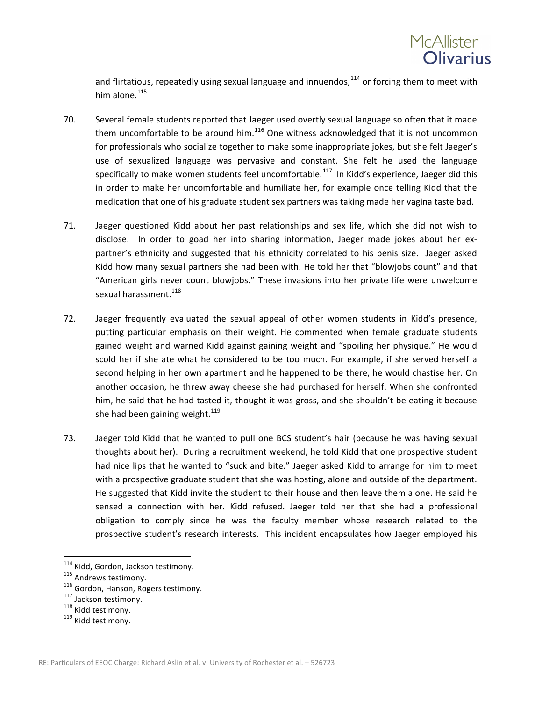

and flirtatious, repeatedly using sexual language and innuendos,  $114$  or forcing them to meet with him alone.<sup>115</sup>

- 70. Several female students reported that Jaeger used overtly sexual language so often that it made them uncomfortable to be around him. $^{116}$  One witness acknowledged that it is not uncommon for professionals who socialize together to make some inappropriate jokes, but she felt Jaeger's use of sexualized language was pervasive and constant. She felt he used the language specifically to make women students feel uncomfortable.<sup>117</sup> In Kidd's experience, Jaeger did this in order to make her uncomfortable and humiliate her, for example once telling Kidd that the medication that one of his graduate student sex partners was taking made her vagina taste bad.
- 71. Jaeger questioned Kidd about her past relationships and sex life, which she did not wish to disclose. In order to goad her into sharing information, Jaeger made jokes about her expartner's ethnicity and suggested that his ethnicity correlated to his penis size. Jaeger asked Kidd how many sexual partners she had been with. He told her that "blowjobs count" and that "American girls never count blowjobs." These invasions into her private life were unwelcome sexual harassment.<sup>118</sup>
- 72. Jaeger frequently evaluated the sexual appeal of other women students in Kidd's presence, putting particular emphasis on their weight. He commented when female graduate students gained weight and warned Kidd against gaining weight and "spoiling her physique." He would scold her if she ate what he considered to be too much. For example, if she served herself a second helping in her own apartment and he happened to be there, he would chastise her. On another occasion, he threw away cheese she had purchased for herself. When she confronted him, he said that he had tasted it, thought it was gross, and she shouldn't be eating it because she had been gaining weight. $^{119}$
- 73. Jaeger told Kidd that he wanted to pull one BCS student's hair (because he was having sexual thoughts about her). During a recruitment weekend, he told Kidd that one prospective student had nice lips that he wanted to "suck and bite." Jaeger asked Kidd to arrange for him to meet with a prospective graduate student that she was hosting, alone and outside of the department. He suggested that Kidd invite the student to their house and then leave them alone. He said he sensed a connection with her. Kidd refused. Jaeger told her that she had a professional obligation to comply since he was the faculty member whose research related to the prospective student's research interests. This incident encapsulates how Jaeger employed his

<sup>&</sup>lt;sup>114</sup> Kidd, Gordon, Jackson testimony.

<sup>&</sup>lt;sup>115</sup> Andrews testimony.<br><sup>116</sup> Gordon, Hanson, Rogers testimony.<br><sup>117</sup> Jackson testimony.<br><sup>119</sup> Kidd testimony.<br><sup>119</sup> Kidd testimony.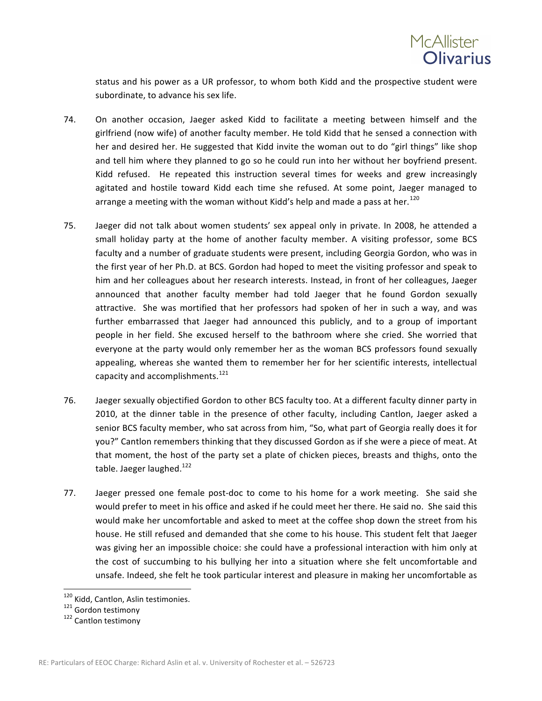

status and his power as a UR professor, to whom both Kidd and the prospective student were subordinate, to advance his sex life. 

- 74. On another occasion, Jaeger asked Kidd to facilitate a meeting between himself and the girlfriend (now wife) of another faculty member. He told Kidd that he sensed a connection with her and desired her. He suggested that Kidd invite the woman out to do "girl things" like shop and tell him where they planned to go so he could run into her without her boyfriend present. Kidd refused. He repeated this instruction several times for weeks and grew increasingly agitated and hostile toward Kidd each time she refused. At some point, Jaeger managed to arrange a meeting with the woman without Kidd's help and made a pass at her.<sup>120</sup>
- 75. Jaeger did not talk about women students' sex appeal only in private. In 2008, he attended a small holiday party at the home of another faculty member. A visiting professor, some BCS faculty and a number of graduate students were present, including Georgia Gordon, who was in the first year of her Ph.D. at BCS. Gordon had hoped to meet the visiting professor and speak to him and her colleagues about her research interests. Instead, in front of her colleagues, Jaeger announced that another faculty member had told Jaeger that he found Gordon sexually attractive. She was mortified that her professors had spoken of her in such a way, and was further embarrassed that Jaeger had announced this publicly, and to a group of important people in her field. She excused herself to the bathroom where she cried. She worried that everyone at the party would only remember her as the woman BCS professors found sexually appealing, whereas she wanted them to remember her for her scientific interests, intellectual capacity and accomplishments.<sup>121</sup>
- 76. Jaeger sexually objectified Gordon to other BCS faculty too. At a different faculty dinner party in 2010, at the dinner table in the presence of other faculty, including Cantlon, Jaeger asked a senior BCS faculty member, who sat across from him, "So, what part of Georgia really does it for you?" Cantlon remembers thinking that they discussed Gordon as if she were a piece of meat. At that moment, the host of the party set a plate of chicken pieces, breasts and thighs, onto the table. Jaeger laughed. $^{122}$
- 77. Jaeger pressed one female post-doc to come to his home for a work meeting. She said she would prefer to meet in his office and asked if he could meet her there. He said no. She said this would make her uncomfortable and asked to meet at the coffee shop down the street from his house. He still refused and demanded that she come to his house. This student felt that Jaeger was giving her an impossible choice: she could have a professional interaction with him only at the cost of succumbing to his bullying her into a situation where she felt uncomfortable and unsafe. Indeed, she felt he took particular interest and pleasure in making her uncomfortable as

 <sup>120</sup> Kidd, Cantlon, Aslin testimonies.<br><sup>121</sup> Gordon testimony<br><sup>122</sup> Cantlon testimony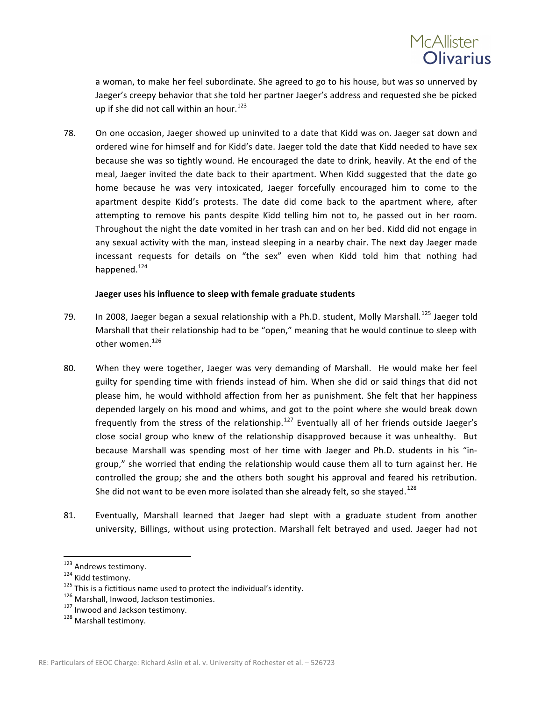

a woman, to make her feel subordinate. She agreed to go to his house, but was so unnerved by Jaeger's creepy behavior that she told her partner Jaeger's address and requested she be picked up if she did not call within an hour.<sup>123</sup>

78. On one occasion, Jaeger showed up uninvited to a date that Kidd was on. Jaeger sat down and ordered wine for himself and for Kidd's date. Jaeger told the date that Kidd needed to have sex because she was so tightly wound. He encouraged the date to drink, heavily. At the end of the meal, Jaeger invited the date back to their apartment. When Kidd suggested that the date go home because he was very intoxicated, Jaeger forcefully encouraged him to come to the apartment despite Kidd's protests. The date did come back to the apartment where, after attempting to remove his pants despite Kidd telling him not to, he passed out in her room. Throughout the night the date vomited in her trash can and on her bed. Kidd did not engage in any sexual activity with the man, instead sleeping in a nearby chair. The next day Jaeger made incessant requests for details on "the sex" even when Kidd told him that nothing had happened.<sup>124</sup>

#### Jaeger uses his influence to sleep with female graduate students

- 79. In 2008, Jaeger began a sexual relationship with a Ph.D. student, Molly Marshall.<sup>125</sup> Jaeger told Marshall that their relationship had to be "open," meaning that he would continue to sleep with other women.<sup>126</sup>
- 80. When they were together, Jaeger was very demanding of Marshall. He would make her feel guilty for spending time with friends instead of him. When she did or said things that did not please him, he would withhold affection from her as punishment. She felt that her happiness depended largely on his mood and whims, and got to the point where she would break down frequently from the stress of the relationship.<sup>127</sup> Eventually all of her friends outside Jaeger's close social group who knew of the relationship disapproved because it was unhealthy. But because Marshall was spending most of her time with Jaeger and Ph.D. students in his "ingroup," she worried that ending the relationship would cause them all to turn against her. He controlled the group; she and the others both sought his approval and feared his retribution. She did not want to be even more isolated than she already felt, so she staved.<sup>128</sup>
- 81. Eventually, Marshall learned that Jaeger had slept with a graduate student from another university, Billings, without using protection. Marshall felt betrayed and used. Jaeger had not

<sup>&</sup>lt;sup>123</sup> Andrews testimony.

<sup>&</sup>lt;sup>124</sup> Kidd testimony.<br>
<sup>125</sup> This is a fictitious name used to protect the individual's identity.<br>
<sup>126</sup> Marshall, Inwood, Jackson testimonies.<br>
<sup>127</sup> Inwood and Jackson testimony.<br>
<sup>128</sup> Marshall testimony.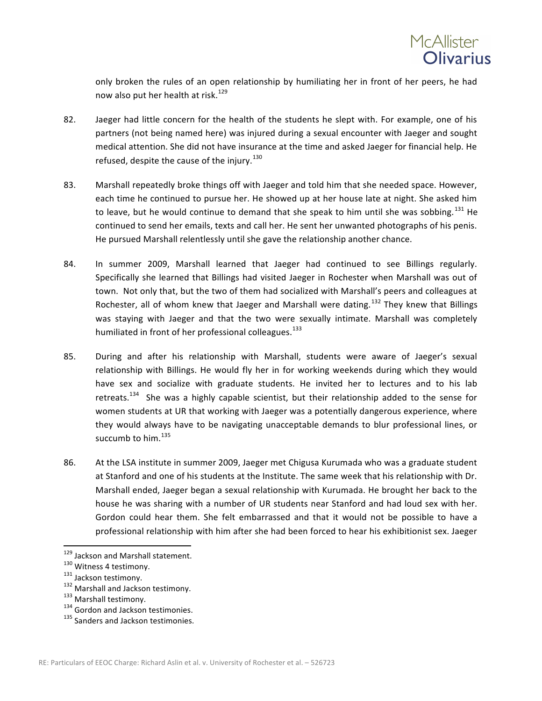

only broken the rules of an open relationship by humiliating her in front of her peers, he had now also put her health at risk.<sup>129</sup>

- 82. Jaeger had little concern for the health of the students he slept with. For example, one of his partners (not being named here) was injured during a sexual encounter with Jaeger and sought medical attention. She did not have insurance at the time and asked Jaeger for financial help. He refused, despite the cause of the injury. $130$
- 83. Marshall repeatedly broke things off with Jaeger and told him that she needed space. However, each time he continued to pursue her. He showed up at her house late at night. She asked him to leave, but he would continue to demand that she speak to him until she was sobbing.<sup>131</sup> He continued to send her emails, texts and call her. He sent her unwanted photographs of his penis. 

 He pursued Marshall relentlessly until she gave the relationship another chance.
- 84. In summer 2009, Marshall learned that Jaeger had continued to see Billings regularly. Specifically she learned that Billings had visited Jaeger in Rochester when Marshall was out of town. Not only that, but the two of them had socialized with Marshall's peers and colleagues at Rochester, all of whom knew that Jaeger and Marshall were dating.<sup>132</sup> They knew that Billings was staying with Jaeger and that the two were sexually intimate. Marshall was completely humiliated in front of her professional colleagues.<sup>133</sup>
- 85. During and after his relationship with Marshall, students were aware of Jaeger's sexual relationship with Billings. He would fly her in for working weekends during which they would have sex and socialize with graduate students. He invited her to lectures and to his lab retreats.<sup>134</sup> She was a highly capable scientist, but their relationship added to the sense for women students at UR that working with Jaeger was a potentially dangerous experience, where they would always have to be navigating unacceptable demands to blur professional lines, or succumb to  $him<sup>.135</sup>$
- 86. At the LSA institute in summer 2009, Jaeger met Chigusa Kurumada who was a graduate student at Stanford and one of his students at the Institute. The same week that his relationship with Dr. Marshall ended, Jaeger began a sexual relationship with Kurumada. He brought her back to the house he was sharing with a number of UR students near Stanford and had loud sex with her. 

 Gordon could hear them. She felt embarrassed and that it would not be possible to have a professional relationship with him after she had been forced to hear his exhibitionist sex. Jaeger

<sup>&</sup>lt;sup>129</sup> Jackson and Marshall statement.<br><sup>130</sup> Witness 4 testimony.<br><sup>131</sup> Jackson testimony.<br><sup>132</sup> Marshall testimony.<br><sup>134</sup> Gordon and Jackson testimonies.<br><sup>135</sup> Sanders and Jackson testimonies.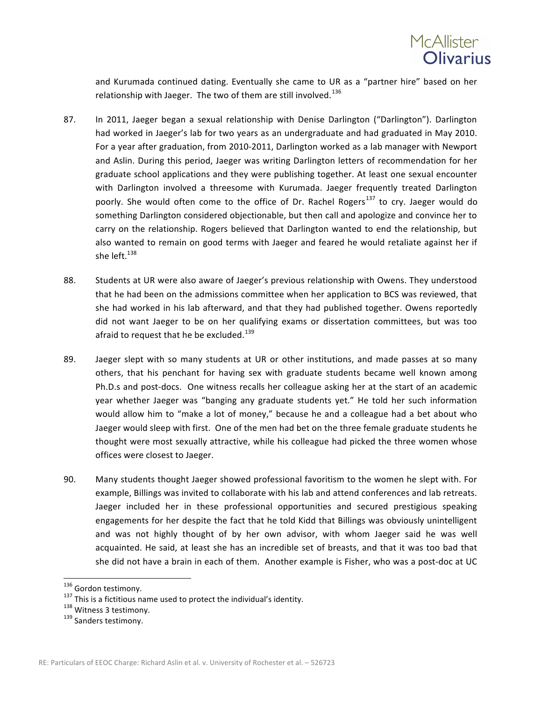

and Kurumada continued dating. Eventually she came to UR as a "partner hire" based on her relationship with Jaeger. The two of them are still involved.<sup>136</sup>

- 87. In 2011, Jaeger began a sexual relationship with Denise Darlington ("Darlington"). Darlington had worked in Jaeger's lab for two years as an undergraduate and had graduated in May 2010. For a year after graduation, from 2010-2011, Darlington worked as a lab manager with Newport and Aslin. During this period, Jaeger was writing Darlington letters of recommendation for her graduate school applications and they were publishing together. At least one sexual encounter with Darlington involved a threesome with Kurumada. Jaeger frequently treated Darlington poorly. She would often come to the office of Dr. Rachel Rogers<sup>137</sup> to cry. Jaeger would do something Darlington considered objectionable, but then call and apologize and convince her to carry on the relationship. Rogers believed that Darlington wanted to end the relationship, but also wanted to remain on good terms with Jaeger and feared he would retaliate against her if she left.<sup>138</sup>
- 88. Students at UR were also aware of Jaeger's previous relationship with Owens. They understood that he had been on the admissions committee when her application to BCS was reviewed, that she had worked in his lab afterward, and that they had published together. Owens reportedly did not want Jaeger to be on her qualifying exams or dissertation committees, but was too afraid to request that he be excluded.<sup>139</sup>
- 89. Jaeger slept with so many students at UR or other institutions, and made passes at so many others, that his penchant for having sex with graduate students became well known among Ph.D.s and post-docs. One witness recalls her colleague asking her at the start of an academic year whether Jaeger was "banging any graduate students yet." He told her such information would allow him to "make a lot of money," because he and a colleague had a bet about who Jaeger would sleep with first. One of the men had bet on the three female graduate students he thought were most sexually attractive, while his colleague had picked the three women whose offices were closest to Jaeger.
- 90. Many students thought Jaeger showed professional favoritism to the women he slept with. For example, Billings was invited to collaborate with his lab and attend conferences and lab retreats. Jaeger included her in these professional opportunities and secured prestigious speaking engagements for her despite the fact that he told Kidd that Billings was obviously unintelligent and was not highly thought of by her own advisor, with whom Jaeger said he was well acquainted. He said, at least she has an incredible set of breasts, and that it was too bad that she did not have a brain in each of them. Another example is Fisher, who was a post-doc at UC

 $136$  Gordon testimony.

<sup>&</sup>lt;sup>137</sup> This is a fictitious name used to protect the individual's identity.<br><sup>138</sup> Witness 3 testimony.<br><sup>139</sup> Sanders testimony.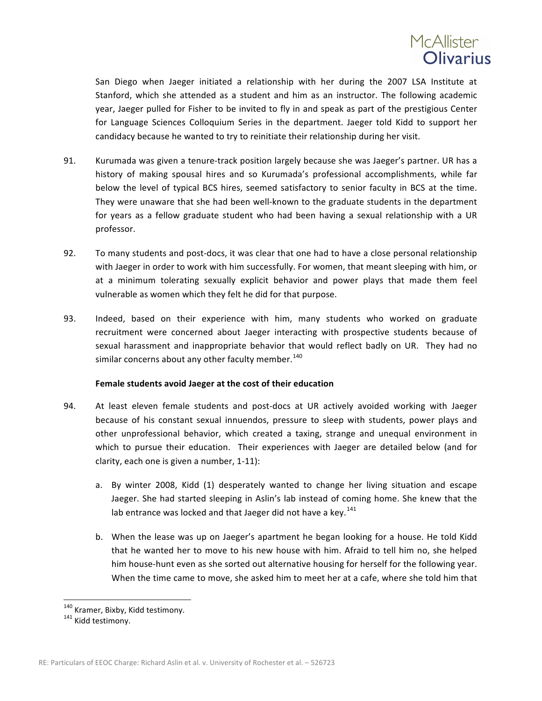

San Diego when Jaeger initiated a relationship with her during the 2007 LSA Institute at Stanford, which she attended as a student and him as an instructor. The following academic year, Jaeger pulled for Fisher to be invited to fly in and speak as part of the prestigious Center for Language Sciences Colloquium Series in the department. Jaeger told Kidd to support her candidacy because he wanted to try to reinitiate their relationship during her visit. 

- 91. Kurumada was given a tenure-track position largely because she was Jaeger's partner. UR has a history of making spousal hires and so Kurumada's professional accomplishments, while far below the level of typical BCS hires, seemed satisfactory to senior faculty in BCS at the time. They were unaware that she had been well-known to the graduate students in the department for years as a fellow graduate student who had been having a sexual relationship with a UR professor.
- 92. To many students and post-docs, it was clear that one had to have a close personal relationship with Jaeger in order to work with him successfully. For women, that meant sleeping with him, or at a minimum tolerating sexually explicit behavior and power plays that made them feel vulnerable as women which they felt he did for that purpose.
- 93. Indeed, based on their experience with him, many students who worked on graduate recruitment were concerned about Jaeger interacting with prospective students because of sexual harassment and inappropriate behavior that would reflect badly on UR. They had no similar concerns about any other faculty member. $140$

#### Female students avoid Jaeger at the cost of their education

- 94. At least eleven female students and post-docs at UR actively avoided working with Jaeger because of his constant sexual innuendos, pressure to sleep with students, power plays and other unprofessional behavior, which created a taxing, strange and unequal environment in which to pursue their education. Their experiences with Jaeger are detailed below (and for clarity, each one is given a number,  $1-11$ :
	- a. By winter 2008, Kidd (1) desperately wanted to change her living situation and escape Jaeger. She had started sleeping in Aslin's lab instead of coming home. She knew that the lab entrance was locked and that Jaeger did not have a key.<sup>141</sup>
	- b. When the lease was up on Jaeger's apartment he began looking for a house. He told Kidd that he wanted her to move to his new house with him. Afraid to tell him no, she helped him house-hunt even as she sorted out alternative housing for herself for the following year. When the time came to move, she asked him to meet her at a cafe, where she told him that

 <sup>140</sup> Kramer, Bixby, Kidd testimony.<br><sup>141</sup> Kidd testimony.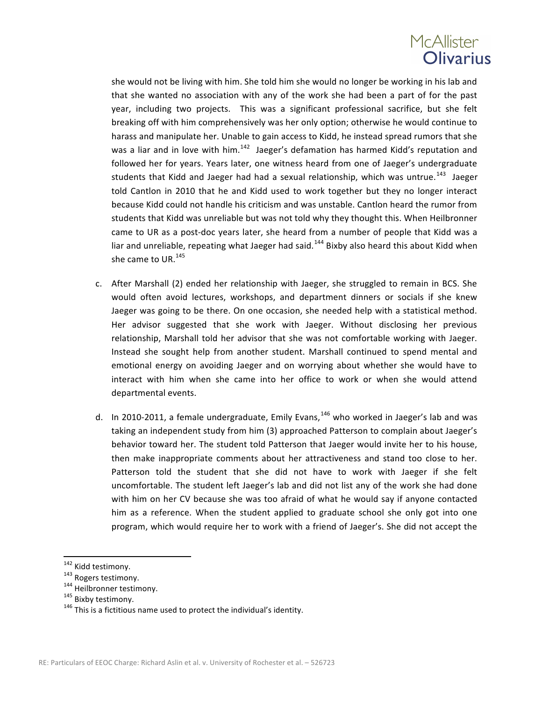

she would not be living with him. She told him she would no longer be working in his lab and that she wanted no association with any of the work she had been a part of for the past year, including two projects. This was a significant professional sacrifice, but she felt breaking off with him comprehensively was her only option; otherwise he would continue to harass and manipulate her. Unable to gain access to Kidd, he instead spread rumors that she was a liar and in love with him.<sup>142</sup> Jaeger's defamation has harmed Kidd's reputation and followed her for years. Years later, one witness heard from one of Jaeger's undergraduate students that Kidd and Jaeger had had a sexual relationship, which was untrue.<sup>143</sup> Jaeger told Cantlon in 2010 that he and Kidd used to work together but they no longer interact because Kidd could not handle his criticism and was unstable. Cantlon heard the rumor from students that Kidd was unreliable but was not told why they thought this. When Heilbronner came to UR as a post-doc years later, she heard from a number of people that Kidd was a liar and unreliable, repeating what Jaeger had said.<sup>144</sup> Bixby also heard this about Kidd when she came to UR.<sup>145</sup>

- c. After Marshall (2) ended her relationship with Jaeger, she struggled to remain in BCS. She would often avoid lectures, workshops, and department dinners or socials if she knew Jaeger was going to be there. On one occasion, she needed help with a statistical method. Her advisor suggested that she work with Jaeger. Without disclosing her previous relationship, Marshall told her advisor that she was not comfortable working with Jaeger. Instead she sought help from another student. Marshall continued to spend mental and emotional energy on avoiding Jaeger and on worrying about whether she would have to interact with him when she came into her office to work or when she would attend departmental events.
- d. In 2010-2011, a female undergraduate, Emily Evans, $146$  who worked in Jaeger's lab and was taking an independent study from him (3) approached Patterson to complain about Jaeger's behavior toward her. The student told Patterson that Jaeger would invite her to his house, then make inappropriate comments about her attractiveness and stand too close to her. Patterson told the student that she did not have to work with Jaeger if she felt uncomfortable. The student left Jaeger's lab and did not list any of the work she had done with him on her CV because she was too afraid of what he would say if anyone contacted him as a reference. When the student applied to graduate school she only got into one program, which would require her to work with a friend of Jaeger's. She did not accept the

<sup>&</sup>lt;sup>142</sup> Kidd testimony.

<sup>&</sup>lt;sup>143</sup> Rogers testimony.<br><sup>144</sup> Heilbronner testimony.<br><sup>145</sup> Bixby testimony.<br><sup>146</sup> This is a fictitious name used to protect the individual's identity.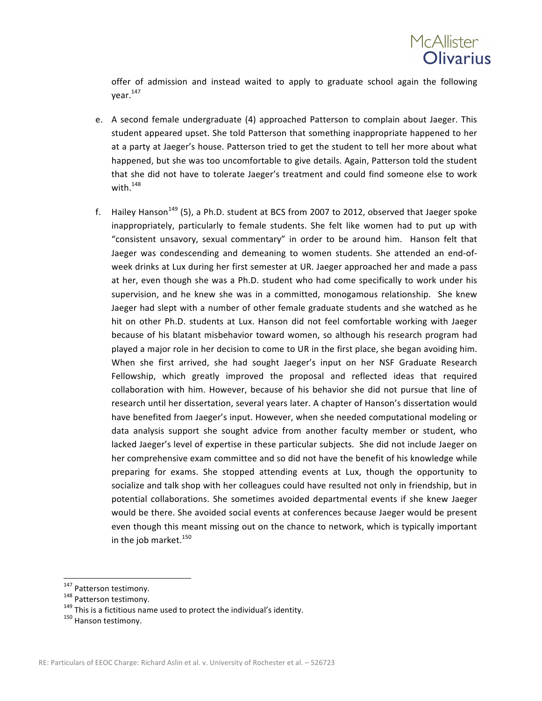

offer of admission and instead waited to apply to graduate school again the following year.<sup>147</sup>

- e. A second female undergraduate (4) approached Patterson to complain about Jaeger. This student appeared upset. She told Patterson that something inappropriate happened to her at a party at Jaeger's house. Patterson tried to get the student to tell her more about what happened, but she was too uncomfortable to give details. Again, Patterson told the student that she did not have to tolerate Jaeger's treatment and could find someone else to work with.<sup>148</sup>
- f. Hailey Hanson<sup>149</sup> (5), a Ph.D. student at BCS from 2007 to 2012, observed that Jaeger spoke inappropriately, particularly to female students. She felt like women had to put up with "consistent unsavory, sexual commentary" in order to be around him. Hanson felt that Jaeger was condescending and demeaning to women students. She attended an end-ofweek drinks at Lux during her first semester at UR. Jaeger approached her and made a pass at her, even though she was a Ph.D. student who had come specifically to work under his supervision, and he knew she was in a committed, monogamous relationship. She knew Jaeger had slept with a number of other female graduate students and she watched as he hit on other Ph.D. students at Lux. Hanson did not feel comfortable working with Jaeger because of his blatant misbehavior toward women, so although his research program had played a major role in her decision to come to UR in the first place, she began avoiding him. When she first arrived, she had sought Jaeger's input on her NSF Graduate Research Fellowship, which greatly improved the proposal and reflected ideas that required collaboration with him. However, because of his behavior she did not pursue that line of research until her dissertation, several years later. A chapter of Hanson's dissertation would have benefited from Jaeger's input. However, when she needed computational modeling or data analysis support she sought advice from another faculty member or student, who lacked Jaeger's level of expertise in these particular subjects. She did not include Jaeger on her comprehensive exam committee and so did not have the benefit of his knowledge while preparing for exams. She stopped attending events at Lux, though the opportunity to socialize and talk shop with her colleagues could have resulted not only in friendship, but in potential collaborations. She sometimes avoided departmental events if she knew Jaeger would be there. She avoided social events at conferences because Jaeger would be present even though this meant missing out on the chance to network, which is typically important in the job market. $150$

<sup>&</sup>lt;sup>147</sup> Patterson testimony.

<sup>&</sup>lt;sup>148</sup> Patterson testimony.<br><sup>149</sup> This is a fictitious name used to protect the individual's identity.<br><sup>150</sup> Hanson testimony.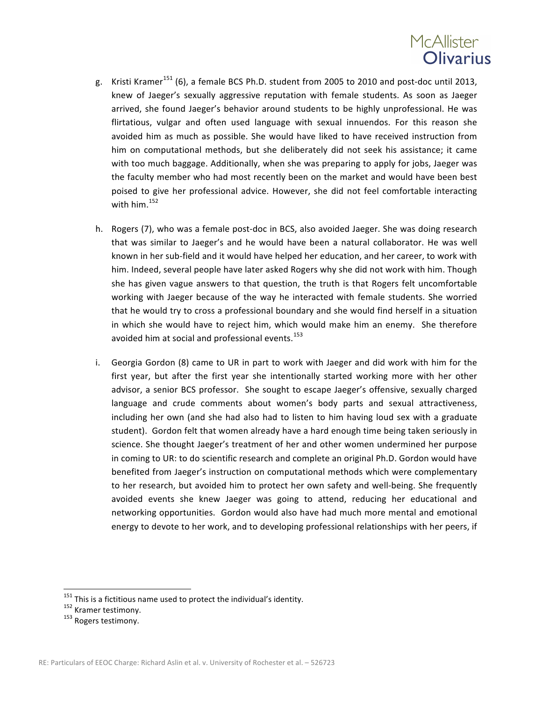

- g. Kristi Kramer<sup>151</sup> (6), a female BCS Ph.D. student from 2005 to 2010 and post-doc until 2013, knew of Jaeger's sexually aggressive reputation with female students. As soon as Jaeger arrived, she found Jaeger's behavior around students to be highly unprofessional. He was flirtatious, vulgar and often used language with sexual innuendos. For this reason she avoided him as much as possible. She would have liked to have received instruction from him on computational methods, but she deliberately did not seek his assistance; it came with too much baggage. Additionally, when she was preparing to apply for jobs, Jaeger was the faculty member who had most recently been on the market and would have been best poised to give her professional advice. However, she did not feel comfortable interacting with him. $152$
- h. Rogers (7), who was a female post-doc in BCS, also avoided Jaeger. She was doing research that was similar to Jaeger's and he would have been a natural collaborator. He was well known in her sub-field and it would have helped her education, and her career, to work with him. Indeed, several people have later asked Rogers why she did not work with him. Though she has given vague answers to that question, the truth is that Rogers felt uncomfortable working with Jaeger because of the way he interacted with female students. She worried that he would try to cross a professional boundary and she would find herself in a situation in which she would have to reject him, which would make him an enemy. She therefore avoided him at social and professional events.<sup>153</sup>
- i. Georgia Gordon (8) came to UR in part to work with Jaeger and did work with him for the first year, but after the first year she intentionally started working more with her other advisor, a senior BCS professor. She sought to escape Jaeger's offensive, sexually charged language and crude comments about women's body parts and sexual attractiveness, including her own (and she had also had to listen to him having loud sex with a graduate student). Gordon felt that women already have a hard enough time being taken seriously in science. She thought Jaeger's treatment of her and other women undermined her purpose in coming to UR: to do scientific research and complete an original Ph.D. Gordon would have benefited from Jaeger's instruction on computational methods which were complementary to her research, but avoided him to protect her own safety and well-being. She frequently avoided events she knew Jaeger was going to attend, reducing her educational and networking opportunities. Gordon would also have had much more mental and emotional energy to devote to her work, and to developing professional relationships with her peers, if

<sup>&</sup>lt;sup>151</sup> This is a fictitious name used to protect the individual's identity.<br><sup>152</sup> Kramer testimony.<br><sup>153</sup> Rogers testimony.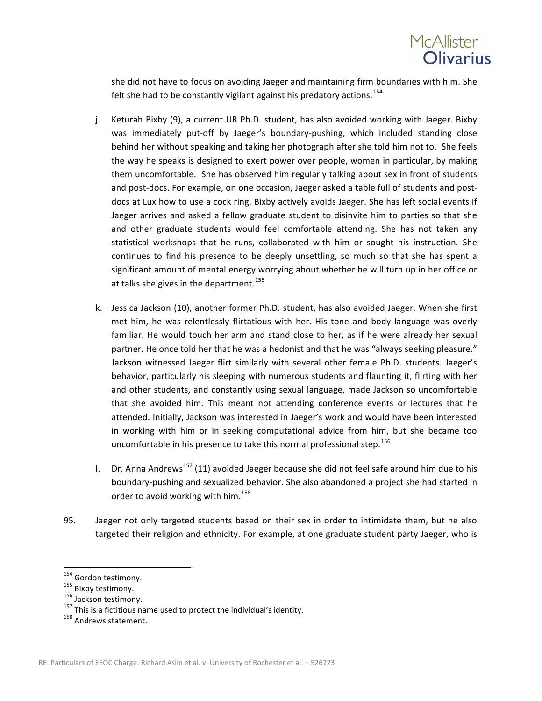

she did not have to focus on avoiding Jaeger and maintaining firm boundaries with him. She felt she had to be constantly vigilant against his predatory actions.<sup>154</sup>

- j. Keturah Bixby (9), a current UR Ph.D. student, has also avoided working with Jaeger. Bixby was immediately put-off by Jaeger's boundary-pushing, which included standing close behind her without speaking and taking her photograph after she told him not to. She feels the way he speaks is designed to exert power over people, women in particular, by making them uncomfortable. She has observed him regularly talking about sex in front of students and post-docs. For example, on one occasion, Jaeger asked a table full of students and postdocs at Lux how to use a cock ring. Bixby actively avoids Jaeger. She has left social events if Jaeger arrives and asked a fellow graduate student to disinvite him to parties so that she and other graduate students would feel comfortable attending. She has not taken any statistical workshops that he runs, collaborated with him or sought his instruction. She continues to find his presence to be deeply unsettling, so much so that she has spent a significant amount of mental energy worrying about whether he will turn up in her office or at talks she gives in the department.<sup>155</sup>
- k. Jessica Jackson (10), another former Ph.D. student, has also avoided Jaeger. When she first met him, he was relentlessly flirtatious with her. His tone and body language was overly familiar. He would touch her arm and stand close to her, as if he were already her sexual partner. He once told her that he was a hedonist and that he was "always seeking pleasure." Jackson witnessed Jaeger flirt similarly with several other female Ph.D. students. Jaeger's behavior, particularly his sleeping with numerous students and flaunting it, flirting with her and other students, and constantly using sexual language, made Jackson so uncomfortable that she avoided him. This meant not attending conference events or lectures that he attended. Initially, Jackson was interested in Jaeger's work and would have been interested in working with him or in seeking computational advice from him, but she became too uncomfortable in his presence to take this normal professional step.<sup>156</sup>
- l. Dr. Anna Andrews<sup>157</sup> (11) avoided Jaeger because she did not feel safe around him due to his boundary-pushing and sexualized behavior. She also abandoned a project she had started in order to avoid working with him.<sup>158</sup>
- 95. Jaeger not only targeted students based on their sex in order to intimidate them, but he also targeted their religion and ethnicity. For example, at one graduate student party Jaeger, who is

<sup>&</sup>lt;sup>154</sup> Gordon testimony.<br><sup>155</sup> Bixby testimony.<br><sup>156</sup> Jackson testimony.<br><sup>157</sup> This is a fictitious name used to protect the individual's identity.<br><sup>158</sup> Andrews statement.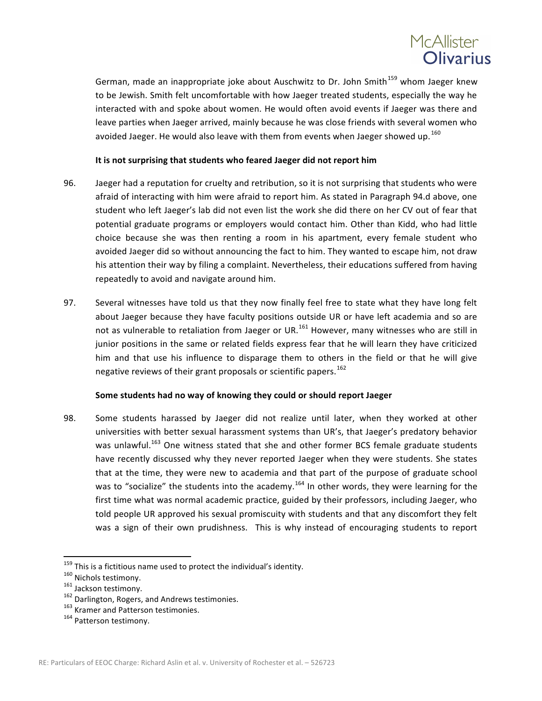

German, made an inappropriate joke about Auschwitz to Dr. John Smith<sup>159</sup> whom Jaeger knew to be Jewish. Smith felt uncomfortable with how Jaeger treated students, especially the way he interacted with and spoke about women. He would often avoid events if Jaeger was there and leave parties when Jaeger arrived, mainly because he was close friends with several women who avoided Jaeger. He would also leave with them from events when Jaeger showed up.<sup>160</sup>

#### It is not surprising that students who feared Jaeger did not report him

- 96. Jaeger had a reputation for cruelty and retribution, so it is not surprising that students who were afraid of interacting with him were afraid to report him. As stated in Paragraph 94.d above, one student who left Jaeger's lab did not even list the work she did there on her CV out of fear that potential graduate programs or employers would contact him. Other than Kidd, who had little choice because she was then renting a room in his apartment, every female student who avoided Jaeger did so without announcing the fact to him. They wanted to escape him, not draw his attention their way by filing a complaint. Nevertheless, their educations suffered from having repeatedly to avoid and navigate around him.
- 97. Several witnesses have told us that they now finally feel free to state what they have long felt about Jaeger because they have faculty positions outside UR or have left academia and so are not as vulnerable to retaliation from Jaeger or UR.<sup>161</sup> However, many witnesses who are still in junior positions in the same or related fields express fear that he will learn they have criticized him and that use his influence to disparage them to others in the field or that he will give negative reviews of their grant proposals or scientific papers.<sup>162</sup>

#### Some students had no way of knowing they could or should report Jaeger

98. Some students harassed by Jaeger did not realize until later, when they worked at other universities with better sexual harassment systems than UR's, that Jaeger's predatory behavior was unlawful.<sup>163</sup> One witness stated that she and other former BCS female graduate students have recently discussed why they never reported Jaeger when they were students. She states that at the time, they were new to academia and that part of the purpose of graduate school was to "socialize" the students into the academy.<sup>164</sup> In other words, they were learning for the first time what was normal academic practice, guided by their professors, including Jaeger, who told people UR approved his sexual promiscuity with students and that any discomfort they felt was a sign of their own prudishness. This is why instead of encouraging students to report

<sup>&</sup>lt;sup>159</sup> This is a fictitious name used to protect the individual's identity.<br><sup>160</sup> Nichols testimony.<br><sup>161</sup> Jackson testimony.<br><sup>162</sup> Darlington, Rogers, and Andrews testimonies.<br><sup>163</sup> Kramer and Patterson testimonies.<br><sup>164</sup>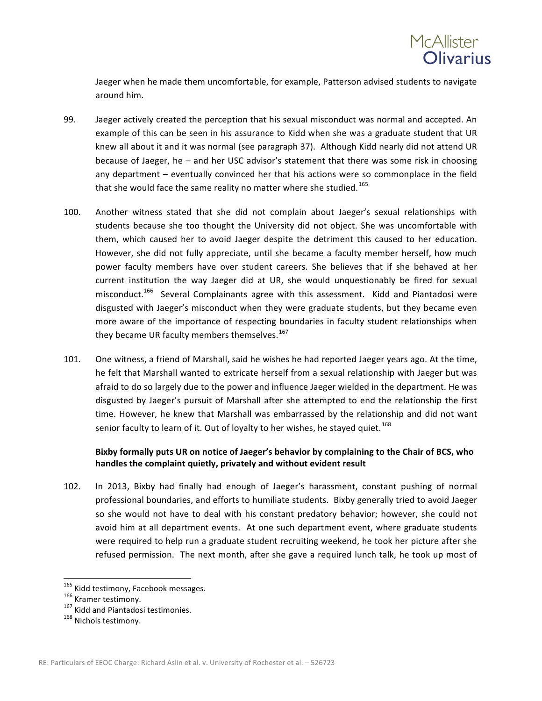

Jaeger when he made them uncomfortable, for example, Patterson advised students to navigate around him. 

- 99. Jaeger actively created the perception that his sexual misconduct was normal and accepted. An example of this can be seen in his assurance to Kidd when she was a graduate student that UR knew all about it and it was normal (see paragraph 37). Although Kidd nearly did not attend UR because of Jaeger, he – and her USC advisor's statement that there was some risk in choosing any department – eventually convinced her that his actions were so commonplace in the field that she would face the same reality no matter where she studied.<sup>165</sup>
- 100. Another witness stated that she did not complain about Jaeger's sexual relationships with students because she too thought the University did not object. She was uncomfortable with them, which caused her to avoid Jaeger despite the detriment this caused to her education. However, she did not fully appreciate, until she became a faculty member herself, how much power faculty members have over student careers. She believes that if she behaved at her current institution the way Jaeger did at UR, she would unquestionably be fired for sexual misconduct.<sup>166</sup> Several Complainants agree with this assessment. Kidd and Piantadosi were disgusted with Jaeger's misconduct when they were graduate students, but they became even more aware of the importance of respecting boundaries in faculty student relationships when they became UR faculty members themselves.<sup>167</sup>
- 101. One witness, a friend of Marshall, said he wishes he had reported Jaeger years ago. At the time, he felt that Marshall wanted to extricate herself from a sexual relationship with Jaeger but was afraid to do so largely due to the power and influence Jaeger wielded in the department. He was disgusted by Jaeger's pursuit of Marshall after she attempted to end the relationship the first time. However, he knew that Marshall was embarrassed by the relationship and did not want senior faculty to learn of it. Out of loyalty to her wishes, he stayed quiet.<sup>168</sup>

#### Bixby formally puts UR on notice of Jaeger's behavior by complaining to the Chair of BCS, who handles the complaint quietly, privately and without evident result

102. In 2013, Bixby had finally had enough of Jaeger's harassment, constant pushing of normal professional boundaries, and efforts to humiliate students. Bixby generally tried to avoid Jaeger so she would not have to deal with his constant predatory behavior; however, she could not avoid him at all department events. At one such department event, where graduate students were required to help run a graduate student recruiting weekend, he took her picture after she refused permission. The next month, after she gave a required lunch talk, he took up most of

<sup>&</sup>lt;sup>165</sup> Kidd testimony, Facebook messages.<br><sup>166</sup> Kramer testimony.<br><sup>167</sup> Kidd and Piantadosi testimonies.<br><sup>168</sup> Nichols testimony.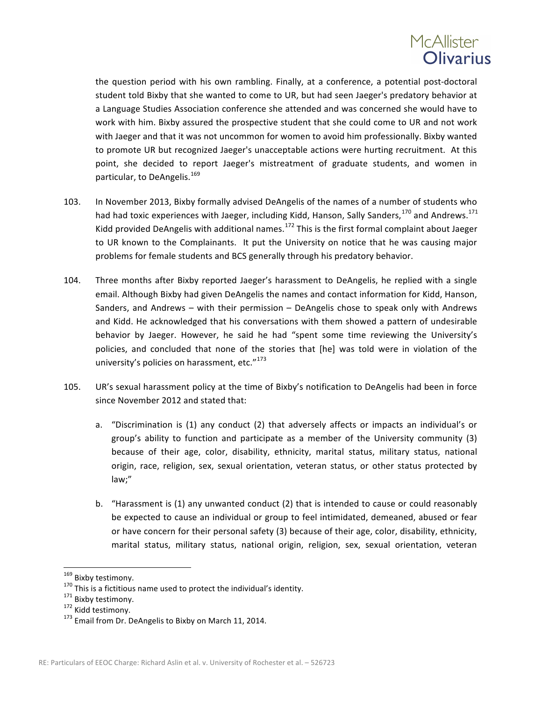

the question period with his own rambling. Finally, at a conference, a potential post-doctoral student told Bixby that she wanted to come to UR, but had seen Jaeger's predatory behavior at a Language Studies Association conference she attended and was concerned she would have to work with him. Bixby assured the prospective student that she could come to UR and not work with Jaeger and that it was not uncommon for women to avoid him professionally. Bixby wanted to promote UR but recognized Jaeger's unacceptable actions were hurting recruitment. At this point, she decided to report Jaeger's mistreatment of graduate students, and women in particular, to DeAngelis.<sup>169</sup>

- 103. In November 2013, Bixby formally advised DeAngelis of the names of a number of students who had had toxic experiences with Jaeger, including Kidd, Hanson, Sally Sanders,  $170$  and Andrews.<sup>171</sup> Kidd provided DeAngelis with additional names.<sup>172</sup> This is the first formal complaint about Jaeger to UR known to the Complainants. It put the University on notice that he was causing major problems for female students and BCS generally through his predatory behavior.
- 104. Three months after Bixby reported Jaeger's harassment to DeAngelis, he replied with a single email. Although Bixby had given DeAngelis the names and contact information for Kidd, Hanson, Sanders, and Andrews – with their permission – DeAngelis chose to speak only with Andrews and Kidd. He acknowledged that his conversations with them showed a pattern of undesirable behavior by Jaeger. However, he said he had "spent some time reviewing the University's policies, and concluded that none of the stories that [he] was told were in violation of the university's policies on harassment, etc."<sup>173</sup>
- 105. UR's sexual harassment policy at the time of Bixby's notification to DeAngelis had been in force since November 2012 and stated that:
	- a. "Discrimination is (1) any conduct (2) that adversely affects or impacts an individual's or group's ability to function and participate as a member of the University community (3) because of their age, color, disability, ethnicity, marital status, military status, national origin, race, religion, sex, sexual orientation, veteran status, or other status protected by law;"
	- b. "Harassment is (1) any unwanted conduct (2) that is intended to cause or could reasonably be expected to cause an individual or group to feel intimidated, demeaned, abused or fear or have concern for their personal safety (3) because of their age, color, disability, ethnicity, marital status, military status, national origin, religion, sex, sexual orientation, veteran

<sup>&</sup>lt;sup>169</sup> Bixby testimony.<br>
<sup>170</sup> This is a fictitious name used to protect the individual's identity.<br>
<sup>172</sup> Kidd testimony.<br>
<sup>173</sup> Email from Dr. DeAngelis to Bixby on March 11, 2014.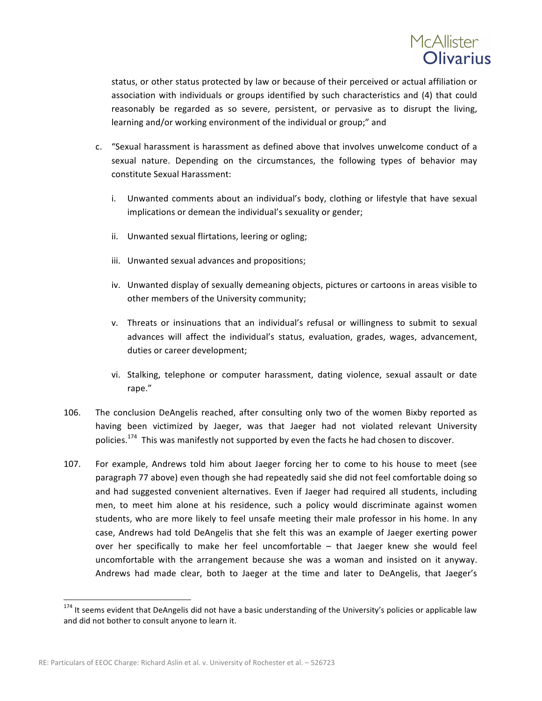

status, or other status protected by law or because of their perceived or actual affiliation or association with individuals or groups identified by such characteristics and (4) that could reasonably be regarded as so severe, persistent, or pervasive as to disrupt the living, learning and/or working environment of the individual or group;" and

- c. "Sexual harassment is harassment as defined above that involves unwelcome conduct of a sexual nature. Depending on the circumstances, the following types of behavior may constitute Sexual Harassment:
	- i. Unwanted comments about an individual's body, clothing or lifestyle that have sexual implications or demean the individual's sexuality or gender;
	- ii. Unwanted sexual flirtations, leering or ogling;
	- iii. Unwanted sexual advances and propositions;
	- iv. Unwanted display of sexually demeaning objects, pictures or cartoons in areas visible to other members of the University community;
	- v. Threats or insinuations that an individual's refusal or willingness to submit to sexual advances will affect the individual's status, evaluation, grades, wages, advancement, duties or career development;
	- vi. Stalking, telephone or computer harassment, dating violence, sexual assault or date rape."
- 106. The conclusion DeAngelis reached, after consulting only two of the women Bixby reported as having been victimized by Jaeger, was that Jaeger had not violated relevant University policies.<sup>174</sup> This was manifestly not supported by even the facts he had chosen to discover.
- 107. For example, Andrews told him about Jaeger forcing her to come to his house to meet (see paragraph 77 above) even though she had repeatedly said she did not feel comfortable doing so and had suggested convenient alternatives. Even if Jaeger had required all students, including men, to meet him alone at his residence, such a policy would discriminate against women students, who are more likely to feel unsafe meeting their male professor in his home. In any case, Andrews had told DeAngelis that she felt this was an example of Jaeger exerting power over her specifically to make her feel uncomfortable – that Jaeger knew she would feel uncomfortable with the arrangement because she was a woman and insisted on it anyway. 

 Andrews had made clear, both to Jaeger at the time and later to DeAngelis, that Jaeger's

<sup>&</sup>lt;sup>174</sup> It seems evident that DeAngelis did not have a basic understanding of the University's policies or applicable law and did not bother to consult anyone to learn it.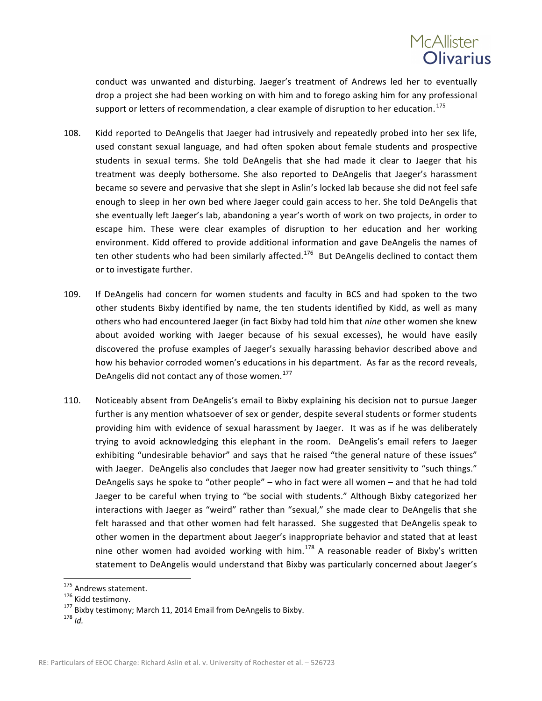

conduct was unwanted and disturbing. Jaeger's treatment of Andrews led her to eventually drop a project she had been working on with him and to forego asking him for any professional support or letters of recommendation, a clear example of disruption to her education.<sup>175</sup>

- 108. Kidd reported to DeAngelis that Jaeger had intrusively and repeatedly probed into her sex life, used constant sexual language, and had often spoken about female students and prospective students in sexual terms. She told DeAngelis that she had made it clear to Jaeger that his treatment was deeply bothersome. She also reported to DeAngelis that Jaeger's harassment became so severe and pervasive that she slept in Aslin's locked lab because she did not feel safe enough to sleep in her own bed where Jaeger could gain access to her. She told DeAngelis that she eventually left Jaeger's lab, abandoning a year's worth of work on two projects, in order to escape him. These were clear examples of disruption to her education and her working environment. Kidd offered to provide additional information and gave DeAngelis the names of ten other students who had been similarly affected.<sup>176</sup> But DeAngelis declined to contact them or to investigate further.
- 109. If DeAngelis had concern for women students and faculty in BCS and had spoken to the two other students Bixby identified by name, the ten students identified by Kidd, as well as many others who had encountered Jaeger (in fact Bixby had told him that nine other women she knew about avoided working with Jaeger because of his sexual excesses), he would have easily discovered the profuse examples of Jaeger's sexually harassing behavior described above and how his behavior corroded women's educations in his department. As far as the record reveals, DeAngelis did not contact any of those women. $177$
- 110. Noticeably absent from DeAngelis's email to Bixby explaining his decision not to pursue Jaeger further is any mention whatsoever of sex or gender, despite several students or former students providing him with evidence of sexual harassment by Jaeger. It was as if he was deliberately trying to avoid acknowledging this elephant in the room. DeAngelis's email refers to Jaeger exhibiting "undesirable behavior" and says that he raised "the general nature of these issues" with Jaeger. DeAngelis also concludes that Jaeger now had greater sensitivity to "such things." DeAngelis says he spoke to "other people" – who in fact were all women – and that he had told Jaeger to be careful when trying to "be social with students." Although Bixby categorized her interactions with Jaeger as "weird" rather than "sexual," she made clear to DeAngelis that she felt harassed and that other women had felt harassed. She suggested that DeAngelis speak to other women in the department about Jaeger's inappropriate behavior and stated that at least nine other women had avoided working with him. $178$  A reasonable reader of Bixby's written statement to DeAngelis would understand that Bixby was particularly concerned about Jaeger's

 $175$  Andrews statement.

<sup>176</sup> Kidd testimony.<br>
<sup>176</sup> Kidd testimony: March 11, 2014 Email from DeAngelis to Bixby.<br>
<sup>178</sup> Id.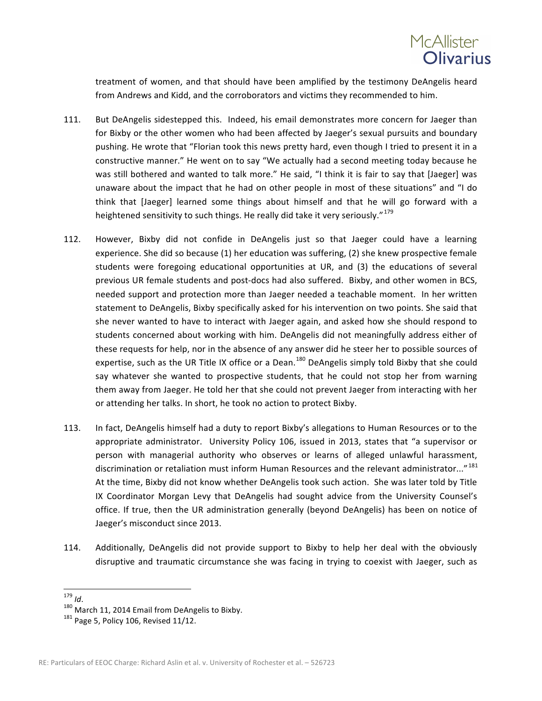

treatment of women, and that should have been amplified by the testimony DeAngelis heard from Andrews and Kidd, and the corroborators and victims they recommended to him. 

- 111. But DeAngelis sidestepped this. Indeed, his email demonstrates more concern for Jaeger than for Bixby or the other women who had been affected by Jaeger's sexual pursuits and boundary pushing. He wrote that "Florian took this news pretty hard, even though I tried to present it in a constructive manner." He went on to say "We actually had a second meeting today because he was still bothered and wanted to talk more." He said, "I think it is fair to say that [Jaeger] was unaware about the impact that he had on other people in most of these situations" and "I do think that [Jaeger] learned some things about himself and that he will go forward with a heightened sensitivity to such things. He really did take it very seriously."<sup>179</sup>
- 112. However, Bixby did not confide in DeAngelis just so that Jaeger could have a learning experience. She did so because (1) her education was suffering, (2) she knew prospective female students were foregoing educational opportunities at UR, and (3) the educations of several previous UR female students and post-docs had also suffered. Bixby, and other women in BCS, needed support and protection more than Jaeger needed a teachable moment. In her written statement to DeAngelis, Bixby specifically asked for his intervention on two points. She said that she never wanted to have to interact with Jaeger again, and asked how she should respond to students concerned about working with him. DeAngelis did not meaningfully address either of these requests for help, nor in the absence of any answer did he steer her to possible sources of expertise, such as the UR Title IX office or a Dean.<sup>180</sup> DeAngelis simply told Bixby that she could say whatever she wanted to prospective students, that he could not stop her from warning them away from Jaeger. He told her that she could not prevent Jaeger from interacting with her or attending her talks. In short, he took no action to protect Bixby.
- 113. In fact, DeAngelis himself had a duty to report Bixby's allegations to Human Resources or to the appropriate administrator. University Policy 106, issued in 2013, states that "a supervisor or person with managerial authority who observes or learns of alleged unlawful harassment, discrimination or retaliation must inform Human Resources and the relevant administrator..."<sup>181</sup> At the time, Bixby did not know whether DeAngelis took such action. She was later told by Title IX Coordinator Morgan Levy that DeAngelis had sought advice from the University Counsel's office. If true, then the UR administration generally (beyond DeAngelis) has been on notice of Jaeger's misconduct since 2013.
- 114. Additionally, DeAngelis did not provide support to Bixby to help her deal with the obviously disruptive and traumatic circumstance she was facing in trying to coexist with Jaeger, such as
- 

 $\frac{179}{179}$  *Id.* 180 March 11, 2014 Email from DeAngelis to Bixby.<br><sup>181</sup> Page 5, Policy 106, Revised 11/12.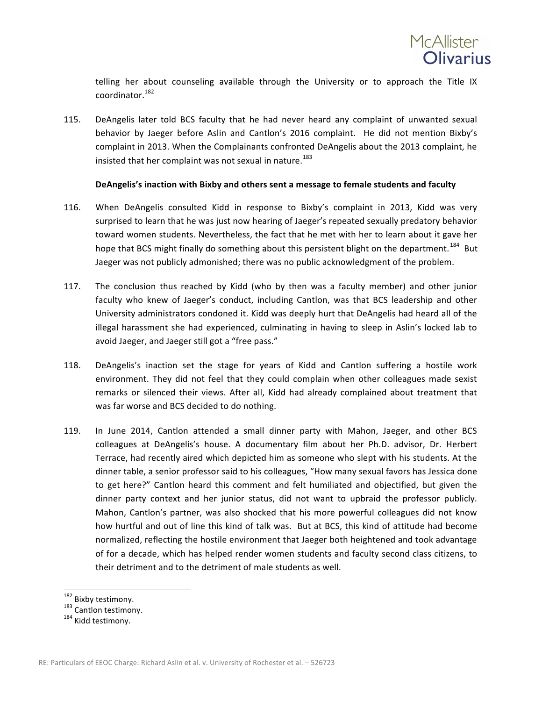

telling her about counseling available through the University or to approach the Title IX coordinator.<sup>182</sup>

115. DeAngelis later told BCS faculty that he had never heard any complaint of unwanted sexual behavior by Jaeger before Aslin and Cantlon's 2016 complaint. He did not mention Bixby's complaint in 2013. When the Complainants confronted DeAngelis about the 2013 complaint, he insisted that her complaint was not sexual in nature.<sup>183</sup>

# DeAngelis's inaction with Bixby and others sent a message to female students and faculty

- 116. When DeAngelis consulted Kidd in response to Bixby's complaint in 2013, Kidd was very surprised to learn that he was just now hearing of Jaeger's repeated sexually predatory behavior toward women students. Nevertheless, the fact that he met with her to learn about it gave her hope that BCS might finally do something about this persistent blight on the department.<sup>184</sup> But Jaeger was not publicly admonished; there was no public acknowledgment of the problem.
- 117. The conclusion thus reached by Kidd (who by then was a faculty member) and other junior faculty who knew of Jaeger's conduct, including Cantlon, was that BCS leadership and other University administrators condoned it. Kidd was deeply hurt that DeAngelis had heard all of the illegal harassment she had experienced, culminating in having to sleep in Aslin's locked lab to avoid Jaeger, and Jaeger still got a "free pass."
- 118. DeAngelis's inaction set the stage for years of Kidd and Cantlon suffering a hostile work environment. They did not feel that they could complain when other colleagues made sexist remarks or silenced their views. After all, Kidd had already complained about treatment that was far worse and BCS decided to do nothing.
- 119. In June 2014, Cantlon attended a small dinner party with Mahon, Jaeger, and other BCS colleagues at DeAngelis's house. A documentary film about her Ph.D. advisor, Dr. Herbert Terrace, had recently aired which depicted him as someone who slept with his students. At the dinner table, a senior professor said to his colleagues, "How many sexual favors has Jessica done to get here?" Cantlon heard this comment and felt humiliated and objectified, but given the dinner party context and her junior status, did not want to upbraid the professor publicly. Mahon, Cantlon's partner, was also shocked that his more powerful colleagues did not know how hurtful and out of line this kind of talk was. But at BCS, this kind of attitude had become normalized, reflecting the hostile environment that Jaeger both heightened and took advantage of for a decade, which has helped render women students and faculty second class citizens, to their detriment and to the detriment of male students as well.
- <sup>182</sup> Bixby testimony.

 $\frac{183}{184}$  Cantlon testimony.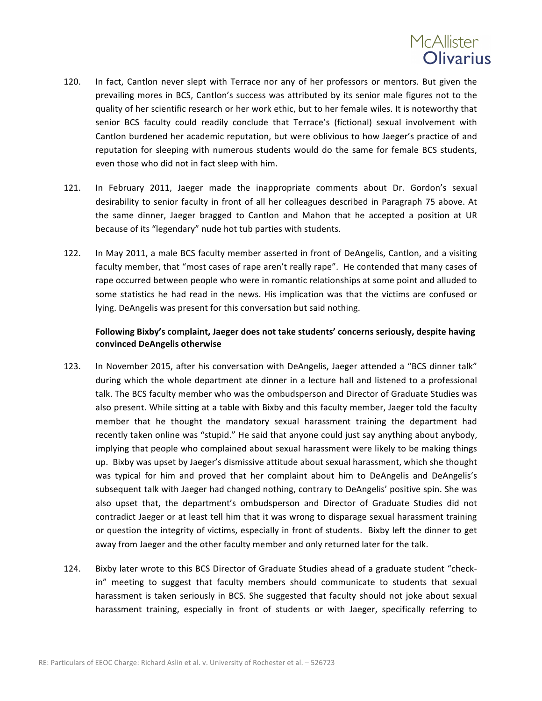

- 120. In fact, Cantlon never slept with Terrace nor any of her professors or mentors. But given the prevailing mores in BCS, Cantlon's success was attributed by its senior male figures not to the quality of her scientific research or her work ethic, but to her female wiles. It is noteworthy that senior BCS faculty could readily conclude that Terrace's (fictional) sexual involvement with Cantlon burdened her academic reputation, but were oblivious to how Jaeger's practice of and reputation for sleeping with numerous students would do the same for female BCS students, even those who did not in fact sleep with him.
- 121. In February 2011, Jaeger made the inappropriate comments about Dr. Gordon's sexual desirability to senior faculty in front of all her colleagues described in Paragraph 75 above. At the same dinner, Jaeger bragged to Cantlon and Mahon that he accepted a position at UR because of its "legendary" nude hot tub parties with students.
- 122. In May 2011, a male BCS faculty member asserted in front of DeAngelis, Cantlon, and a visiting faculty member, that "most cases of rape aren't really rape". He contended that many cases of rape occurred between people who were in romantic relationships at some point and alluded to some statistics he had read in the news. His implication was that the victims are confused or lying. DeAngelis was present for this conversation but said nothing.

# Following Bixby's complaint, Jaeger does not take students' concerns seriously, despite having convinced DeAngelis otherwise

- 123. In November 2015, after his conversation with DeAngelis, Jaeger attended a "BCS dinner talk" during which the whole department ate dinner in a lecture hall and listened to a professional talk. The BCS faculty member who was the ombudsperson and Director of Graduate Studies was also present. While sitting at a table with Bixby and this faculty member, Jaeger told the faculty member that he thought the mandatory sexual harassment training the department had recently taken online was "stupid." He said that anyone could just say anything about anybody, implying that people who complained about sexual harassment were likely to be making things up. Bixby was upset by Jaeger's dismissive attitude about sexual harassment, which she thought was typical for him and proved that her complaint about him to DeAngelis and DeAngelis's subsequent talk with Jaeger had changed nothing, contrary to DeAngelis' positive spin. She was also upset that, the department's ombudsperson and Director of Graduate Studies did not contradict Jaeger or at least tell him that it was wrong to disparage sexual harassment training or question the integrity of victims, especially in front of students. Bixby left the dinner to get away from Jaeger and the other faculty member and only returned later for the talk.
- 124. Bixby later wrote to this BCS Director of Graduate Studies ahead of a graduate student "checkin" meeting to suggest that faculty members should communicate to students that sexual harassment is taken seriously in BCS. She suggested that faculty should not joke about sexual harassment training, especially in front of students or with Jaeger, specifically referring to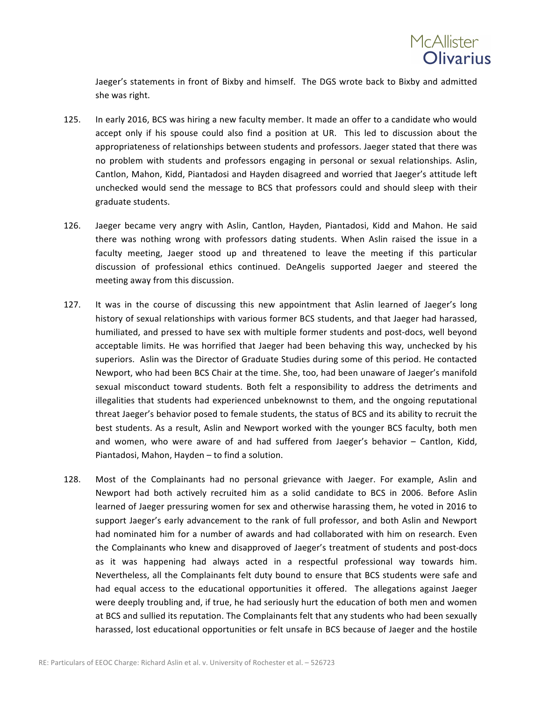

Jaeger's statements in front of Bixby and himself. The DGS wrote back to Bixby and admitted she was right. 

- 125. In early 2016, BCS was hiring a new faculty member. It made an offer to a candidate who would accept only if his spouse could also find a position at UR. This led to discussion about the appropriateness of relationships between students and professors. Jaeger stated that there was no problem with students and professors engaging in personal or sexual relationships. Aslin, Cantlon, Mahon, Kidd, Piantadosi and Hayden disagreed and worried that Jaeger's attitude left unchecked would send the message to BCS that professors could and should sleep with their graduate students.
- 126. Jaeger became very angry with Aslin, Cantlon, Hayden, Piantadosi, Kidd and Mahon. He said there was nothing wrong with professors dating students. When Aslin raised the issue in a faculty meeting, Jaeger stood up and threatened to leave the meeting if this particular discussion of professional ethics continued. DeAngelis supported Jaeger and steered the meeting away from this discussion.
- 127. It was in the course of discussing this new appointment that Aslin learned of Jaeger's long history of sexual relationships with various former BCS students, and that Jaeger had harassed, humiliated, and pressed to have sex with multiple former students and post-docs, well beyond acceptable limits. He was horrified that Jaeger had been behaving this way, unchecked by his superiors. Aslin was the Director of Graduate Studies during some of this period. He contacted Newport, who had been BCS Chair at the time. She, too, had been unaware of Jaeger's manifold sexual misconduct toward students. Both felt a responsibility to address the detriments and illegalities that students had experienced unbeknownst to them, and the ongoing reputational threat Jaeger's behavior posed to female students, the status of BCS and its ability to recruit the best students. As a result, Aslin and Newport worked with the younger BCS faculty, both men and women, who were aware of and had suffered from Jaeger's behavior – Cantlon, Kidd, Piantadosi, Mahon, Hayden – to find a solution.
- 128. Most of the Complainants had no personal grievance with Jaeger. For example, Aslin and Newport had both actively recruited him as a solid candidate to BCS in 2006. Before Aslin learned of Jaeger pressuring women for sex and otherwise harassing them, he voted in 2016 to support Jaeger's early advancement to the rank of full professor, and both Aslin and Newport had nominated him for a number of awards and had collaborated with him on research. Even the Complainants who knew and disapproved of Jaeger's treatment of students and post-docs as it was happening had always acted in a respectful professional way towards him. Nevertheless, all the Complainants felt duty bound to ensure that BCS students were safe and had equal access to the educational opportunities it offered. The allegations against Jaeger were deeply troubling and, if true, he had seriously hurt the education of both men and women at BCS and sullied its reputation. The Complainants felt that any students who had been sexually harassed, lost educational opportunities or felt unsafe in BCS because of Jaeger and the hostile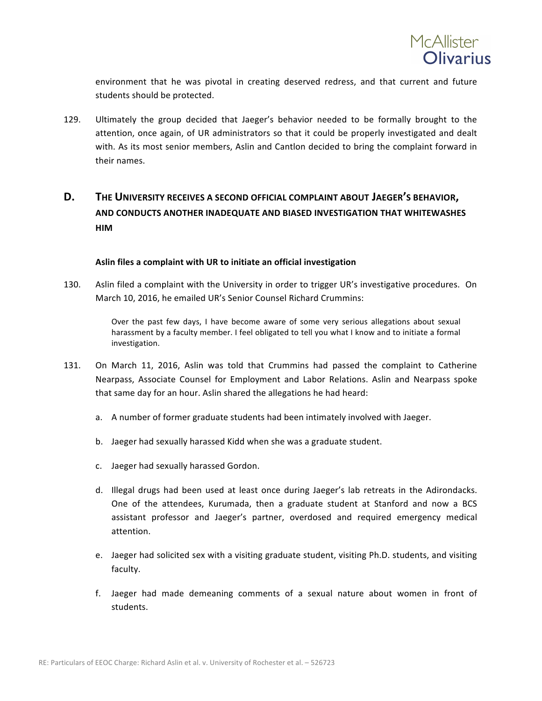

environment that he was pivotal in creating deserved redress, and that current and future students should be protected. 

129. Ultimately the group decided that Jaeger's behavior needed to be formally brought to the attention, once again, of UR administrators so that it could be properly investigated and dealt with. As its most senior members, Aslin and Cantlon decided to bring the complaint forward in their names.

# D. THE UNIVERSITY RECEIVES A SECOND OFFICIAL COMPLAINT ABOUT JAEGER'S BEHAVIOR, AND CONDUCTS ANOTHER INADEQUATE AND BIASED INVESTIGATION THAT WHITEWASHES HIM

#### Aslin files a complaint with UR to initiate an official investigation

130. Aslin filed a complaint with the University in order to trigger UR's investigative procedures. On March 10, 2016, he emailed UR's Senior Counsel Richard Crummins:

> Over the past few days, I have become aware of some very serious allegations about sexual harassment by a faculty member. I feel obligated to tell you what I know and to initiate a formal investigation.

- 131. On March 11, 2016, Aslin was told that Crummins had passed the complaint to Catherine Nearpass, Associate Counsel for Employment and Labor Relations. Aslin and Nearpass spoke that same day for an hour. Aslin shared the allegations he had heard:
	- a. A number of former graduate students had been intimately involved with Jaeger.
	- b. Jaeger had sexually harassed Kidd when she was a graduate student.
	- c. Jaeger had sexually harassed Gordon.
	- d. Illegal drugs had been used at least once during Jaeger's lab retreats in the Adirondacks. One of the attendees, Kurumada, then a graduate student at Stanford and now a BCS assistant professor and Jaeger's partner, overdosed and required emergency medical attention.
	- e. Jaeger had solicited sex with a visiting graduate student, visiting Ph.D. students, and visiting faculty.
	- f. Jaeger had made demeaning comments of a sexual nature about women in front of students.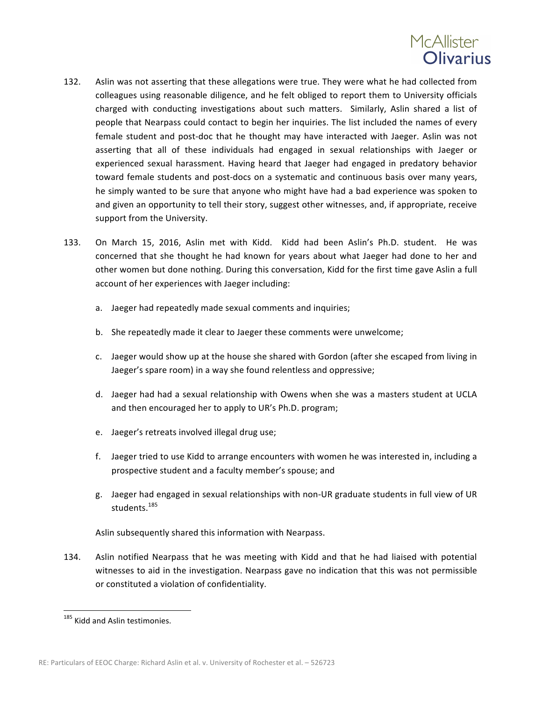

- 132. Aslin was not asserting that these allegations were true. They were what he had collected from colleagues using reasonable diligence, and he felt obliged to report them to University officials charged with conducting investigations about such matters. Similarly, Aslin shared a list of people that Nearpass could contact to begin her inquiries. The list included the names of every female student and post-doc that he thought may have interacted with Jaeger. Aslin was not asserting that all of these individuals had engaged in sexual relationships with Jaeger or experienced sexual harassment. Having heard that Jaeger had engaged in predatory behavior toward female students and post-docs on a systematic and continuous basis over many years, he simply wanted to be sure that anyone who might have had a bad experience was spoken to and given an opportunity to tell their story, suggest other witnesses, and, if appropriate, receive support from the University.
- 133. On March 15, 2016, Aslin met with Kidd. Kidd had been Aslin's Ph.D. student. He was concerned that she thought he had known for years about what Jaeger had done to her and other women but done nothing. During this conversation, Kidd for the first time gave Aslin a full account of her experiences with Jaeger including:
	- a. Jaeger had repeatedly made sexual comments and inquiries;
	- b. She repeatedly made it clear to Jaeger these comments were unwelcome;
	- c. Jaeger would show up at the house she shared with Gordon (after she escaped from living in Jaeger's spare room) in a way she found relentless and oppressive;
	- d. Jaeger had had a sexual relationship with Owens when she was a masters student at UCLA and then encouraged her to apply to UR's Ph.D. program;
	- e. Jaeger's retreats involved illegal drug use;
	- f. Jaeger tried to use Kidd to arrange encounters with women he was interested in, including a prospective student and a faculty member's spouse; and
	- g. Jaeger had engaged in sexual relationships with non-UR graduate students in full view of UR students.<sup>185</sup>

Aslin subsequently shared this information with Nearpass. 

134. Aslin notified Nearpass that he was meeting with Kidd and that he had liaised with potential witnesses to aid in the investigation. Nearpass gave no indication that this was not permissible or constituted a violation of confidentiality.

<sup>&</sup>lt;sup>185</sup> Kidd and Aslin testimonies.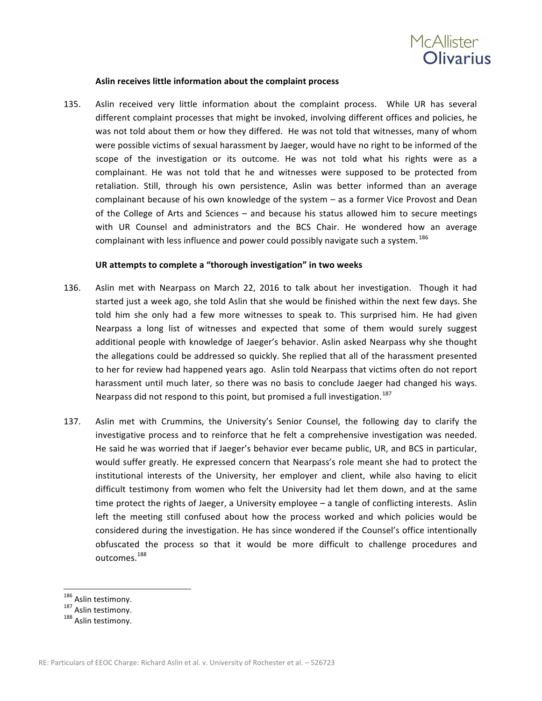

#### Aslin receives little information about the complaint process

135. Aslin received very little information about the complaint process. While UR has several different complaint processes that might be invoked, involving different offices and policies, he was not told about them or how they differed. He was not told that witnesses, many of whom were possible victims of sexual harassment by Jaeger, would have no right to be informed of the scope of the investigation or its outcome. He was not told what his rights were as a complainant. He was not told that he and witnesses were supposed to be protected from retaliation. Still, through his own persistence, Aslin was better informed than an average complainant because of his own knowledge of the system – as a former Vice Provost and Dean of the College of Arts and Sciences – and because his status allowed him to secure meetings with UR Counsel and administrators and the BCS Chair. He wondered how an average complainant with less influence and power could possibly navigate such a system.<sup>186</sup>

#### UR attempts to complete a "thorough investigation" in two weeks

- 136. Aslin met with Nearpass on March 22, 2016 to talk about her investigation. Though it had started just a week ago, she told Aslin that she would be finished within the next few days. She told him she only had a few more witnesses to speak to. This surprised him. He had given Nearpass a long list of witnesses and expected that some of them would surely suggest additional people with knowledge of Jaeger's behavior. Aslin asked Nearpass why she thought the allegations could be addressed so quickly. She replied that all of the harassment presented to her for review had happened years ago. Aslin told Nearpass that victims often do not report harassment until much later, so there was no basis to conclude Jaeger had changed his ways. 

 Nearpass did not respond to this point, but promised a full investigation.<sup>187</sup>
- 137. Aslin met with Crummins, the University's Senior Counsel, the following day to clarify the investigative process and to reinforce that he felt a comprehensive investigation was needed. He said he was worried that if Jaeger's behavior ever became public, UR, and BCS in particular, would suffer greatly. He expressed concern that Nearpass's role meant she had to protect the institutional interests of the University, her employer and client, while also having to elicit difficult testimony from women who felt the University had let them down, and at the same time protect the rights of Jaeger, a University employee  $-$  a tangle of conflicting interests. Aslin left the meeting still confused about how the process worked and which policies would be considered during the investigation. He has since wondered if the Counsel's office intentionally obfuscated the process so that it would be more difficult to challenge procedures and outcomes.<sup>188</sup>
- $^{186}$  Aslin testimony.

 $187$  Aslin testimony.<br> $188$  Aslin testimony.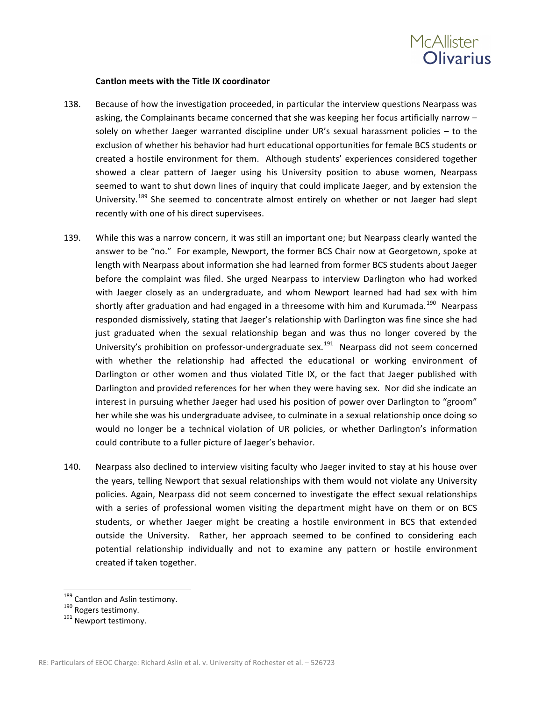

#### Cantlon meets with the Title IX coordinator

- 138. Because of how the investigation proceeded, in particular the interview questions Nearpass was asking, the Complainants became concerned that she was keeping her focus artificially narrow – solely on whether Jaeger warranted discipline under UR's sexual harassment policies – to the exclusion of whether his behavior had hurt educational opportunities for female BCS students or created a hostile environment for them. Although students' experiences considered together showed a clear pattern of Jaeger using his University position to abuse women, Nearpass seemed to want to shut down lines of inquiry that could implicate Jaeger, and by extension the University.<sup>189</sup> She seemed to concentrate almost entirely on whether or not Jaeger had slept recently with one of his direct supervisees.
- 139. While this was a narrow concern, it was still an important one; but Nearpass clearly wanted the answer to be "no." For example, Newport, the former BCS Chair now at Georgetown, spoke at length with Nearpass about information she had learned from former BCS students about Jaeger before the complaint was filed. She urged Nearpass to interview Darlington who had worked with Jaeger closely as an undergraduate, and whom Newport learned had had sex with him shortly after graduation and had engaged in a threesome with him and Kurumada.<sup>190</sup> Nearpass responded dismissively, stating that Jaeger's relationship with Darlington was fine since she had just graduated when the sexual relationship began and was thus no longer covered by the University's prohibition on professor-undergraduate sex.<sup>191</sup> Nearpass did not seem concerned with whether the relationship had affected the educational or working environment of Darlington or other women and thus violated Title IX, or the fact that Jaeger published with Darlington and provided references for her when they were having sex. Nor did she indicate an interest in pursuing whether Jaeger had used his position of power over Darlington to "groom" her while she was his undergraduate advisee, to culminate in a sexual relationship once doing so would no longer be a technical violation of UR policies, or whether Darlington's information could contribute to a fuller picture of Jaeger's behavior.
- 140. Nearpass also declined to interview visiting faculty who Jaeger invited to stay at his house over the years, telling Newport that sexual relationships with them would not violate any University policies. Again, Nearpass did not seem concerned to investigate the effect sexual relationships with a series of professional women visiting the department might have on them or on BCS students, or whether Jaeger might be creating a hostile environment in BCS that extended outside the University. Rather, her approach seemed to be confined to considering each potential relationship individually and not to examine any pattern or hostile environment created if taken together.

 <sup>189</sup> Cantlon and Aslin testimony.<br><sup>190</sup> Rogers testimony.<br><sup>191</sup> Newport testimony.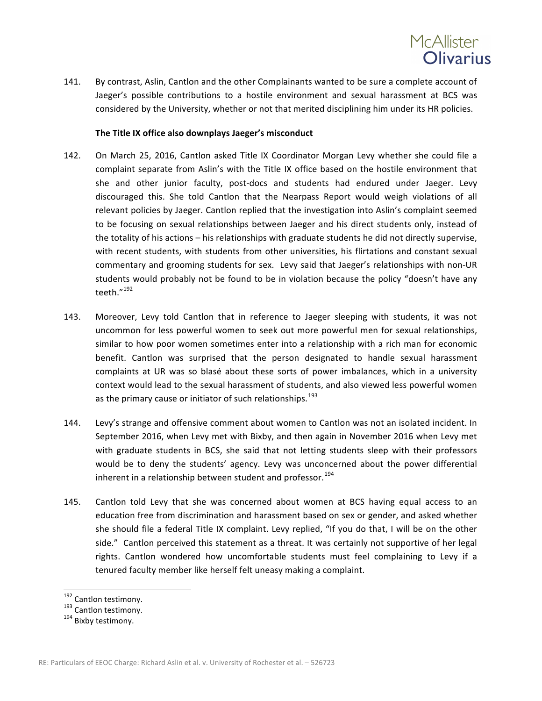

141. By contrast, Aslin, Cantlon and the other Complainants wanted to be sure a complete account of Jaeger's possible contributions to a hostile environment and sexual harassment at BCS was considered by the University, whether or not that merited disciplining him under its HR policies. 

# The Title IX office also downplays Jaeger's misconduct

- 142. On March 25, 2016, Cantlon asked Title IX Coordinator Morgan Levy whether she could file a complaint separate from Aslin's with the Title IX office based on the hostile environment that she and other junior faculty, post-docs and students had endured under Jaeger. Levy discouraged this. She told Cantlon that the Nearpass Report would weigh violations of all relevant policies by Jaeger. Cantlon replied that the investigation into Aslin's complaint seemed to be focusing on sexual relationships between Jaeger and his direct students only, instead of the totality of his actions – his relationships with graduate students he did not directly supervise, with recent students, with students from other universities, his flirtations and constant sexual commentary and grooming students for sex. Levy said that Jaeger's relationships with non-UR students would probably not be found to be in violation because the policy "doesn't have any teeth."<sup>192</sup>
- 143. Moreover, Levy told Cantlon that in reference to Jaeger sleeping with students, it was not uncommon for less powerful women to seek out more powerful men for sexual relationships, similar to how poor women sometimes enter into a relationship with a rich man for economic benefit. Cantlon was surprised that the person designated to handle sexual harassment complaints at UR was so blasé about these sorts of power imbalances, which in a university context would lead to the sexual harassment of students, and also viewed less powerful women as the primary cause or initiator of such relationships.<sup>193</sup>
- 144. Levy's strange and offensive comment about women to Cantlon was not an isolated incident. In September 2016, when Levy met with Bixby, and then again in November 2016 when Levy met with graduate students in BCS, she said that not letting students sleep with their professors would be to deny the students' agency. Levy was unconcerned about the power differential inherent in a relationship between student and professor.<sup>194</sup>
- 145. Cantlon told Levy that she was concerned about women at BCS having equal access to an education free from discrimination and harassment based on sex or gender, and asked whether she should file a federal Title IX complaint. Levy replied, "If you do that, I will be on the other side." Cantlon perceived this statement as a threat. It was certainly not supportive of her legal rights. Cantlon wondered how uncomfortable students must feel complaining to Levy if a tenured faculty member like herself felt uneasy making a complaint.

<sup>&</sup>lt;sup>192</sup> Cantlon testimony.

 $\frac{193}{2}$  Cantlon testimony.<br> $\frac{194}{2}$  Bixby testimony.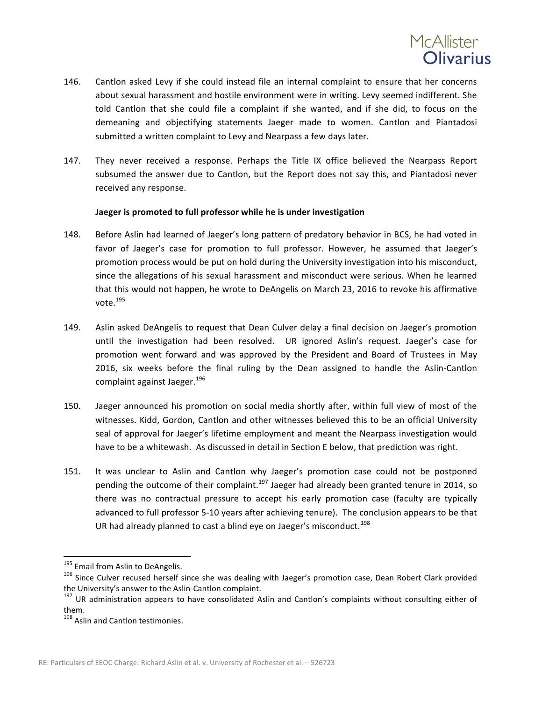

- 146. Cantlon asked Levy if she could instead file an internal complaint to ensure that her concerns about sexual harassment and hostile environment were in writing. Levy seemed indifferent. She told Cantlon that she could file a complaint if she wanted, and if she did, to focus on the demeaning and objectifying statements Jaeger made to women. Cantlon and Piantadosi submitted a written complaint to Levy and Nearpass a few days later.
- 147. They never received a response. Perhaps the Title IX office believed the Nearpass Report subsumed the answer due to Cantlon, but the Report does not say this, and Piantadosi never received any response.

#### Jaeger is promoted to full professor while he is under investigation

- 148. Before Aslin had learned of Jaeger's long pattern of predatory behavior in BCS, he had voted in favor of Jaeger's case for promotion to full professor. However, he assumed that Jaeger's promotion process would be put on hold during the University investigation into his misconduct, since the allegations of his sexual harassment and misconduct were serious. When he learned that this would not happen, he wrote to DeAngelis on March 23, 2016 to revoke his affirmative vote.<sup>195</sup>
- 149. Aslin asked DeAngelis to request that Dean Culver delay a final decision on Jaeger's promotion until the investigation had been resolved. UR ignored Aslin's request. Jaeger's case for promotion went forward and was approved by the President and Board of Trustees in May 2016, six weeks before the final ruling by the Dean assigned to handle the Aslin-Cantlon complaint against Jaeger.<sup>196</sup>
- 150. Jaeger announced his promotion on social media shortly after, within full view of most of the witnesses. Kidd, Gordon, Cantlon and other witnesses believed this to be an official University seal of approval for Jaeger's lifetime employment and meant the Nearpass investigation would have to be a whitewash. As discussed in detail in Section E below, that prediction was right.
- 151. It was unclear to Aslin and Cantlon why Jaeger's promotion case could not be postponed pending the outcome of their complaint.<sup>197</sup> Jaeger had already been granted tenure in 2014, so there was no contractual pressure to accept his early promotion case (faculty are typically advanced to full professor 5-10 years after achieving tenure). The conclusion appears to be that UR had already planned to cast a blind eye on Jaeger's misconduct.<sup>198</sup>

<sup>&</sup>lt;sup>195</sup> Email from Aslin to DeAngelis.

<sup>&</sup>lt;sup>196</sup> Since Culver recused herself since she was dealing with Jaeger's promotion case, Dean Robert Clark provided

the University's answer to the Aslin-Cantlon complaint.<br><sup>197</sup> UR administration appears to have consolidated Aslin and Cantlon's complaints without consulting either of them.

<sup>&</sup>lt;sup>198</sup> Aslin and Cantlon testimonies.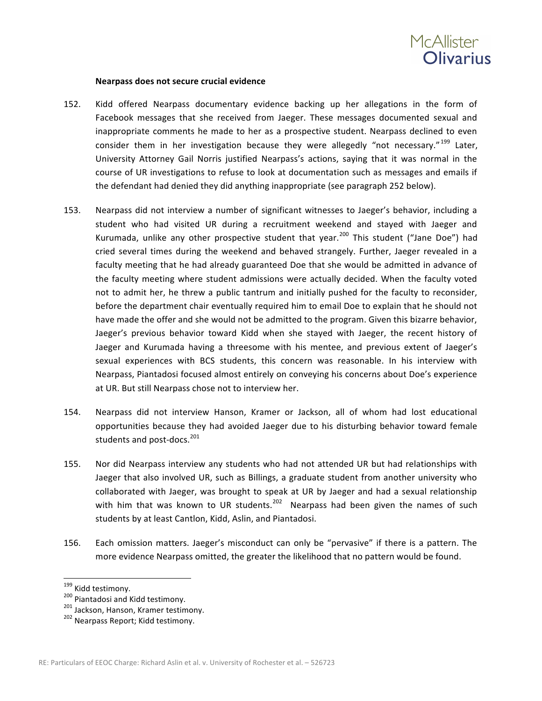

#### Nearpass does not secure crucial evidence

- 152. Kidd offered Nearpass documentary evidence backing up her allegations in the form of Facebook messages that she received from Jaeger. These messages documented sexual and inappropriate comments he made to her as a prospective student. Nearpass declined to even consider them in her investigation because they were allegedly "not necessary."<sup>199</sup> Later, University Attorney Gail Norris justified Nearpass's actions, saying that it was normal in the course of UR investigations to refuse to look at documentation such as messages and emails if the defendant had denied they did anything inappropriate (see paragraph 252 below).
- 153. Nearpass did not interview a number of significant witnesses to Jaeger's behavior, including a student who had visited UR during a recruitment weekend and stayed with Jaeger and Kurumada, unlike any other prospective student that year.<sup>200</sup> This student ("Jane Doe") had cried several times during the weekend and behaved strangely. Further, Jaeger revealed in a faculty meeting that he had already guaranteed Doe that she would be admitted in advance of the faculty meeting where student admissions were actually decided. When the faculty voted not to admit her, he threw a public tantrum and initially pushed for the faculty to reconsider, before the department chair eventually required him to email Doe to explain that he should not have made the offer and she would not be admitted to the program. Given this bizarre behavior, Jaeger's previous behavior toward Kidd when she stayed with Jaeger, the recent history of Jaeger and Kurumada having a threesome with his mentee, and previous extent of Jaeger's sexual experiences with BCS students, this concern was reasonable. In his interview with Nearpass, Piantadosi focused almost entirely on conveying his concerns about Doe's experience at UR. But still Nearpass chose not to interview her.
- 154. Nearpass did not interview Hanson, Kramer or Jackson, all of whom had lost educational opportunities because they had avoided Jaeger due to his disturbing behavior toward female students and post-docs.<sup>201</sup>
- 155. Nor did Nearpass interview any students who had not attended UR but had relationships with Jaeger that also involved UR, such as Billings, a graduate student from another university who collaborated with Jaeger, was brought to speak at UR by Jaeger and had a sexual relationship with him that was known to UR students.<sup>202</sup> Nearpass had been given the names of such students by at least Cantlon, Kidd, Aslin, and Piantadosi.
- 156. Each omission matters. Jaeger's misconduct can only be "pervasive" if there is a pattern. The more evidence Nearpass omitted, the greater the likelihood that no pattern would be found.

<sup>&</sup>lt;sup>199</sup> Kidd testimony.<br><sup>200</sup> Piantadosi and Kidd testimony.<br><sup>201</sup> Jackson, Hanson, Kramer testimony.<br><sup>202</sup> Nearpass Report; Kidd testimony.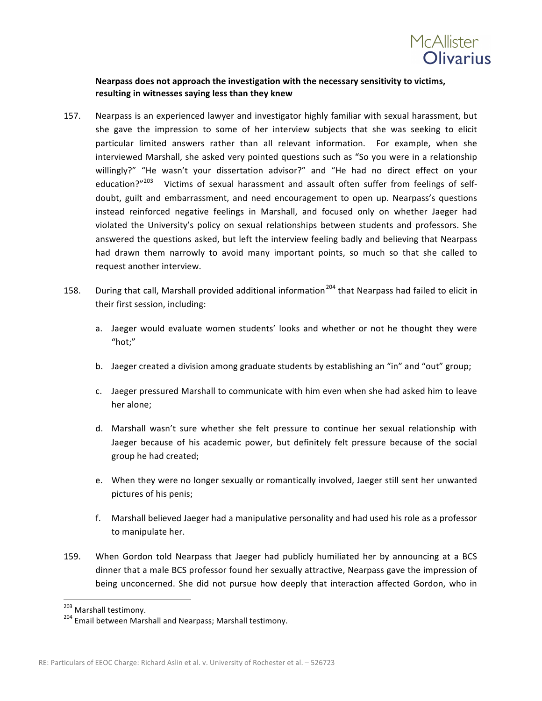

Nearpass does not approach the investigation with the necessary sensitivity to victims, resulting in witnesses saying less than they knew

- 157. Nearpass is an experienced lawyer and investigator highly familiar with sexual harassment, but she gave the impression to some of her interview subjects that she was seeking to elicit particular limited answers rather than all relevant information. For example, when she interviewed Marshall, she asked very pointed questions such as "So you were in a relationship willingly?" "He wasn't your dissertation advisor?" and "He had no direct effect on your education?"<sup>203</sup> Victims of sexual harassment and assault often suffer from feelings of selfdoubt, guilt and embarrassment, and need encouragement to open up. Nearpass's questions instead reinforced negative feelings in Marshall, and focused only on whether Jaeger had violated the University's policy on sexual relationships between students and professors. She answered the questions asked, but left the interview feeling badly and believing that Nearpass had drawn them narrowly to avoid many important points, so much so that she called to request another interview.
- 158. During that call, Marshall provided additional information<sup>204</sup> that Nearpass had failed to elicit in their first session, including:
	- a. Jaeger would evaluate women students' looks and whether or not he thought they were "hot;"
	- b. Jaeger created a division among graduate students by establishing an "in" and "out" group;
	- c. Jaeger pressured Marshall to communicate with him even when she had asked him to leave her alone;
	- d. Marshall wasn't sure whether she felt pressure to continue her sexual relationship with Jaeger because of his academic power, but definitely felt pressure because of the social group he had created;
	- e. When they were no longer sexually or romantically involved, Jaeger still sent her unwanted pictures of his penis;
	- f. Marshall believed Jaeger had a manipulative personality and had used his role as a professor to manipulate her.
- 159. When Gordon told Nearpass that Jaeger had publicly humiliated her by announcing at a BCS dinner that a male BCS professor found her sexually attractive, Nearpass gave the impression of being unconcerned. She did not pursue how deeply that interaction affected Gordon, who in

<sup>&</sup>lt;sup>203</sup> Marshall testimony.

<sup>&</sup>lt;sup>204</sup> Email between Marshall and Nearpass; Marshall testimony.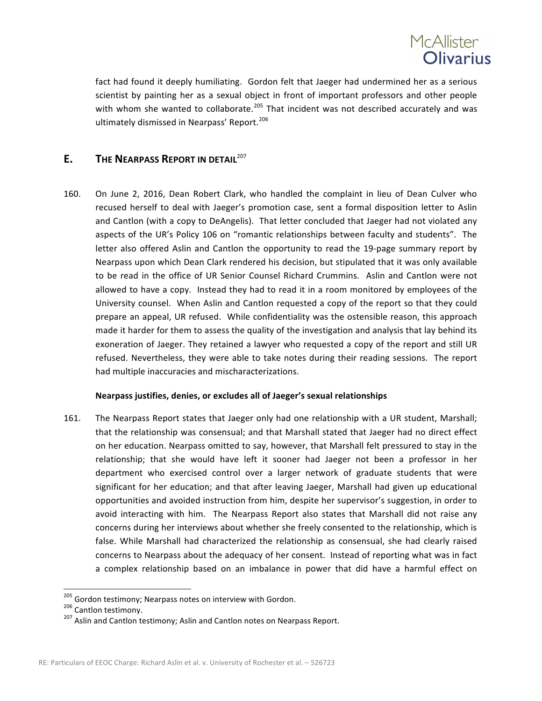

fact had found it deeply humiliating. Gordon felt that Jaeger had undermined her as a serious scientist by painting her as a sexual object in front of important professors and other people with whom she wanted to collaborate.<sup>205</sup> That incident was not described accurately and was ultimately dismissed in Nearpass' Report.<sup>206</sup>

# E. THE NEARPASS REPORT IN DETAIL<sup>207</sup>

160. On June 2, 2016, Dean Robert Clark, who handled the complaint in lieu of Dean Culver who recused herself to deal with Jaeger's promotion case, sent a formal disposition letter to Aslin and Cantlon (with a copy to DeAngelis). That letter concluded that Jaeger had not violated any aspects of the UR's Policy 106 on "romantic relationships between faculty and students". The letter also offered Aslin and Cantlon the opportunity to read the 19-page summary report by Nearpass upon which Dean Clark rendered his decision, but stipulated that it was only available to be read in the office of UR Senior Counsel Richard Crummins. Aslin and Cantlon were not allowed to have a copy. Instead they had to read it in a room monitored by employees of the University counsel. When Aslin and Cantlon requested a copy of the report so that they could prepare an appeal, UR refused. While confidentiality was the ostensible reason, this approach made it harder for them to assess the quality of the investigation and analysis that lay behind its exoneration of Jaeger. They retained a lawyer who requested a copy of the report and still UR refused. Nevertheless, they were able to take notes during their reading sessions. The report had multiple inaccuracies and mischaracterizations. 

#### Nearpass justifies, denies, or excludes all of Jaeger's sexual relationships

161. The Nearpass Report states that Jaeger only had one relationship with a UR student, Marshall; that the relationship was consensual; and that Marshall stated that Jaeger had no direct effect on her education. Nearpass omitted to say, however, that Marshall felt pressured to stay in the relationship; that she would have left it sooner had Jaeger not been a professor in her department who exercised control over a larger network of graduate students that were significant for her education; and that after leaving Jaeger, Marshall had given up educational opportunities and avoided instruction from him, despite her supervisor's suggestion, in order to avoid interacting with him. The Nearpass Report also states that Marshall did not raise any concerns during her interviews about whether she freely consented to the relationship, which is false. While Marshall had characterized the relationship as consensual, she had clearly raised concerns to Nearpass about the adequacy of her consent. Instead of reporting what was in fact a complex relationship based on an imbalance in power that did have a harmful effect on

<sup>&</sup>lt;sup>205</sup> Gordon testimony; Nearpass notes on interview with Gordon.

<sup>206</sup> Gordon testimony; Nearpass notes of<br>
207 Aslin and Cantlon testimony; Aslin and Cantlon notes on Nearpass Report.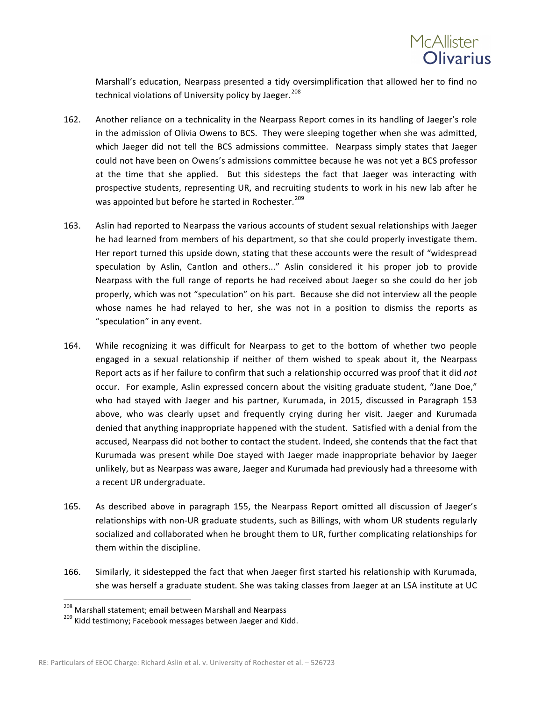

Marshall's education, Nearpass presented a tidy oversimplification that allowed her to find no technical violations of University policy by Jaeger.<sup>208</sup>

- 162. Another reliance on a technicality in the Nearpass Report comes in its handling of Jaeger's role in the admission of Olivia Owens to BCS. They were sleeping together when she was admitted, which Jaeger did not tell the BCS admissions committee. Nearpass simply states that Jaeger could not have been on Owens's admissions committee because he was not yet a BCS professor at the time that she applied. But this sidesteps the fact that Jaeger was interacting with prospective students, representing UR, and recruiting students to work in his new lab after he was appointed but before he started in Rochester.<sup>209</sup>
- 163. Aslin had reported to Nearpass the various accounts of student sexual relationships with Jaeger he had learned from members of his department, so that she could properly investigate them. 

 Her report turned this upside down, stating that these accounts were the result of "widespread speculation by Aslin, Cantlon and others..." Aslin considered it his proper job to provide Nearpass with the full range of reports he had received about Jaeger so she could do her job properly, which was not "speculation" on his part. Because she did not interview all the people whose names he had relayed to her, she was not in a position to dismiss the reports as "speculation" in any event.
- 164. While recognizing it was difficult for Nearpass to get to the bottom of whether two people engaged in a sexual relationship if neither of them wished to speak about it, the Nearpass Report acts as if her failure to confirm that such a relationship occurred was proof that it did not occur. For example, Aslin expressed concern about the visiting graduate student, "Jane Doe," who had stayed with Jaeger and his partner, Kurumada, in 2015, discussed in Paragraph 153 above, who was clearly upset and frequently crying during her visit. Jaeger and Kurumada denied that anything inappropriate happened with the student. Satisfied with a denial from the accused, Nearpass did not bother to contact the student. Indeed, she contends that the fact that Kurumada was present while Doe stayed with Jaeger made inappropriate behavior by Jaeger unlikely, but as Nearpass was aware, Jaeger and Kurumada had previously had a threesome with a recent UR undergraduate.
- 165. As described above in paragraph 155, the Nearpass Report omitted all discussion of Jaeger's relationships with non-UR graduate students, such as Billings, with whom UR students regularly socialized and collaborated when he brought them to UR, further complicating relationships for them within the discipline.
- 166. Similarly, it sidestepped the fact that when Jaeger first started his relationship with Kurumada, she was herself a graduate student. She was taking classes from Jaeger at an LSA institute at UC

<sup>&</sup>lt;sup>208</sup> Marshall statement; email between Marshall and Nearpass<br><sup>209</sup> Kidd testimony; Facebook messages between Jaeger and Kidd.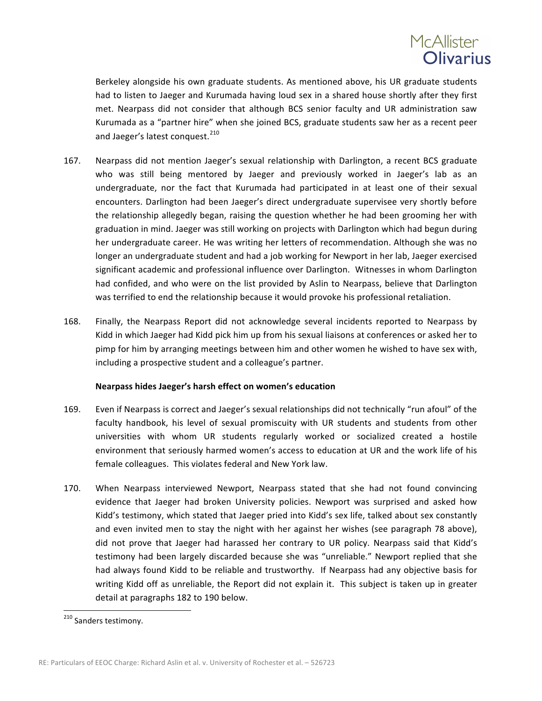

Berkeley alongside his own graduate students. As mentioned above, his UR graduate students had to listen to Jaeger and Kurumada having loud sex in a shared house shortly after they first met. Nearpass did not consider that although BCS senior faculty and UR administration saw Kurumada as a "partner hire" when she joined BCS, graduate students saw her as a recent peer and Jaeger's latest conquest.<sup>210</sup>

- 167. Nearpass did not mention Jaeger's sexual relationship with Darlington, a recent BCS graduate who was still being mentored by Jaeger and previously worked in Jaeger's lab as an undergraduate, nor the fact that Kurumada had participated in at least one of their sexual encounters. Darlington had been Jaeger's direct undergraduate supervisee very shortly before the relationship allegedly began, raising the question whether he had been grooming her with graduation in mind. Jaeger was still working on projects with Darlington which had begun during her undergraduate career. He was writing her letters of recommendation. Although she was no longer an undergraduate student and had a job working for Newport in her lab, Jaeger exercised significant academic and professional influence over Darlington. Witnesses in whom Darlington had confided, and who were on the list provided by Aslin to Nearpass, believe that Darlington was terrified to end the relationship because it would provoke his professional retaliation.
- 168. Finally, the Nearpass Report did not acknowledge several incidents reported to Nearpass by Kidd in which Jaeger had Kidd pick him up from his sexual liaisons at conferences or asked her to pimp for him by arranging meetings between him and other women he wished to have sex with, including a prospective student and a colleague's partner.

#### Nearpass hides Jaeger's harsh effect on women's education

- 169. Even if Nearpass is correct and Jaeger's sexual relationships did not technically "run afoul" of the faculty handbook, his level of sexual promiscuity with UR students and students from other universities with whom UR students regularly worked or socialized created a hostile environment that seriously harmed women's access to education at UR and the work life of his female colleagues. This violates federal and New York law.
- 170. When Nearpass interviewed Newport, Nearpass stated that she had not found convincing evidence that Jaeger had broken University policies. Newport was surprised and asked how Kidd's testimony, which stated that Jaeger pried into Kidd's sex life, talked about sex constantly and even invited men to stay the night with her against her wishes (see paragraph 78 above), did not prove that Jaeger had harassed her contrary to UR policy. Nearpass said that Kidd's testimony had been largely discarded because she was "unreliable." Newport replied that she had always found Kidd to be reliable and trustworthy. If Nearpass had any objective basis for writing Kidd off as unreliable, the Report did not explain it. This subject is taken up in greater detail at paragraphs 182 to 190 below.

<sup>&</sup>lt;sup>210</sup> Sanders testimony.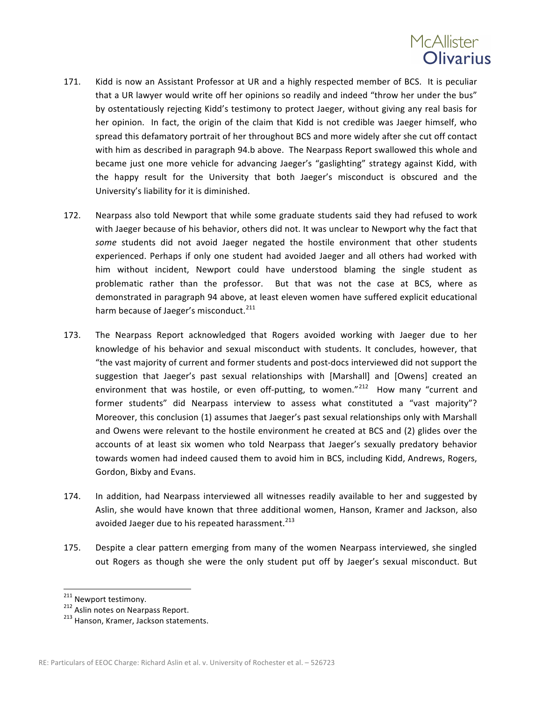

- 171. Kidd is now an Assistant Professor at UR and a highly respected member of BCS. It is peculiar that a UR lawyer would write off her opinions so readily and indeed "throw her under the bus" by ostentatiously rejecting Kidd's testimony to protect Jaeger, without giving any real basis for her opinion. In fact, the origin of the claim that Kidd is not credible was Jaeger himself, who spread this defamatory portrait of her throughout BCS and more widely after she cut off contact with him as described in paragraph 94.b above. The Nearpass Report swallowed this whole and became just one more vehicle for advancing Jaeger's "gaslighting" strategy against Kidd, with the happy result for the University that both Jaeger's misconduct is obscured and the University's liability for it is diminished.
- 172. Nearpass also told Newport that while some graduate students said they had refused to work with Jaeger because of his behavior, others did not. It was unclear to Newport why the fact that some students did not avoid Jaeger negated the hostile environment that other students experienced. Perhaps if only one student had avoided Jaeger and all others had worked with him without incident, Newport could have understood blaming the single student as problematic rather than the professor. But that was not the case at BCS, where as demonstrated in paragraph 94 above, at least eleven women have suffered explicit educational harm because of Jaeger's misconduct.<sup>211</sup>
- 173. The Nearpass Report acknowledged that Rogers avoided working with Jaeger due to her knowledge of his behavior and sexual misconduct with students. It concludes, however, that "the vast majority of current and former students and post-docs interviewed did not support the suggestion that Jaeger's past sexual relationships with [Marshall] and [Owens] created an environment that was hostile, or even off-putting, to women."<sup>212</sup> How many "current and former students" did Nearpass interview to assess what constituted a "vast majority"? Moreover, this conclusion (1) assumes that Jaeger's past sexual relationships only with Marshall and Owens were relevant to the hostile environment he created at BCS and (2) glides over the accounts of at least six women who told Nearpass that Jaeger's sexually predatory behavior towards women had indeed caused them to avoid him in BCS, including Kidd, Andrews, Rogers, Gordon, Bixby and Evans.
- 174. In addition, had Nearpass interviewed all witnesses readily available to her and suggested by Aslin, she would have known that three additional women, Hanson, Kramer and Jackson, also avoided Jaeger due to his repeated harassment.<sup>213</sup>
- 175. Despite a clear pattern emerging from many of the women Nearpass interviewed, she singled out Rogers as though she were the only student put off by Jaeger's sexual misconduct. But

<sup>&</sup>lt;sup>211</sup> Newport testimony.

<sup>212</sup> Aslin notes on Nearpass Report.<br>
<sup>213</sup> Hanson, Kramer, Jackson statements.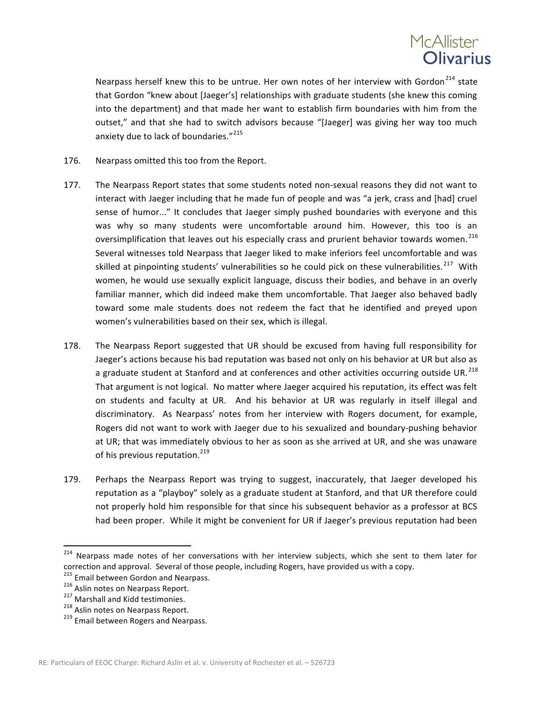# McAllister **Olivarius**

Nearpass herself knew this to be untrue. Her own notes of her interview with Gordon<sup>214</sup> state that Gordon "knew about [Jaeger's] relationships with graduate students (she knew this coming into the department) and that made her want to establish firm boundaries with him from the outset," and that she had to switch advisors because "[Jaeger] was giving her way too much anxiety due to lack of boundaries."<sup>215</sup>

- 176. Nearpass omitted this too from the Report.
- 177. The Nearpass Report states that some students noted non-sexual reasons they did not want to interact with Jaeger including that he made fun of people and was "a jerk, crass and [had] cruel sense of humor..." It concludes that Jaeger simply pushed boundaries with everyone and this was why so many students were uncomfortable around him. However, this too is an oversimplification that leaves out his especially crass and prurient behavior towards women.<sup>216</sup> Several witnesses told Nearpass that Jaeger liked to make inferiors feel uncomfortable and was skilled at pinpointing students' vulnerabilities so he could pick on these vulnerabilities.<sup>217</sup> With women, he would use sexually explicit language, discuss their bodies, and behave in an overly familiar manner, which did indeed make them uncomfortable. That Jaeger also behaved badly toward some male students does not redeem the fact that he identified and preyed upon women's vulnerabilities based on their sex, which is illegal.
- 178. The Nearpass Report suggested that UR should be excused from having full responsibility for Jaeger's actions because his bad reputation was based not only on his behavior at UR but also as a graduate student at Stanford and at conferences and other activities occurring outside UR.<sup>218</sup> That argument is not logical. No matter where Jaeger acquired his reputation, its effect was felt on students and faculty at UR. And his behavior at UR was regularly in itself illegal and discriminatory. As Nearpass' notes from her interview with Rogers document, for example, Rogers did not want to work with Jaeger due to his sexualized and boundary-pushing behavior at UR; that was immediately obvious to her as soon as she arrived at UR, and she was unaware of his previous reputation.<sup>219</sup>
- 179. Perhaps the Nearpass Report was trying to suggest, inaccurately, that Jaeger developed his reputation as a "playboy" solely as a graduate student at Stanford, and that UR therefore could not properly hold him responsible for that since his subsequent behavior as a professor at BCS had been proper. While it might be convenient for UR if Jaeger's previous reputation had been

<sup>&</sup>lt;sup>214</sup> Nearpass made notes of her conversations with her interview subjects, which she sent to them later for correction and approval. Several of those people, including Rogers, have provided us with a copy.<br>
<sup>215</sup> Email between Gordon and Nearpass.<br>
<sup>216</sup> Aslin notes on Nearpass Report.<br>
<sup>217</sup> Marshall and Kidd testimonies.<br>
<sup>218</sup>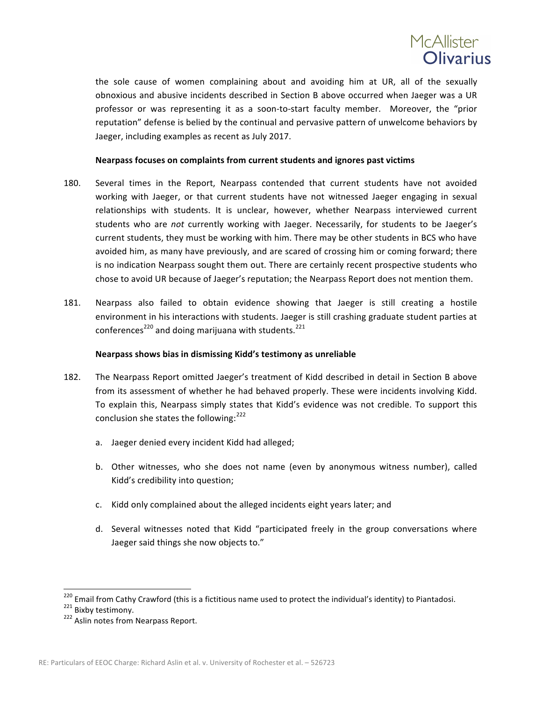

the sole cause of women complaining about and avoiding him at UR, all of the sexually obnoxious and abusive incidents described in Section B above occurred when Jaeger was a UR professor or was representing it as a soon-to-start faculty member. Moreover, the "prior reputation" defense is belied by the continual and pervasive pattern of unwelcome behaviors by Jaeger, including examples as recent as July 2017.

### Nearpass focuses on complaints from current students and ignores past victims

- 180. Several times in the Report, Nearpass contended that current students have not avoided working with Jaeger, or that current students have not witnessed Jaeger engaging in sexual relationships with students. It is unclear, however, whether Nearpass interviewed current students who are not currently working with Jaeger. Necessarily, for students to be Jaeger's current students, they must be working with him. There may be other students in BCS who have avoided him, as many have previously, and are scared of crossing him or coming forward; there is no indication Nearpass sought them out. There are certainly recent prospective students who chose to avoid UR because of Jaeger's reputation; the Nearpass Report does not mention them.
- 181. Nearpass also failed to obtain evidence showing that Jaeger is still creating a hostile environment in his interactions with students. Jaeger is still crashing graduate student parties at conferences<sup>220</sup> and doing marijuana with students.<sup>221</sup>

### Nearpass shows bias in dismissing Kidd's testimony as unreliable

- 182. The Nearpass Report omitted Jaeger's treatment of Kidd described in detail in Section B above from its assessment of whether he had behaved properly. These were incidents involving Kidd. 

 To explain this, Nearpass simply states that Kidd's evidence was not credible. To support this conclusion she states the following: $222$ 
	- a. Jaeger denied every incident Kidd had alleged;
	- b. Other witnesses, who she does not name (even by anonymous witness number), called Kidd's credibility into question;
	- c. Kidd only complained about the alleged incidents eight years later; and
	- d. Several witnesses noted that Kidd "participated freely in the group conversations where Jaeger said things she now objects to."

<sup>&</sup>lt;sup>220</sup> Email from Cathy Crawford (this is a fictitious name used to protect the individual's identity) to Piantadosi.<br><sup>221</sup> Bixby testimony.<br><sup>222</sup> Aslin notes from Nearpass Report.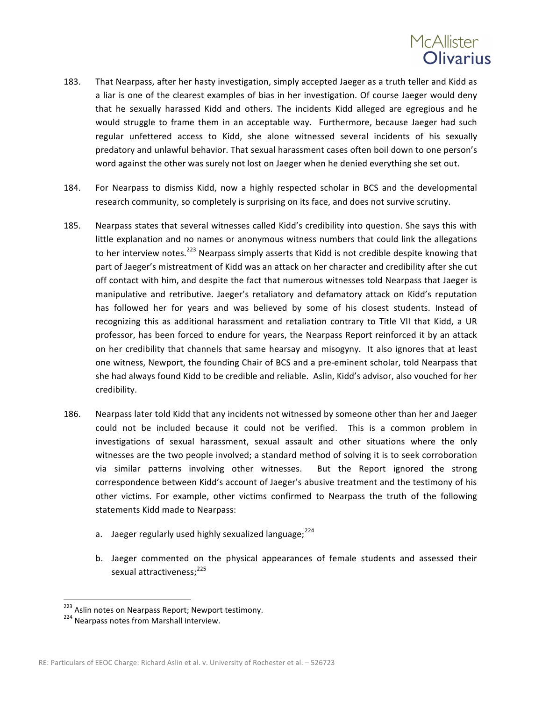

- 183. That Nearpass, after her hasty investigation, simply accepted Jaeger as a truth teller and Kidd as a liar is one of the clearest examples of bias in her investigation. Of course Jaeger would deny that he sexually harassed Kidd and others. The incidents Kidd alleged are egregious and he would struggle to frame them in an acceptable way. Furthermore, because Jaeger had such regular unfettered access to Kidd, she alone witnessed several incidents of his sexually predatory and unlawful behavior. That sexual harassment cases often boil down to one person's word against the other was surely not lost on Jaeger when he denied everything she set out.
- 184. For Nearpass to dismiss Kidd, now a highly respected scholar in BCS and the developmental research community, so completely is surprising on its face, and does not survive scrutiny.
- 185. Nearpass states that several witnesses called Kidd's credibility into question. She says this with little explanation and no names or anonymous witness numbers that could link the allegations to her interview notes.<sup>223</sup> Nearpass simply asserts that Kidd is not credible despite knowing that part of Jaeger's mistreatment of Kidd was an attack on her character and credibility after she cut off contact with him, and despite the fact that numerous witnesses told Nearpass that Jaeger is manipulative and retributive. Jaeger's retaliatory and defamatory attack on Kidd's reputation has followed her for years and was believed by some of his closest students. Instead of recognizing this as additional harassment and retaliation contrary to Title VII that Kidd, a UR professor, has been forced to endure for years, the Nearpass Report reinforced it by an attack on her credibility that channels that same hearsay and misogyny. It also ignores that at least one witness, Newport, the founding Chair of BCS and a pre-eminent scholar, told Nearpass that she had always found Kidd to be credible and reliable. Aslin, Kidd's advisor, also vouched for her credibility.
- 186. Nearpass later told Kidd that any incidents not witnessed by someone other than her and Jaeger could not be included because it could not be verified. This is a common problem in investigations of sexual harassment, sexual assault and other situations where the only witnesses are the two people involved; a standard method of solving it is to seek corroboration via similar patterns involving other witnesses. But the Report ignored the strong correspondence between Kidd's account of Jaeger's abusive treatment and the testimony of his other victims. For example, other victims confirmed to Nearpass the truth of the following statements Kidd made to Nearpass:
	- a. Jaeger regularly used highly sexualized language;<sup>224</sup>
	- b. Jaeger commented on the physical appearances of female students and assessed their sexual attractiveness;<sup>225</sup>

<sup>&</sup>lt;sup>223</sup> Aslin notes on Nearpass Report; Newport testimony.<br><sup>224</sup> Nearpass notes from Marshall interview.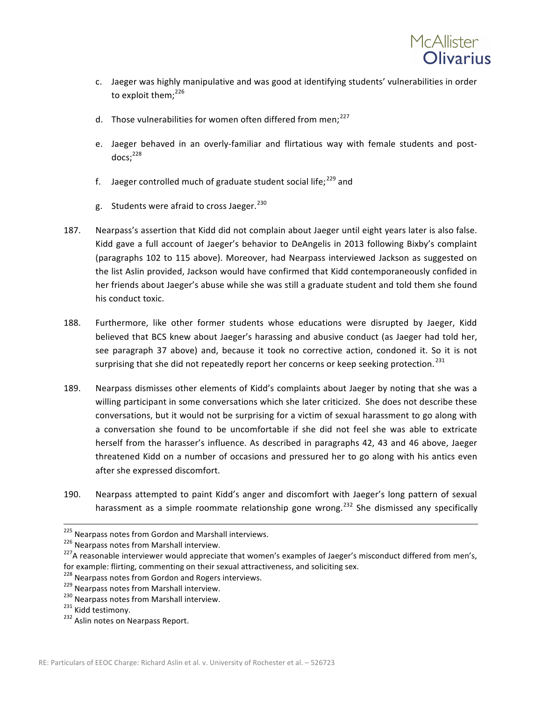

- c. Jaeger was highly manipulative and was good at identifying students' vulnerabilities in order to exploit them: $226$
- d. Those vulnerabilities for women often differed from men; $^{227}$
- e. Jaeger behaved in an overly-familiar and flirtatious way with female students and post $docs: <sup>228</sup>$
- f. Jaeger controlled much of graduate student social life; $^{229}$  and
- g. Students were afraid to cross Jaeger.<sup>230</sup>
- 187. Nearpass's assertion that Kidd did not complain about Jaeger until eight years later is also false. Kidd gave a full account of Jaeger's behavior to DeAngelis in 2013 following Bixby's complaint (paragraphs 102 to 115 above). Moreover, had Nearpass interviewed Jackson as suggested on the list Aslin provided, Jackson would have confirmed that Kidd contemporaneously confided in her friends about Jaeger's abuse while she was still a graduate student and told them she found his conduct toxic.
- 188. Furthermore, like other former students whose educations were disrupted by Jaeger, Kidd believed that BCS knew about Jaeger's harassing and abusive conduct (as Jaeger had told her, see paragraph 37 above) and, because it took no corrective action, condoned it. So it is not surprising that she did not repeatedly report her concerns or keep seeking protection.<sup>231</sup>
- 189. Nearpass dismisses other elements of Kidd's complaints about Jaeger by noting that she was a willing participant in some conversations which she later criticized. She does not describe these conversations, but it would not be surprising for a victim of sexual harassment to go along with a conversation she found to be uncomfortable if she did not feel she was able to extricate herself from the harasser's influence. As described in paragraphs 42, 43 and 46 above, Jaeger threatened Kidd on a number of occasions and pressured her to go along with his antics even after she expressed discomfort.
- 190. Nearpass attempted to paint Kidd's anger and discomfort with Jaeger's long pattern of sexual harassment as a simple roommate relationship gone wrong.<sup>232</sup> She dismissed any specifically

<sup>226</sup> Nearpass notes from Marshall interview.<br><sup>227</sup>A reasonable interviewer would appreciate that women's examples of Jaeger's misconduct differed from men's, for example: flirting, commenting on their sexual attractiveness, and soliciting sex.<br>
<sup>228</sup> Nearpass notes from Gordon and Rogers interviews.<br>
<sup>229</sup> Nearpass notes from Marshall interview.<br>
<sup>230</sup> Nearpass notes from Mars

<sup>&</sup>lt;sup>225</sup> Nearpass notes from Gordon and Marshall interviews.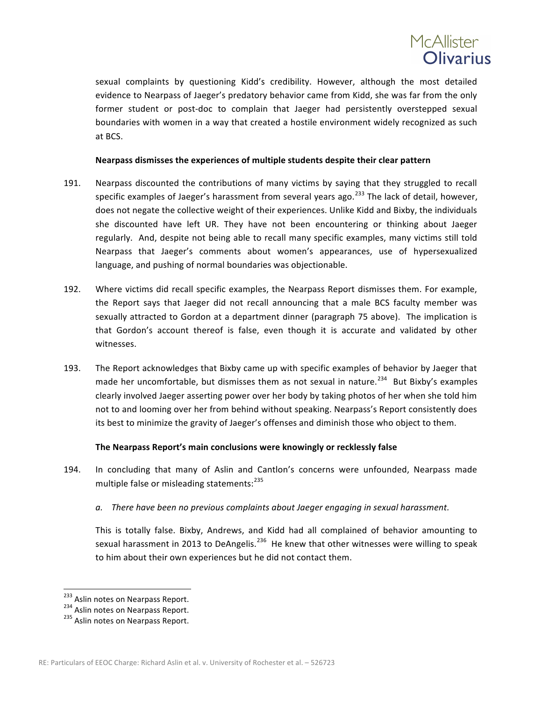

sexual complaints by questioning Kidd's credibility. However, although the most detailed evidence to Nearpass of Jaeger's predatory behavior came from Kidd, she was far from the only former student or post-doc to complain that Jaeger had persistently overstepped sexual boundaries with women in a way that created a hostile environment widely recognized as such at BCS. 

### Nearpass dismisses the experiences of multiple students despite their clear pattern

- 191. Nearpass discounted the contributions of many victims by saying that they struggled to recall specific examples of Jaeger's harassment from several years ago.<sup>233</sup> The lack of detail, however, does not negate the collective weight of their experiences. Unlike Kidd and Bixby, the individuals she discounted have left UR. They have not been encountering or thinking about Jaeger regularly. And, despite not being able to recall many specific examples, many victims still told Nearpass that Jaeger's comments about women's appearances, use of hypersexualized language, and pushing of normal boundaries was objectionable.
- 192. Where victims did recall specific examples, the Nearpass Report dismisses them. For example, the Report says that Jaeger did not recall announcing that a male BCS faculty member was sexually attracted to Gordon at a department dinner (paragraph 75 above). The implication is that Gordon's account thereof is false, even though it is accurate and validated by other witnesses.
- 193. The Report acknowledges that Bixby came up with specific examples of behavior by Jaeger that made her uncomfortable, but dismisses them as not sexual in nature.<sup>234</sup> But Bixby's examples clearly involved Jaeger asserting power over her body by taking photos of her when she told him not to and looming over her from behind without speaking. Nearpass's Report consistently does its best to minimize the gravity of Jaeger's offenses and diminish those who object to them.

# The Nearpass Report's main conclusions were knowingly or recklessly false

- 194. In concluding that many of Aslin and Cantlon's concerns were unfounded, Nearpass made multiple false or misleading statements:<sup>235</sup>
	- a. There have been no previous complaints about Jaeger engaging in sexual harassment.

This is totally false. Bixby, Andrews, and Kidd had all complained of behavior amounting to sexual harassment in 2013 to DeAngelis.<sup>236</sup> He knew that other witnesses were willing to speak to him about their own experiences but he did not contact them.

<sup>&</sup>lt;sup>233</sup> Aslin notes on Nearpass Report.

<sup>234&</sup>lt;br><sup>234</sup> Aslin notes on Nearpass Report.<br><sup>235</sup> Aslin notes on Nearpass Report.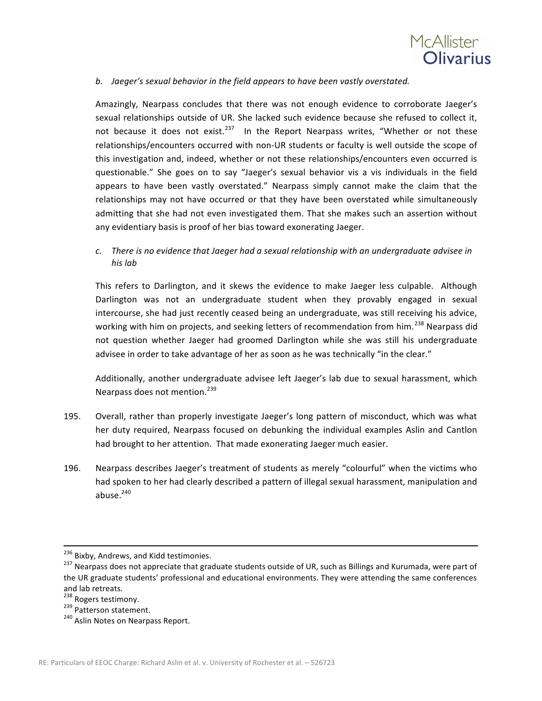

### b. Jaeger's sexual behavior in the field appears to have been vastly overstated.

Amazingly, Nearpass concludes that there was not enough evidence to corroborate Jaeger's sexual relationships outside of UR. She lacked such evidence because she refused to collect it, not because it does not exist.<sup>237</sup> In the Report Nearpass writes, "Whether or not these relationships/encounters occurred with non-UR students or faculty is well outside the scope of this investigation and, indeed, whether or not these relationships/encounters even occurred is questionable." She goes on to say "Jaeger's sexual behavior vis a vis individuals in the field appears to have been vastly overstated." Nearpass simply cannot make the claim that the relationships may not have occurred or that they have been overstated while simultaneously admitting that she had not even investigated them. That she makes such an assertion without any evidentiary basis is proof of her bias toward exonerating Jaeger.

c. There is no evidence that Jaeger had a sexual relationship with an undergraduate advisee in his lab 

This refers to Darlington, and it skews the evidence to make Jaeger less culpable. Although Darlington was not an undergraduate student when they provably engaged in sexual intercourse, she had just recently ceased being an undergraduate, was still receiving his advice, working with him on projects, and seeking letters of recommendation from him.<sup>238</sup> Nearpass did not question whether Jaeger had groomed Darlington while she was still his undergraduate advisee in order to take advantage of her as soon as he was technically "in the clear."

Additionally, another undergraduate advisee left Jaeger's lab due to sexual harassment, which Nearpass does not mention.<sup>239</sup>

- 195. Overall, rather than properly investigate Jaeger's long pattern of misconduct, which was what her duty required, Nearpass focused on debunking the individual examples Aslin and Cantlon had brought to her attention. That made exonerating Jaeger much easier.
- 196. Nearpass describes Jaeger's treatment of students as merely "colourful" when the victims who had spoken to her had clearly described a pattern of illegal sexual harassment, manipulation and abuse. $240$

<u> Andreas Andreas Andreas Andreas Andreas Andreas Andreas Andreas Andreas Andreas Andreas Andreas Andreas Andr</u>

<sup>&</sup>lt;sup>236</sup> Bixby, Andrews, and Kidd testimonies.<br><sup>237</sup> Nearpass does not appreciate that graduate students outside of UR, such as Billings and Kurumada, were part of the UR graduate students' professional and educational environments. They were attending the same conferences

and lab retreats.<br>
<sup>238</sup> Rogers testimony.<br>
<sup>239</sup> Patterson statement.<br>
<sup>240</sup> Aslin Notes on Nearpass Report.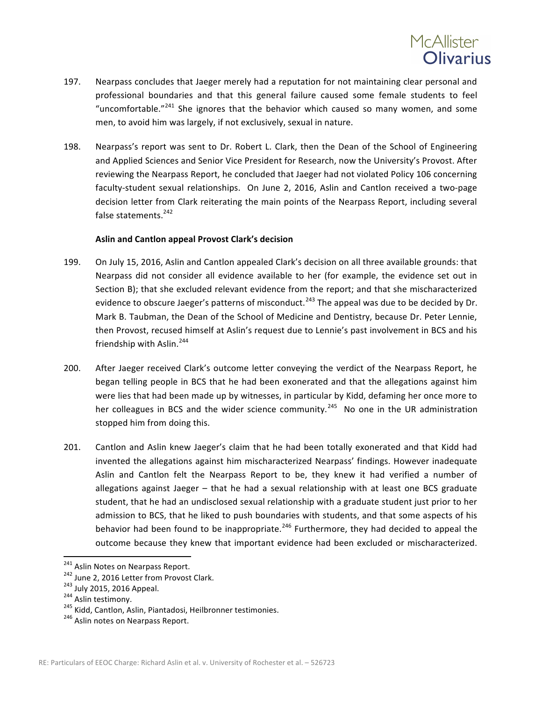

- 197. Nearpass concludes that Jaeger merely had a reputation for not maintaining clear personal and professional boundaries and that this general failure caused some female students to feel "uncomfortable."<sup>241</sup> She ignores that the behavior which caused so many women, and some men, to avoid him was largely, if not exclusively, sexual in nature.
- 198. Nearpass's report was sent to Dr. Robert L. Clark, then the Dean of the School of Engineering and Applied Sciences and Senior Vice President for Research, now the University's Provost. After reviewing the Nearpass Report, he concluded that Jaeger had not violated Policy 106 concerning faculty-student sexual relationships. On June 2, 2016, Aslin and Cantlon received a two-page decision letter from Clark reiterating the main points of the Nearpass Report, including several false statements.<sup>242</sup>

# Aslin and Cantlon appeal Provost Clark's decision

- 199. On July 15, 2016, Aslin and Cantlon appealed Clark's decision on all three available grounds: that Nearpass did not consider all evidence available to her (for example, the evidence set out in Section B); that she excluded relevant evidence from the report; and that she mischaracterized evidence to obscure Jaeger's patterns of misconduct.<sup>243</sup> The appeal was due to be decided by Dr. Mark B. Taubman, the Dean of the School of Medicine and Dentistry, because Dr. Peter Lennie, then Provost, recused himself at Aslin's request due to Lennie's past involvement in BCS and his friendship with Aslin.<sup>244</sup>
- 200. After Jaeger received Clark's outcome letter conveying the verdict of the Nearpass Report, he began telling people in BCS that he had been exonerated and that the allegations against him were lies that had been made up by witnesses, in particular by Kidd, defaming her once more to her colleagues in BCS and the wider science community.<sup>245</sup> No one in the UR administration stopped him from doing this.
- 201. Cantlon and Aslin knew Jaeger's claim that he had been totally exonerated and that Kidd had invented the allegations against him mischaracterized Nearpass' findings. However inadequate Aslin and Cantlon felt the Nearpass Report to be, they knew it had verified a number of allegations against Jaeger – that he had a sexual relationship with at least one BCS graduate student, that he had an undisclosed sexual relationship with a graduate student just prior to her admission to BCS, that he liked to push boundaries with students, and that some aspects of his behavior had been found to be inappropriate.<sup>246</sup> Furthermore, they had decided to appeal the outcome because they knew that important evidence had been excluded or mischaracterized.

<sup>&</sup>lt;sup>241</sup> Aslin Notes on Nearpass Report.

<sup>&</sup>lt;sup>242</sup> June 2, 2016 Letter from Provost Clark.<br><sup>243</sup> July 2015, 2016 Appeal.<br><sup>244</sup> Aslin testimony.<br><sup>245</sup> Kidd, Cantlon, Aslin, Piantadosi, Heilbronner testimonies.<br><sup>246</sup> Aslin notes on Nearpass Report.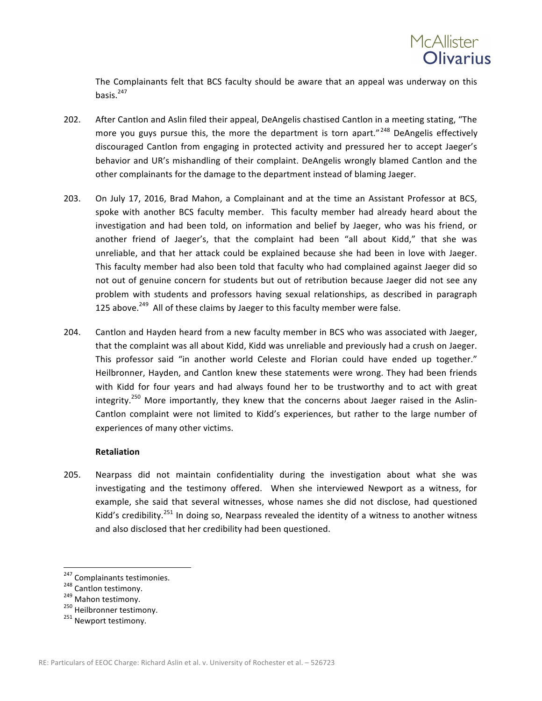

The Complainants felt that BCS faculty should be aware that an appeal was underway on this basis.<sup>247</sup>

- 202. After Cantlon and Aslin filed their appeal, DeAngelis chastised Cantlon in a meeting stating, "The more you guys pursue this, the more the department is torn apart."<sup>248</sup> DeAngelis effectively discouraged Cantlon from engaging in protected activity and pressured her to accept Jaeger's behavior and UR's mishandling of their complaint. DeAngelis wrongly blamed Cantlon and the other complainants for the damage to the department instead of blaming Jaeger.
- 203. On July 17, 2016, Brad Mahon, a Complainant and at the time an Assistant Professor at BCS, spoke with another BCS faculty member. This faculty member had already heard about the investigation and had been told, on information and belief by Jaeger, who was his friend, or another friend of Jaeger's, that the complaint had been "all about Kidd," that she was unreliable, and that her attack could be explained because she had been in love with Jaeger. This faculty member had also been told that faculty who had complained against Jaeger did so not out of genuine concern for students but out of retribution because Jaeger did not see any problem with students and professors having sexual relationships, as described in paragraph 125 above.  $249$  All of these claims by Jaeger to this faculty member were false.
- 204. Cantlon and Hayden heard from a new faculty member in BCS who was associated with Jaeger, that the complaint was all about Kidd, Kidd was unreliable and previously had a crush on Jaeger. This professor said "in another world Celeste and Florian could have ended up together." Heilbronner, Hayden, and Cantlon knew these statements were wrong. They had been friends with Kidd for four years and had always found her to be trustworthy and to act with great integrity.<sup>250</sup> More importantly, they knew that the concerns about Jaeger raised in the Aslin-Cantlon complaint were not limited to Kidd's experiences, but rather to the large number of experiences of many other victims.

# Retaliation

205. Nearpass did not maintain confidentiality during the investigation about what she was investigating and the testimony offered. When she interviewed Newport as a witness, for example, she said that several witnesses, whose names she did not disclose, had questioned Kidd's credibility.<sup>251</sup> In doing so, Nearpass revealed the identity of a witness to another witness and also disclosed that her credibility had been questioned. 

<sup>248</sup> Cantlon testimony.<br><sup>249</sup> Mahon testimony.<br><sup>250</sup> Heilbronner testimony.<br><sup>251</sup> Newport testimony.

<sup>&</sup>lt;sup>247</sup> Complainants testimonies.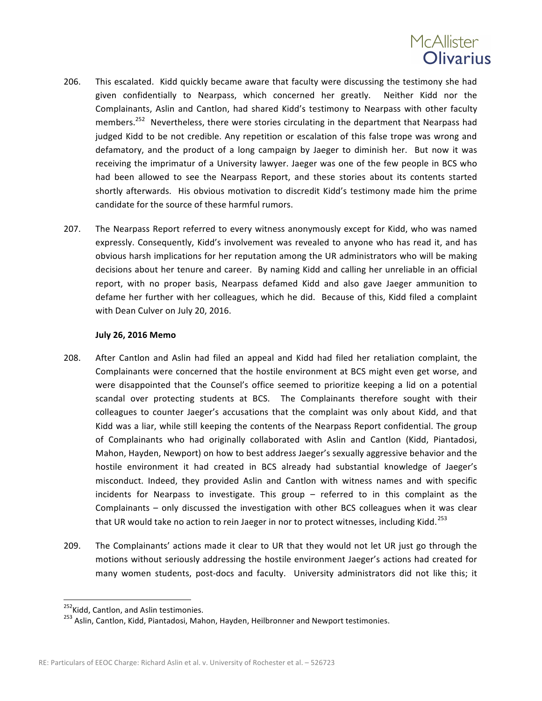

- 206. This escalated. Kidd quickly became aware that faculty were discussing the testimony she had given confidentially to Nearpass, which concerned her greatly. Neither Kidd nor the Complainants, Aslin and Cantlon, had shared Kidd's testimony to Nearpass with other faculty members.<sup>252</sup> Nevertheless, there were stories circulating in the department that Nearpass had judged Kidd to be not credible. Any repetition or escalation of this false trope was wrong and defamatory, and the product of a long campaign by Jaeger to diminish her. But now it was receiving the imprimatur of a University lawyer. Jaeger was one of the few people in BCS who had been allowed to see the Nearpass Report, and these stories about its contents started shortly afterwards. His obvious motivation to discredit Kidd's testimony made him the prime candidate for the source of these harmful rumors.
- 207. The Nearpass Report referred to every witness anonymously except for Kidd, who was named expressly. Consequently, Kidd's involvement was revealed to anyone who has read it, and has obvious harsh implications for her reputation among the UR administrators who will be making decisions about her tenure and career. By naming Kidd and calling her unreliable in an official report, with no proper basis, Nearpass defamed Kidd and also gave Jaeger ammunition to defame her further with her colleagues, which he did. Because of this, Kidd filed a complaint with Dean Culver on July 20, 2016.

#### July 26, 2016 Memo

- 208. After Cantlon and Aslin had filed an appeal and Kidd had filed her retaliation complaint, the Complainants were concerned that the hostile environment at BCS might even get worse, and were disappointed that the Counsel's office seemed to prioritize keeping a lid on a potential scandal over protecting students at BCS. The Complainants therefore sought with their colleagues to counter Jaeger's accusations that the complaint was only about Kidd, and that Kidd was a liar, while still keeping the contents of the Nearpass Report confidential. The group of Complainants who had originally collaborated with Aslin and Cantlon (Kidd, Piantadosi, Mahon, Hayden, Newport) on how to best address Jaeger's sexually aggressive behavior and the hostile environment it had created in BCS already had substantial knowledge of Jaeger's misconduct. Indeed, they provided Aslin and Cantlon with witness names and with specific incidents for Nearpass to investigate. This group – referred to in this complaint as the Complainants – only discussed the investigation with other BCS colleagues when it was clear that UR would take no action to rein Jaeger in nor to protect witnesses, including Kidd.<sup>253</sup>
- 209. The Complainants' actions made it clear to UR that they would not let UR just go through the motions without seriously addressing the hostile environment Jaeger's actions had created for many women students, post-docs and faculty. University administrators did not like this; it

<sup>&</sup>lt;sup>252</sup>Kidd, Cantlon, and Aslin testimonies.

<sup>&</sup>lt;sup>253</sup> Aslin, Cantlon, Kidd, Piantadosi, Mahon, Hayden, Heilbronner and Newport testimonies.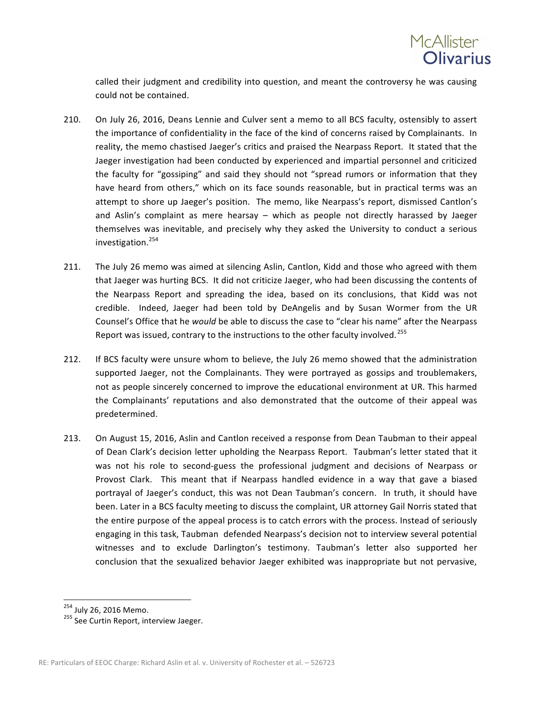

called their judgment and credibility into question, and meant the controversy he was causing could not be contained. 

- 210. On July 26, 2016, Deans Lennie and Culver sent a memo to all BCS faculty, ostensibly to assert the importance of confidentiality in the face of the kind of concerns raised by Complainants. In reality, the memo chastised Jaeger's critics and praised the Nearpass Report. It stated that the Jaeger investigation had been conducted by experienced and impartial personnel and criticized the faculty for "gossiping" and said they should not "spread rumors or information that they have heard from others," which on its face sounds reasonable, but in practical terms was an attempt to shore up Jaeger's position. The memo, like Nearpass's report, dismissed Cantlon's and Aslin's complaint as mere hearsay – which as people not directly harassed by Jaeger themselves was inevitable, and precisely why they asked the University to conduct a serious investigation.<sup>254</sup>
- 211. The July 26 memo was aimed at silencing Aslin, Cantlon, Kidd and those who agreed with them that Jaeger was hurting BCS. It did not criticize Jaeger, who had been discussing the contents of the Nearpass Report and spreading the idea, based on its conclusions, that Kidd was not credible. Indeed, Jaeger had been told by DeAngelis and by Susan Wormer from the UR Counsel's Office that he would be able to discuss the case to "clear his name" after the Nearpass Report was issued, contrary to the instructions to the other faculty involved.<sup>255</sup>
- 212. If BCS faculty were unsure whom to believe, the July 26 memo showed that the administration supported Jaeger, not the Complainants. They were portrayed as gossips and troublemakers, not as people sincerely concerned to improve the educational environment at UR. This harmed the Complainants' reputations and also demonstrated that the outcome of their appeal was predetermined.
- 213. On August 15, 2016, Aslin and Cantlon received a response from Dean Taubman to their appeal of Dean Clark's decision letter upholding the Nearpass Report. Taubman's letter stated that it was not his role to second-guess the professional judgment and decisions of Nearpass or Provost Clark. This meant that if Nearpass handled evidence in a way that gave a biased portrayal of Jaeger's conduct, this was not Dean Taubman's concern. In truth, it should have been. Later in a BCS faculty meeting to discuss the complaint, UR attorney Gail Norris stated that the entire purpose of the appeal process is to catch errors with the process. Instead of seriously engaging in this task, Taubman defended Nearpass's decision not to interview several potential witnesses and to exclude Darlington's testimony. Taubman's letter also supported her conclusion that the sexualized behavior Jaeger exhibited was inappropriate but not pervasive,

<sup>&</sup>lt;sup>254</sup> July 26, 2016 Memo.

<sup>&</sup>lt;sup>255</sup> See Curtin Report, interview Jaeger.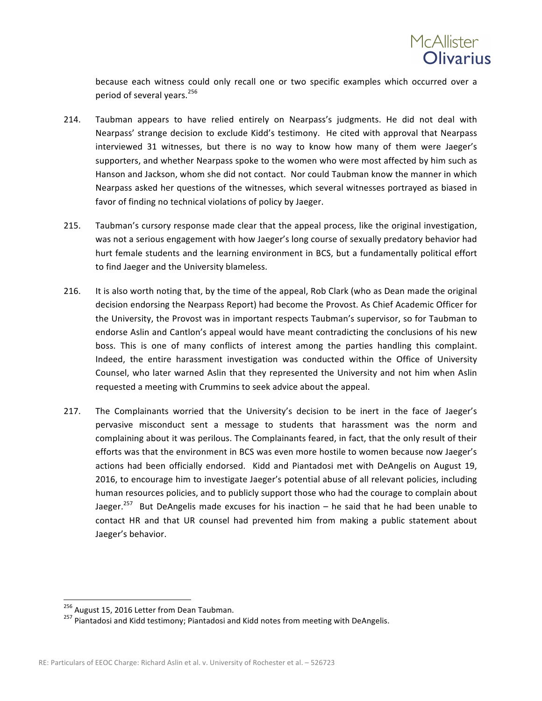

because each witness could only recall one or two specific examples which occurred over a period of several years.<sup>256</sup>

- 214. Taubman appears to have relied entirely on Nearpass's judgments. He did not deal with Nearpass' strange decision to exclude Kidd's testimony. He cited with approval that Nearpass interviewed 31 witnesses, but there is no way to know how many of them were Jaeger's supporters, and whether Nearpass spoke to the women who were most affected by him such as Hanson and Jackson, whom she did not contact. Nor could Taubman know the manner in which Nearpass asked her questions of the witnesses, which several witnesses portrayed as biased in favor of finding no technical violations of policy by Jaeger.
- 215. Taubman's cursory response made clear that the appeal process, like the original investigation, was not a serious engagement with how Jaeger's long course of sexually predatory behavior had hurt female students and the learning environment in BCS, but a fundamentally political effort to find Jaeger and the University blameless.
- 216. It is also worth noting that, by the time of the appeal, Rob Clark (who as Dean made the original decision endorsing the Nearpass Report) had become the Provost. As Chief Academic Officer for the University, the Provost was in important respects Taubman's supervisor, so for Taubman to endorse Aslin and Cantlon's appeal would have meant contradicting the conclusions of his new boss. This is one of many conflicts of interest among the parties handling this complaint. 

 Indeed, the entire harassment investigation was conducted within the Office of University Counsel, who later warned Aslin that they represented the University and not him when Aslin requested a meeting with Crummins to seek advice about the appeal.
- 217. The Complainants worried that the University's decision to be inert in the face of Jaeger's pervasive misconduct sent a message to students that harassment was the norm and complaining about it was perilous. The Complainants feared, in fact, that the only result of their efforts was that the environment in BCS was even more hostile to women because now Jaeger's actions had been officially endorsed. Kidd and Piantadosi met with DeAngelis on August 19, 2016, to encourage him to investigate Jaeger's potential abuse of all relevant policies, including human resources policies, and to publicly support those who had the courage to complain about Jaeger.<sup>257</sup> But DeAngelis made excuses for his inaction  $-$  he said that he had been unable to contact HR and that UR counsel had prevented him from making a public statement about Jaeger's behavior.

<sup>&</sup>lt;sup>256</sup> August 15, 2016 Letter from Dean Taubman.

<sup>&</sup>lt;sup>257</sup> Piantadosi and Kidd testimony; Piantadosi and Kidd notes from meeting with DeAngelis.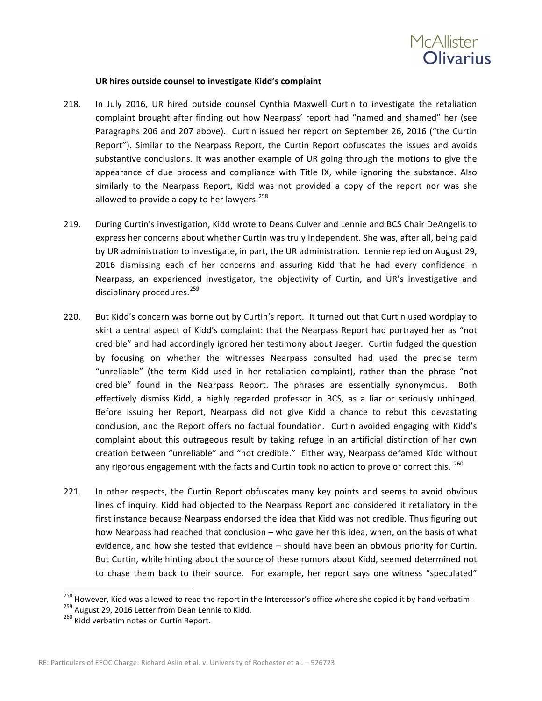

#### UR hires outside counsel to investigate Kidd's complaint

- 218. In July 2016, UR hired outside counsel Cynthia Maxwell Curtin to investigate the retaliation complaint brought after finding out how Nearpass' report had "named and shamed" her (see Paragraphs 206 and 207 above). Curtin issued her report on September 26, 2016 ("the Curtin Report"). Similar to the Nearpass Report, the Curtin Report obfuscates the issues and avoids substantive conclusions. It was another example of UR going through the motions to give the appearance of due process and compliance with Title IX, while ignoring the substance. Also similarly to the Nearpass Report, Kidd was not provided a copy of the report nor was she allowed to provide a copy to her lawyers. $258$
- 219. During Curtin's investigation, Kidd wrote to Deans Culver and Lennie and BCS Chair DeAngelis to express her concerns about whether Curtin was truly independent. She was, after all, being paid by UR administration to investigate, in part, the UR administration. Lennie replied on August 29, 2016 dismissing each of her concerns and assuring Kidd that he had every confidence in Nearpass, an experienced investigator, the objectivity of Curtin, and UR's investigative and disciplinary procedures.<sup>259</sup>
- 220. But Kidd's concern was borne out by Curtin's report. It turned out that Curtin used wordplay to skirt a central aspect of Kidd's complaint: that the Nearpass Report had portrayed her as "not credible" and had accordingly ignored her testimony about Jaeger. Curtin fudged the question by focusing on whether the witnesses Nearpass consulted had used the precise term "unreliable" (the term Kidd used in her retaliation complaint), rather than the phrase "not credible" found in the Nearpass Report. The phrases are essentially synonymous. Both effectively dismiss Kidd, a highly regarded professor in BCS, as a liar or seriously unhinged. Before issuing her Report, Nearpass did not give Kidd a chance to rebut this devastating conclusion, and the Report offers no factual foundation. Curtin avoided engaging with Kidd's complaint about this outrageous result by taking refuge in an artificial distinction of her own creation between "unreliable" and "not credible." Either way, Nearpass defamed Kidd without any rigorous engagement with the facts and Curtin took no action to prove or correct this. <sup>260</sup>
- 221. In other respects, the Curtin Report obfuscates many key points and seems to avoid obvious lines of inquiry. Kidd had objected to the Nearpass Report and considered it retaliatory in the first instance because Nearpass endorsed the idea that Kidd was not credible. Thus figuring out how Nearpass had reached that conclusion – who gave her this idea, when, on the basis of what evidence, and how she tested that evidence – should have been an obvious priority for Curtin. 

 But Curtin, while hinting about the source of these rumors about Kidd, seemed determined not to chase them back to their source. For example, her report says one witness "speculated"

<sup>&</sup>lt;sup>258</sup> However, Kidd was allowed to read the report in the Intercessor's office where she copied it by hand verbatim.<br><sup>259</sup> August 29, 2016 Letter from Dean Lennie to Kidd.<br><sup>260</sup> Kidd verbatim notes on Curtin Report.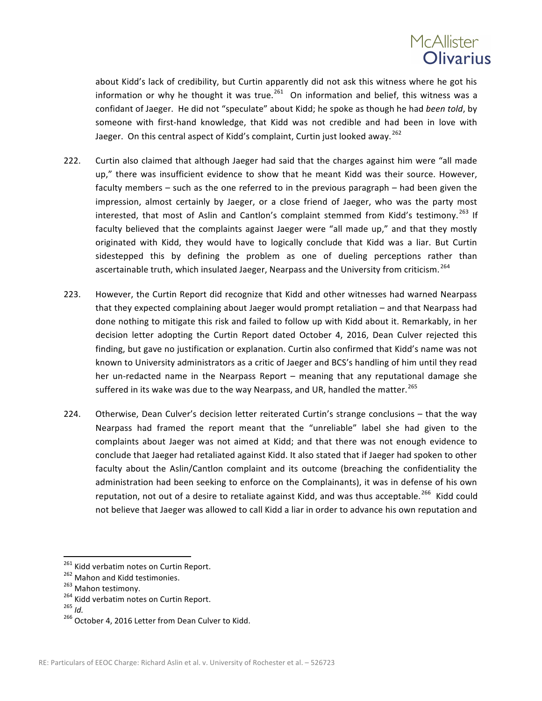

about Kidd's lack of credibility, but Curtin apparently did not ask this witness where he got his information or why he thought it was true.<sup>261</sup> On information and belief, this witness was a confidant of Jaeger. He did not "speculate" about Kidd; he spoke as though he had been told, by someone with first-hand knowledge, that Kidd was not credible and had been in love with Jaeger. On this central aspect of Kidd's complaint, Curtin just looked away.<sup>262</sup>

- 222. Curtin also claimed that although Jaeger had said that the charges against him were "all made up," there was insufficient evidence to show that he meant Kidd was their source. However, faculty members – such as the one referred to in the previous paragraph – had been given the impression, almost certainly by Jaeger, or a close friend of Jaeger, who was the party most interested, that most of Aslin and Cantlon's complaint stemmed from Kidd's testimony.<sup>263</sup> If faculty believed that the complaints against Jaeger were "all made up," and that they mostly originated with Kidd, they would have to logically conclude that Kidd was a liar. But Curtin sidestepped this by defining the problem as one of dueling perceptions rather than ascertainable truth, which insulated Jaeger, Nearpass and the University from criticism.<sup>264</sup>
- 223. However, the Curtin Report did recognize that Kidd and other witnesses had warned Nearpass that they expected complaining about Jaeger would prompt retaliation – and that Nearpass had done nothing to mitigate this risk and failed to follow up with Kidd about it. Remarkably, in her decision letter adopting the Curtin Report dated October 4, 2016, Dean Culver rejected this finding, but gave no justification or explanation. Curtin also confirmed that Kidd's name was not known to University administrators as a critic of Jaeger and BCS's handling of him until they read her un-redacted name in the Nearpass Report – meaning that any reputational damage she suffered in its wake was due to the way Nearpass, and UR, handled the matter.<sup>265</sup>
- 224. Otherwise, Dean Culver's decision letter reiterated Curtin's strange conclusions that the way Nearpass had framed the report meant that the "unreliable" label she had given to the complaints about Jaeger was not aimed at Kidd; and that there was not enough evidence to conclude that Jaeger had retaliated against Kidd. It also stated that if Jaeger had spoken to other faculty about the Aslin/Cantlon complaint and its outcome (breaching the confidentiality the administration had been seeking to enforce on the Complainants), it was in defense of his own reputation, not out of a desire to retaliate against Kidd, and was thus acceptable.<sup>266</sup> Kidd could not believe that Jaeger was allowed to call Kidd a liar in order to advance his own reputation and

<sup>&</sup>lt;sup>261</sup> Kidd verbatim notes on Curtin Report.

<sup>&</sup>lt;sup>262</sup> Mahon and Kidd testimonies.<br><sup>263</sup> Mahon testimony.<br><sup>264</sup> Kidd verbatim notes on Curtin Report.<br><sup>265</sup> Id. <sup>266</sup> October 4, 2016 Letter from Dean Culver to Kidd.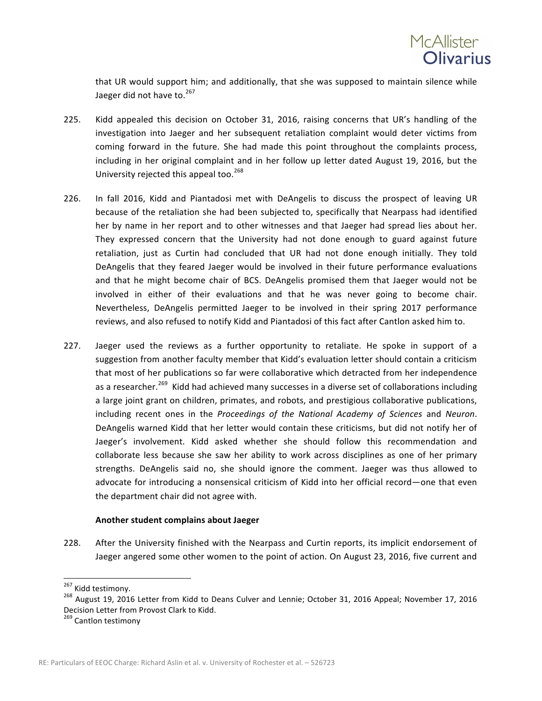

that UR would support him; and additionally, that she was supposed to maintain silence while Jaeger did not have to.<sup>267</sup>

- 225. Kidd appealed this decision on October 31, 2016, raising concerns that UR's handling of the investigation into Jaeger and her subsequent retaliation complaint would deter victims from coming forward in the future. She had made this point throughout the complaints process, including in her original complaint and in her follow up letter dated August 19, 2016, but the University rejected this appeal too.<sup>268</sup>
- 226. In fall 2016, Kidd and Piantadosi met with DeAngelis to discuss the prospect of leaving UR because of the retaliation she had been subjected to, specifically that Nearpass had identified her by name in her report and to other witnesses and that Jaeger had spread lies about her. They expressed concern that the University had not done enough to guard against future retaliation, just as Curtin had concluded that UR had not done enough initially. They told DeAngelis that they feared Jaeger would be involved in their future performance evaluations and that he might become chair of BCS. DeAngelis promised them that Jaeger would not be involved in either of their evaluations and that he was never going to become chair. Nevertheless, DeAngelis permitted Jaeger to be involved in their spring 2017 performance reviews, and also refused to notify Kidd and Piantadosi of this fact after Cantlon asked him to.
- 227. Jaeger used the reviews as a further opportunity to retaliate. He spoke in support of a suggestion from another faculty member that Kidd's evaluation letter should contain a criticism that most of her publications so far were collaborative which detracted from her independence as a researcher.<sup>269</sup> Kidd had achieved many successes in a diverse set of collaborations including a large joint grant on children, primates, and robots, and prestigious collaborative publications, including recent ones in the Proceedings of the National Academy of Sciences and Neuron. DeAngelis warned Kidd that her letter would contain these criticisms, but did not notify her of Jaeger's involvement. Kidd asked whether she should follow this recommendation and collaborate less because she saw her ability to work across disciplines as one of her primary strengths. DeAngelis said no, she should ignore the comment. Jaeger was thus allowed to advocate for introducing a nonsensical criticism of Kidd into her official record—one that even the department chair did not agree with.

#### Another student complains about Jaeger

228. After the University finished with the Nearpass and Curtin reports, its implicit endorsement of Jaeger angered some other women to the point of action. On August 23, 2016, five current and

<sup>&</sup>lt;sup>267</sup> Kidd testimony.<br><sup>268</sup> August 19, 2016 Letter from Kidd to Deans Culver and Lennie; October 31, 2016 Appeal; November 17, 2016 Decision Letter from Provost Clark to Kidd.<br><sup>269</sup> Cantlon testimony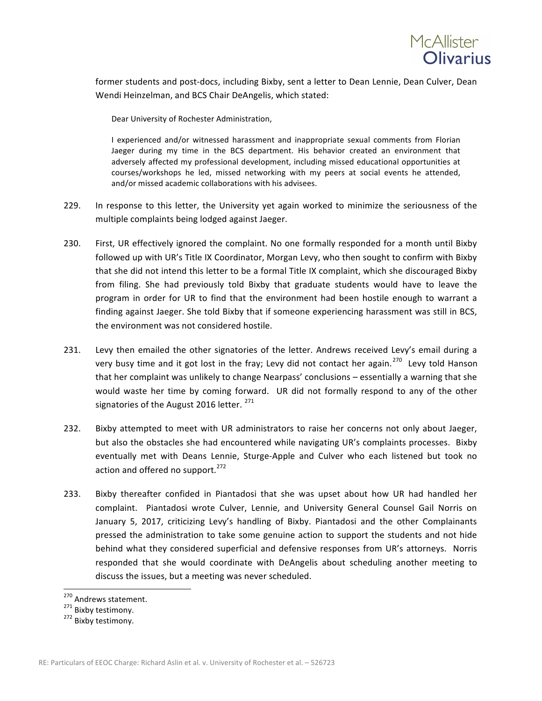

former students and post-docs, including Bixby, sent a letter to Dean Lennie, Dean Culver, Dean Wendi Heinzelman, and BCS Chair DeAngelis, which stated:

Dear University of Rochester Administration,

I experienced and/or witnessed harassment and inappropriate sexual comments from Florian Jaeger during my time in the BCS department. His behavior created an environment that adversely affected my professional development, including missed educational opportunities at courses/workshops he led, missed networking with my peers at social events he attended, and/or missed academic collaborations with his advisees. 

- 229. In response to this letter, the University yet again worked to minimize the seriousness of the multiple complaints being lodged against Jaeger.
- 230. First, UR effectively ignored the complaint. No one formally responded for a month until Bixby followed up with UR's Title IX Coordinator, Morgan Levy, who then sought to confirm with Bixby that she did not intend this letter to be a formal Title IX complaint, which she discouraged Bixby from filing. She had previously told Bixby that graduate students would have to leave the program in order for UR to find that the environment had been hostile enough to warrant a finding against Jaeger. She told Bixby that if someone experiencing harassment was still in BCS, the environment was not considered hostile.
- 231. Levy then emailed the other signatories of the letter. Andrews received Levy's email during a very busy time and it got lost in the fray; Levy did not contact her again.<sup>270</sup> Levy told Hanson that her complaint was unlikely to change Nearpass' conclusions – essentially a warning that she would waste her time by coming forward. UR did not formally respond to any of the other signatories of the August 2016 letter. <sup>271</sup>
- 232. Bixby attempted to meet with UR administrators to raise her concerns not only about Jaeger, but also the obstacles she had encountered while navigating UR's complaints processes. Bixby eventually met with Deans Lennie, Sturge-Apple and Culver who each listened but took no action and offered no support.<sup>272</sup>
- 233. Bixby thereafter confided in Piantadosi that she was upset about how UR had handled her complaint. Piantadosi wrote Culver, Lennie, and University General Counsel Gail Norris on January 5, 2017, criticizing Levy's handling of Bixby. Piantadosi and the other Complainants pressed the administration to take some genuine action to support the students and not hide behind what they considered superficial and defensive responses from UR's attorneys. Norris responded that she would coordinate with DeAngelis about scheduling another meeting to discuss the issues, but a meeting was never scheduled.

<sup>&</sup>lt;sup>270</sup> Andrews statement.

 $271$  Bixby testimony.<br> $272$  Bixby testimony.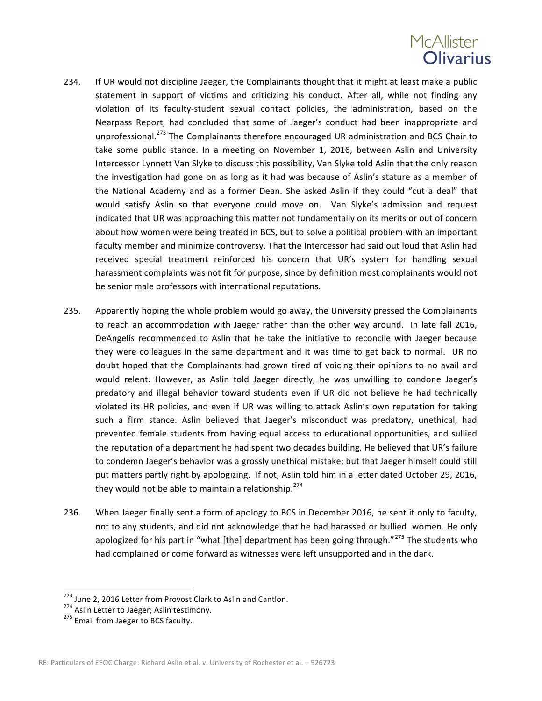# McAllister **Olivarius**

- 234. If UR would not discipline Jaeger, the Complainants thought that it might at least make a public statement in support of victims and criticizing his conduct. After all, while not finding any violation of its faculty-student sexual contact policies, the administration, based on the Nearpass Report, had concluded that some of Jaeger's conduct had been inappropriate and unprofessional.<sup>273</sup> The Complainants therefore encouraged UR administration and BCS Chair to take some public stance. In a meeting on November 1, 2016, between Aslin and University Intercessor Lynnett Van Slyke to discuss this possibility, Van Slyke told Aslin that the only reason the investigation had gone on as long as it had was because of Aslin's stature as a member of the National Academy and as a former Dean. She asked Aslin if they could "cut a deal" that would satisfy Aslin so that everyone could move on. Van Slyke's admission and request indicated that UR was approaching this matter not fundamentally on its merits or out of concern about how women were being treated in BCS, but to solve a political problem with an important faculty member and minimize controversy. That the Intercessor had said out loud that Aslin had received special treatment reinforced his concern that UR's system for handling sexual harassment complaints was not fit for purpose, since by definition most complainants would not be senior male professors with international reputations.
- 235. Apparently hoping the whole problem would go away, the University pressed the Complainants to reach an accommodation with Jaeger rather than the other way around. In late fall 2016, DeAngelis recommended to Aslin that he take the initiative to reconcile with Jaeger because they were colleagues in the same department and it was time to get back to normal. UR no doubt hoped that the Complainants had grown tired of voicing their opinions to no avail and would relent. However, as Aslin told Jaeger directly, he was unwilling to condone Jaeger's predatory and illegal behavior toward students even if UR did not believe he had technically violated its HR policies, and even if UR was willing to attack Aslin's own reputation for taking such a firm stance. Aslin believed that Jaeger's misconduct was predatory, unethical, had prevented female students from having equal access to educational opportunities, and sullied the reputation of a department he had spent two decades building. He believed that UR's failure to condemn Jaeger's behavior was a grossly unethical mistake; but that Jaeger himself could still put matters partly right by apologizing. If not, Aslin told him in a letter dated October 29, 2016, they would not be able to maintain a relationship.<sup>274</sup>
- 236. When Jaeger finally sent a form of apology to BCS in December 2016, he sent it only to faculty, not to any students, and did not acknowledge that he had harassed or bullied women. He only apologized for his part in "what [the] department has been going through."<sup>275</sup> The students who had complained or come forward as witnesses were left unsupported and in the dark.

<sup>&</sup>lt;sup>273</sup> June 2, 2016 Letter from Provost Clark to Aslin and Cantlon.<br><sup>274</sup> Aslin Letter to Jaeger; Aslin testimony.<br><sup>275</sup> Email from Jaeger to BCS faculty.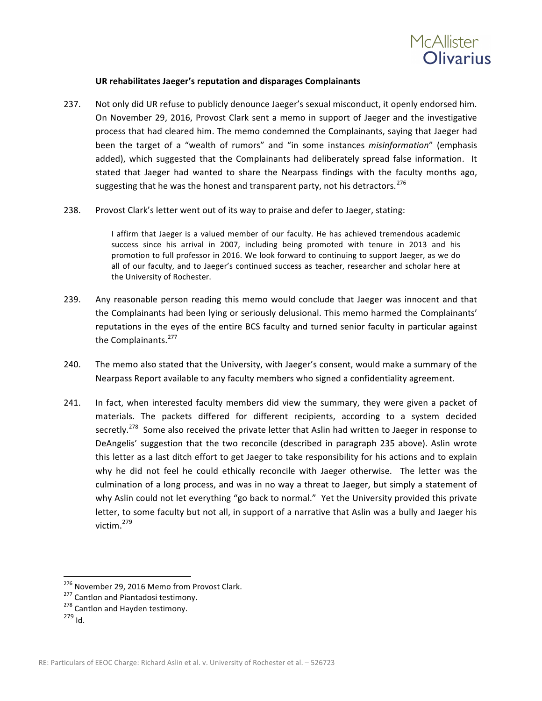

### UR rehabilitates Jaeger's reputation and disparages Complainants

- 237. Not only did UR refuse to publicly denounce Jaeger's sexual misconduct, it openly endorsed him. On November 29, 2016, Provost Clark sent a memo in support of Jaeger and the investigative process that had cleared him. The memo condemned the Complainants, saying that Jaeger had been the target of a "wealth of rumors" and "in some instances misinformation" (emphasis added), which suggested that the Complainants had deliberately spread false information. It stated that Jaeger had wanted to share the Nearpass findings with the faculty months ago, suggesting that he was the honest and transparent party, not his detractors.<sup>276</sup>
- 238. Provost Clark's letter went out of its way to praise and defer to Jaeger, stating:

I affirm that Jaeger is a valued member of our faculty. He has achieved tremendous academic success since his arrival in 2007, including being promoted with tenure in 2013 and his promotion to full professor in 2016. We look forward to continuing to support Jaeger, as we do all of our faculty, and to Jaeger's continued success as teacher, researcher and scholar here at the University of Rochester.

- 239. Any reasonable person reading this memo would conclude that Jaeger was innocent and that the Complainants had been lying or seriously delusional. This memo harmed the Complainants' reputations in the eyes of the entire BCS faculty and turned senior faculty in particular against the Complainants.<sup>277</sup>
- 240. The memo also stated that the University, with Jaeger's consent, would make a summary of the Nearpass Report available to any faculty members who signed a confidentiality agreement.
- 241. In fact, when interested faculty members did view the summary, they were given a packet of materials. The packets differed for different recipients, according to a system decided secretly.<sup>278</sup> Some also received the private letter that Aslin had written to Jaeger in response to DeAngelis' suggestion that the two reconcile (described in paragraph 235 above). Aslin wrote this letter as a last ditch effort to get Jaeger to take responsibility for his actions and to explain why he did not feel he could ethically reconcile with Jaeger otherwise. The letter was the culmination of a long process, and was in no way a threat to Jaeger, but simply a statement of why Aslin could not let everything "go back to normal." Yet the University provided this private letter, to some faculty but not all, in support of a narrative that Aslin was a bully and Jaeger his victim. <sup>279</sup>

<sup>&</sup>lt;sup>276</sup> November 29, 2016 Memo from Provost Clark.<br><sup>277</sup> Cantlon and Piantadosi testimony.<br><sup>278</sup> Cantlon and Hayden testimony.

<sup>279</sup> Id.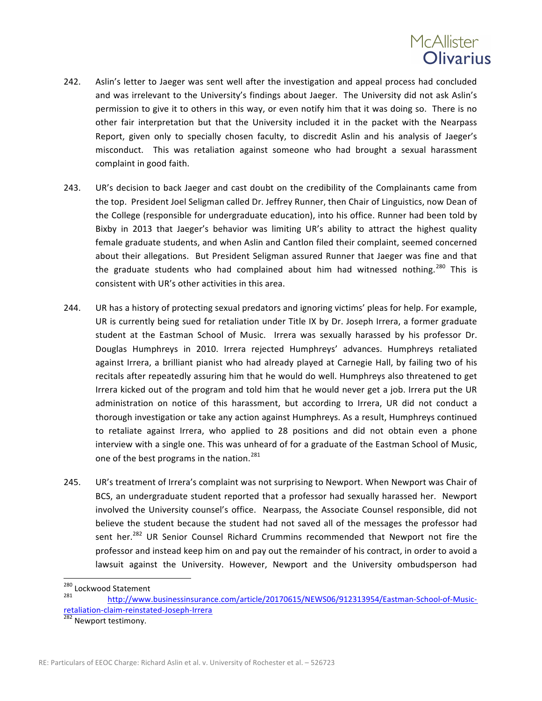

- 242. Aslin's letter to Jaeger was sent well after the investigation and appeal process had concluded and was irrelevant to the University's findings about Jaeger. The University did not ask Aslin's permission to give it to others in this way, or even notify him that it was doing so. There is no other fair interpretation but that the University included it in the packet with the Nearpass Report, given only to specially chosen faculty, to discredit Aslin and his analysis of Jaeger's misconduct. This was retaliation against someone who had brought a sexual harassment complaint in good faith.
- 243. UR's decision to back Jaeger and cast doubt on the credibility of the Complainants came from the top. President Joel Seligman called Dr. Jeffrey Runner, then Chair of Linguistics, now Dean of the College (responsible for undergraduate education), into his office. Runner had been told by Bixby in 2013 that Jaeger's behavior was limiting UR's ability to attract the highest quality female graduate students, and when Aslin and Cantlon filed their complaint, seemed concerned about their allegations. But President Seligman assured Runner that Jaeger was fine and that the graduate students who had complained about him had witnessed nothing.<sup>280</sup> This is consistent with UR's other activities in this area.
- 244. UR has a history of protecting sexual predators and ignoring victims' pleas for help. For example, UR is currently being sued for retaliation under Title IX by Dr. Joseph Irrera, a former graduate student at the Eastman School of Music. Irrera was sexually harassed by his professor Dr. Douglas Humphreys in 2010. Irrera rejected Humphreys' advances. Humphreys retaliated against Irrera, a brilliant pianist who had already played at Carnegie Hall, by failing two of his recitals after repeatedly assuring him that he would do well. Humphreys also threatened to get Irrera kicked out of the program and told him that he would never get a job. Irrera put the UR administration on notice of this harassment, but according to Irrera, UR did not conduct a thorough investigation or take any action against Humphreys. As a result, Humphreys continued to retaliate against Irrera, who applied to 28 positions and did not obtain even a phone interview with a single one. This was unheard of for a graduate of the Eastman School of Music, one of the best programs in the nation.<sup>281</sup>
- 245. UR's treatment of Irrera's complaint was not surprising to Newport. When Newport was Chair of BCS, an undergraduate student reported that a professor had sexually harassed her. Newport involved the University counsel's office. Nearpass, the Associate Counsel responsible, did not believe the student because the student had not saved all of the messages the professor had sent her.<sup>282</sup> UR Senior Counsel Richard Crummins recommended that Newport not fire the professor and instead keep him on and pay out the remainder of his contract, in order to avoid a lawsuit against the University. However, Newport and the University ombudsperson had

<sup>280</sup> Lockwood Statement<br><sup>281</sup> http://www.businessinsurance.com/article/20170615/NEWS06/912313954/Eastman-School-of-Musicretaliation-claim-reinstated-Joseph-Irrera <sup>282</sup> Newport testimony.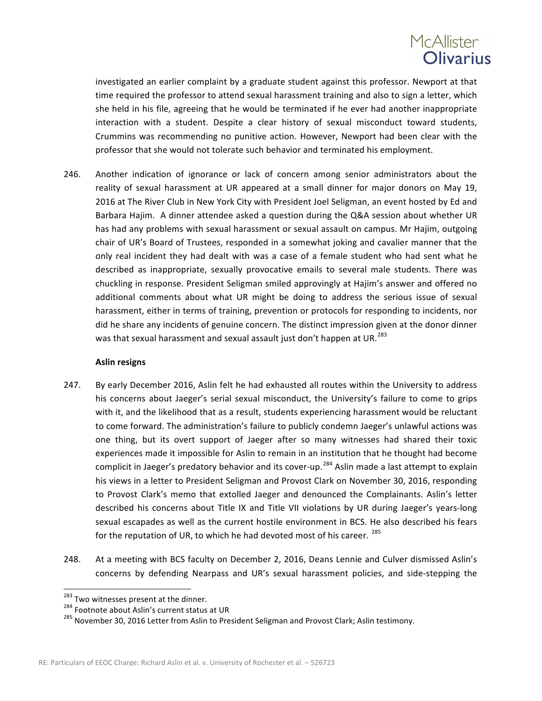

investigated an earlier complaint by a graduate student against this professor. Newport at that time required the professor to attend sexual harassment training and also to sign a letter, which she held in his file, agreeing that he would be terminated if he ever had another inappropriate interaction with a student. Despite a clear history of sexual misconduct toward students, Crummins was recommending no punitive action. However, Newport had been clear with the professor that she would not tolerate such behavior and terminated his employment.

246. Another indication of ignorance or lack of concern among senior administrators about the reality of sexual harassment at UR appeared at a small dinner for major donors on May 19, 2016 at The River Club in New York City with President Joel Seligman, an event hosted by Ed and Barbara Hajim. A dinner attendee asked a question during the Q&A session about whether UR has had any problems with sexual harassment or sexual assault on campus. Mr Hajim, outgoing chair of UR's Board of Trustees, responded in a somewhat joking and cavalier manner that the only real incident they had dealt with was a case of a female student who had sent what he described as inappropriate, sexually provocative emails to several male students. There was chuckling in response. President Seligman smiled approvingly at Hajim's answer and offered no additional comments about what UR might be doing to address the serious issue of sexual harassment, either in terms of training, prevention or protocols for responding to incidents, nor did he share any incidents of genuine concern. The distinct impression given at the donor dinner was that sexual harassment and sexual assault just don't happen at UR.<sup>283</sup>

#### Aslin resigns

- 247. By early December 2016, Aslin felt he had exhausted all routes within the University to address his concerns about Jaeger's serial sexual misconduct, the University's failure to come to grips with it, and the likelihood that as a result, students experiencing harassment would be reluctant to come forward. The administration's failure to publicly condemn Jaeger's unlawful actions was one thing, but its overt support of Jaeger after so many witnesses had shared their toxic experiences made it impossible for Aslin to remain in an institution that he thought had become complicit in Jaeger's predatory behavior and its cover-up.<sup>284</sup> Aslin made a last attempt to explain his views in a letter to President Seligman and Provost Clark on November 30, 2016, responding to Provost Clark's memo that extolled Jaeger and denounced the Complainants. Aslin's letter described his concerns about Title IX and Title VII violations by UR during Jaeger's years-long sexual escapades as well as the current hostile environment in BCS. He also described his fears for the reputation of UR, to which he had devoted most of his career. <sup>285</sup>
- 248. At a meeting with BCS faculty on December 2, 2016, Deans Lennie and Culver dismissed Aslin's concerns by defending Nearpass and UR's sexual harassment policies, and side-stepping the

<sup>&</sup>lt;sup>283</sup> Two witnesses present at the dinner.

<sup>284</sup> Footnote about Aslin's current status at UR<br>
<sup>284</sup> Footnote about Aslin's current status at UR<br>
<sup>285</sup> November 30, 2016 Letter from Aslin to President Seligman and Provost Clark; Aslin testimony.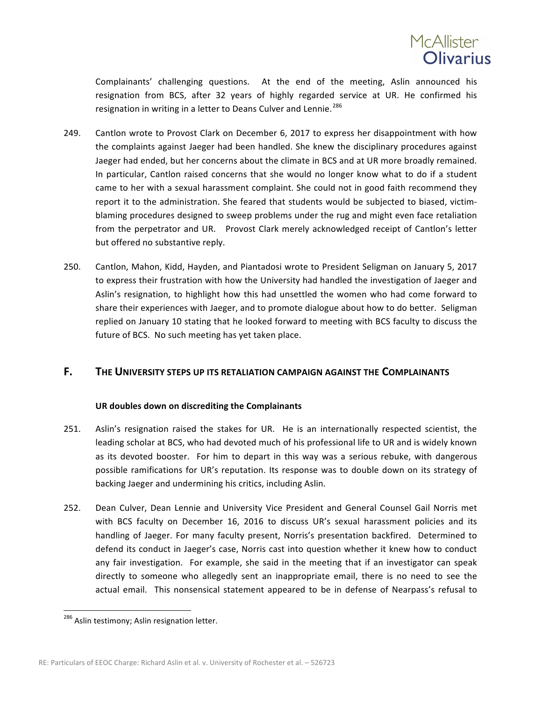

Complainants' challenging questions. At the end of the meeting, Aslin announced his resignation from BCS, after 32 years of highly regarded service at UR. He confirmed his resignation in writing in a letter to Deans Culver and Lennie.<sup>286</sup>

- 249. Cantlon wrote to Provost Clark on December 6, 2017 to express her disappointment with how the complaints against Jaeger had been handled. She knew the disciplinary procedures against Jaeger had ended, but her concerns about the climate in BCS and at UR more broadly remained. In particular, Cantlon raised concerns that she would no longer know what to do if a student came to her with a sexual harassment complaint. She could not in good faith recommend they report it to the administration. She feared that students would be subjected to biased, victim-‐ blaming procedures designed to sweep problems under the rug and might even face retaliation from the perpetrator and UR. Provost Clark merely acknowledged receipt of Cantlon's letter but offered no substantive reply.
- 250. Cantlon, Mahon, Kidd, Hayden, and Piantadosi wrote to President Seligman on January 5, 2017 to express their frustration with how the University had handled the investigation of Jaeger and Aslin's resignation, to highlight how this had unsettled the women who had come forward to share their experiences with Jaeger, and to promote dialogue about how to do better. Seligman replied on January 10 stating that he looked forward to meeting with BCS faculty to discuss the future of BCS. No such meeting has yet taken place.

# F. THE UNIVERSITY STEPS UP ITS RETALIATION CAMPAIGN AGAINST THE COMPLAINANTS

#### UR doubles down on discrediting the Complainants

- 251. Aslin's resignation raised the stakes for UR. He is an internationally respected scientist, the leading scholar at BCS, who had devoted much of his professional life to UR and is widely known as its devoted booster. For him to depart in this way was a serious rebuke, with dangerous possible ramifications for UR's reputation. Its response was to double down on its strategy of backing Jaeger and undermining his critics, including Aslin.
- 252. Dean Culver, Dean Lennie and University Vice President and General Counsel Gail Norris met with BCS faculty on December 16, 2016 to discuss UR's sexual harassment policies and its handling of Jaeger. For many faculty present, Norris's presentation backfired. Determined to defend its conduct in Jaeger's case, Norris cast into question whether it knew how to conduct any fair investigation. For example, she said in the meeting that if an investigator can speak directly to someone who allegedly sent an inappropriate email, there is no need to see the actual email. This nonsensical statement appeared to be in defense of Nearpass's refusal to

<sup>&</sup>lt;sup>286</sup> Aslin testimony; Aslin resignation letter.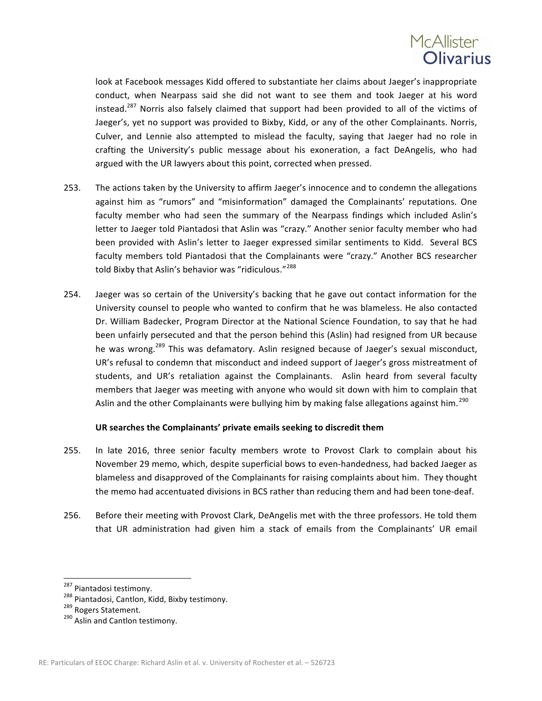

look at Facebook messages Kidd offered to substantiate her claims about Jaeger's inappropriate conduct, when Nearpass said she did not want to see them and took Jaeger at his word instead.<sup>287</sup> Norris also falsely claimed that support had been provided to all of the victims of Jaeger's, yet no support was provided to Bixby, Kidd, or any of the other Complainants. Norris, Culver, and Lennie also attempted to mislead the faculty, saying that Jaeger had no role in crafting the University's public message about his exoneration, a fact DeAngelis, who had argued with the UR lawyers about this point, corrected when pressed.

- 253. The actions taken by the University to affirm Jaeger's innocence and to condemn the allegations against him as "rumors" and "misinformation" damaged the Complainants' reputations. One faculty member who had seen the summary of the Nearpass findings which included Aslin's letter to Jaeger told Piantadosi that Aslin was "crazy." Another senior faculty member who had been provided with Aslin's letter to Jaeger expressed similar sentiments to Kidd. Several BCS faculty members told Piantadosi that the Complainants were "crazy." Another BCS researcher told Bixby that Aslin's behavior was "ridiculous."<sup>288</sup>
- 254. Jaeger was so certain of the University's backing that he gave out contact information for the University counsel to people who wanted to confirm that he was blameless. He also contacted Dr. William Badecker, Program Director at the National Science Foundation, to say that he had been unfairly persecuted and that the person behind this (Aslin) had resigned from UR because he was wrong.<sup>289</sup> This was defamatory. Aslin resigned because of Jaeger's sexual misconduct, UR's refusal to condemn that misconduct and indeed support of Jaeger's gross mistreatment of students, and UR's retaliation against the Complainants. Aslin heard from several faculty members that Jaeger was meeting with anyone who would sit down with him to complain that Aslin and the other Complainants were bullying him by making false allegations against him.<sup>290</sup>

#### UR searches the Complainants' private emails seeking to discredit them

- 255. In late 2016, three senior faculty members wrote to Provost Clark to complain about his November 29 memo, which, despite superficial bows to even-handedness, had backed Jaeger as blameless and disapproved of the Complainants for raising complaints about him. They thought the memo had accentuated divisions in BCS rather than reducing them and had been tone-deaf.
- 256. Before their meeting with Provost Clark, DeAngelis met with the three professors. He told them that UR administration had given him a stack of emails from the Complainants' UR email

<sup>&</sup>lt;sup>287</sup> Piantadosi testimony.<br><sup>288</sup> Piantadosi, Cantlon, Kidd, Bixby testimony.<br><sup>289</sup> Rogers Statement.<br><sup>290</sup> Aslin and Cantlon testimony.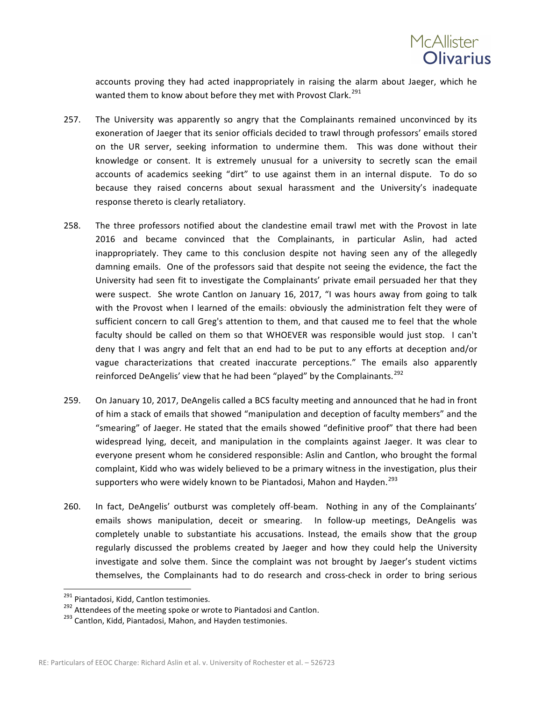

accounts proving they had acted inappropriately in raising the alarm about Jaeger, which he wanted them to know about before they met with Provost Clark.<sup>291</sup>

- 257. The University was apparently so angry that the Complainants remained unconvinced by its exoneration of Jaeger that its senior officials decided to trawl through professors' emails stored on the UR server, seeking information to undermine them. This was done without their knowledge or consent. It is extremely unusual for a university to secretly scan the email accounts of academics seeking "dirt" to use against them in an internal dispute. To do so because they raised concerns about sexual harassment and the University's inadequate response thereto is clearly retaliatory.
- 258. The three professors notified about the clandestine email trawl met with the Provost in late 2016 and became convinced that the Complainants, in particular Aslin, had acted inappropriately. They came to this conclusion despite not having seen any of the allegedly damning emails. One of the professors said that despite not seeing the evidence, the fact the University had seen fit to investigate the Complainants' private email persuaded her that they were suspect. She wrote Cantlon on January 16, 2017, "I was hours away from going to talk with the Provost when I learned of the emails: obviously the administration felt they were of sufficient concern to call Greg's attention to them, and that caused me to feel that the whole faculty should be called on them so that WHOEVER was responsible would just stop. I can't deny that I was angry and felt that an end had to be put to any efforts at deception and/or vague characterizations that created inaccurate perceptions." The emails also apparently reinforced DeAngelis' view that he had been "played" by the Complainants. $^{292}$
- 259. On January 10, 2017, DeAngelis called a BCS faculty meeting and announced that he had in front of him a stack of emails that showed "manipulation and deception of faculty members" and the "smearing" of Jaeger. He stated that the emails showed "definitive proof" that there had been widespread lying, deceit, and manipulation in the complaints against Jaeger. It was clear to everyone present whom he considered responsible: Aslin and Cantlon, who brought the formal complaint, Kidd who was widely believed to be a primary witness in the investigation, plus their supporters who were widely known to be Piantadosi, Mahon and Hayden.<sup>293</sup>
- 260. In fact, DeAngelis' outburst was completely off-beam. Nothing in any of the Complainants' emails shows manipulation, deceit or smearing. In follow-up meetings, DeAngelis was completely unable to substantiate his accusations. Instead, the emails show that the group regularly discussed the problems created by Jaeger and how they could help the University investigate and solve them. Since the complaint was not brought by Jaeger's student victims themselves, the Complainants had to do research and cross-check in order to bring serious

<sup>&</sup>lt;sup>291</sup> Piantadosi, Kidd, Cantlon testimonies.

<sup>292</sup> Attendees of the meeting spoke or wrote to Piantadosi and Cantlon.<br><sup>293</sup> Cantlon, Kidd, Piantadosi, Mahon, and Hayden testimonies.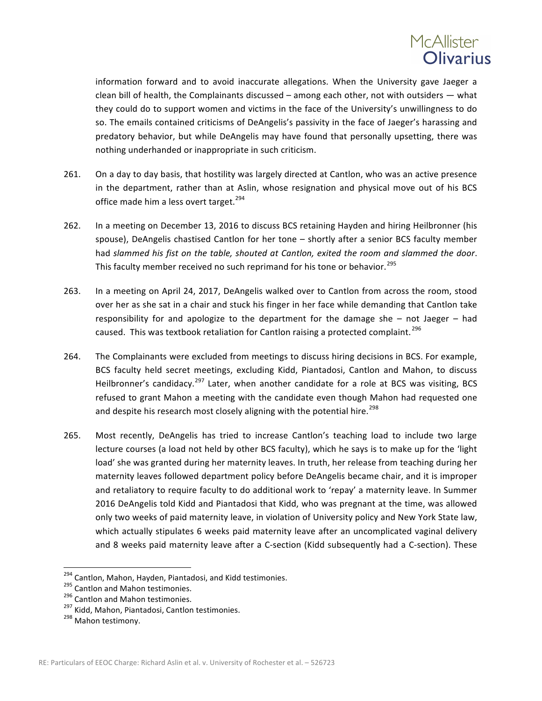

information forward and to avoid inaccurate allegations. When the University gave Jaeger a clean bill of health, the Complainants discussed – among each other, not with outsiders — what they could do to support women and victims in the face of the University's unwillingness to do so. The emails contained criticisms of DeAngelis's passivity in the face of Jaeger's harassing and predatory behavior, but while DeAngelis may have found that personally upsetting, there was nothing underhanded or inappropriate in such criticism. 

- 261. On a day to day basis, that hostility was largely directed at Cantlon, who was an active presence in the department, rather than at Aslin, whose resignation and physical move out of his BCS office made him a less overt target.<sup>294</sup>
- 262. In a meeting on December 13, 2016 to discuss BCS retaining Hayden and hiring Heilbronner (his spouse), DeAngelis chastised Cantlon for her tone – shortly after a senior BCS faculty member had slammed his fist on the table, shouted at Cantlon, exited the room and slammed the door. This faculty member received no such reprimand for his tone or behavior.<sup>295</sup>
- 263. In a meeting on April 24, 2017, DeAngelis walked over to Cantlon from across the room, stood over her as she sat in a chair and stuck his finger in her face while demanding that Cantlon take responsibility for and apologize to the department for the damage she – not Jaeger – had caused. This was textbook retaliation for Cantlon raising a protected complaint.<sup>296</sup>
- 264. The Complainants were excluded from meetings to discuss hiring decisions in BCS. For example, BCS faculty held secret meetings, excluding Kidd, Piantadosi, Cantlon and Mahon, to discuss Heilbronner's candidacy.<sup>297</sup> Later, when another candidate for a role at BCS was visiting, BCS refused to grant Mahon a meeting with the candidate even though Mahon had requested one and despite his research most closely aligning with the potential hire.<sup>298</sup>
- 265. Most recently, DeAngelis has tried to increase Cantlon's teaching load to include two large lecture courses (a load not held by other BCS faculty), which he says is to make up for the 'light load' she was granted during her maternity leaves. In truth, her release from teaching during her maternity leaves followed department policy before DeAngelis became chair, and it is improper and retaliatory to require faculty to do additional work to 'repay' a maternity leave. In Summer 2016 DeAngelis told Kidd and Piantadosi that Kidd, who was pregnant at the time, was allowed only two weeks of paid maternity leave, in violation of University policy and New York State law, which actually stipulates 6 weeks paid maternity leave after an uncomplicated vaginal delivery and 8 weeks paid maternity leave after a C-section (Kidd subsequently had a C-section). These

<sup>&</sup>lt;sup>294</sup> Cantlon, Mahon, Hayden, Piantadosi, and Kidd testimonies.<br><sup>295</sup> Cantlon and Mahon testimonies.<br><sup>296</sup> Cantlon and Mahon testimonies.<br><sup>297</sup> Kidd, Mahon, Piantadosi, Cantlon testimonies.<br><sup>298</sup> Mahon testimony.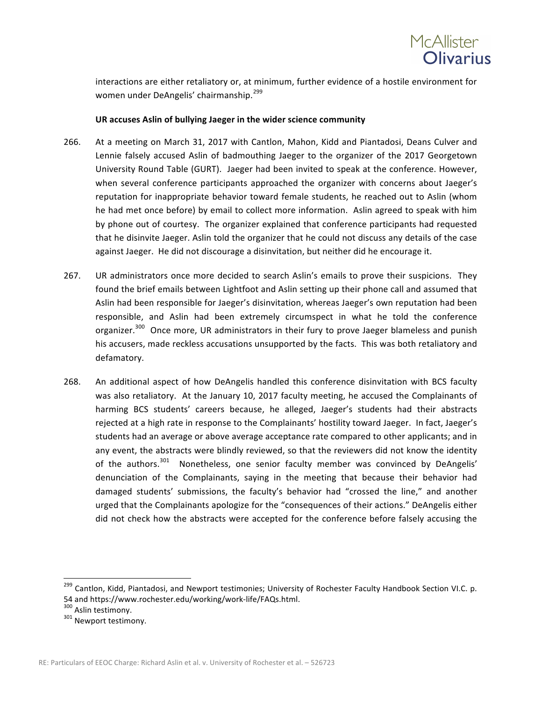

interactions are either retaliatory or, at minimum, further evidence of a hostile environment for women under DeAngelis' chairmanship.<sup>299</sup>

#### UR accuses Aslin of bullying Jaeger in the wider science community

- 266. At a meeting on March 31, 2017 with Cantlon, Mahon, Kidd and Piantadosi, Deans Culver and Lennie falsely accused Aslin of badmouthing Jaeger to the organizer of the 2017 Georgetown University Round Table (GURT). Jaeger had been invited to speak at the conference. However, when several conference participants approached the organizer with concerns about Jaeger's reputation for inappropriate behavior toward female students, he reached out to Aslin (whom he had met once before) by email to collect more information. Aslin agreed to speak with him by phone out of courtesy. The organizer explained that conference participants had requested that he disinvite Jaeger. Aslin told the organizer that he could not discuss any details of the case against Jaeger. He did not discourage a disinvitation, but neither did he encourage it.
- 267. UR administrators once more decided to search Aslin's emails to prove their suspicions. They found the brief emails between Lightfoot and Aslin setting up their phone call and assumed that Aslin had been responsible for Jaeger's disinvitation, whereas Jaeger's own reputation had been responsible, and Aslin had been extremely circumspect in what he told the conference organizer.<sup>300</sup> Once more, UR administrators in their fury to prove Jaeger blameless and punish his accusers, made reckless accusations unsupported by the facts. This was both retaliatory and defamatory.
- 268. An additional aspect of how DeAngelis handled this conference disinvitation with BCS faculty was also retaliatory. At the January 10, 2017 faculty meeting, he accused the Complainants of harming BCS students' careers because, he alleged, Jaeger's students had their abstracts rejected at a high rate in response to the Complainants' hostility toward Jaeger. In fact, Jaeger's students had an average or above average acceptance rate compared to other applicants; and in any event, the abstracts were blindly reviewed, so that the reviewers did not know the identity of the authors.<sup>301</sup> Nonetheless, one senior faculty member was convinced by DeAngelis' denunciation of the Complainants, saying in the meeting that because their behavior had damaged students' submissions, the faculty's behavior had "crossed the line," and another urged that the Complainants apologize for the "consequences of their actions." DeAngelis either did not check how the abstracts were accepted for the conference before falsely accusing the

<sup>&</sup>lt;sup>299</sup> Cantlon, Kidd, Piantadosi, and Newport testimonies; University of Rochester Faculty Handbook Section VI.C. p. 54 and https://www.rochester.edu/working/work-life/FAQs.html.<br><sup>300</sup> Aslin testimony.<br><sup>301</sup> Newport testimony.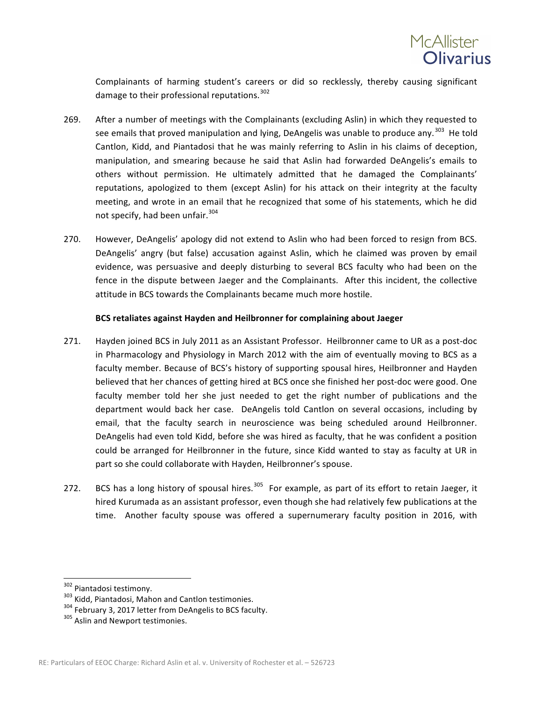

Complainants of harming student's careers or did so recklessly, thereby causing significant damage to their professional reputations.<sup>302</sup>

- 269. After a number of meetings with the Complainants (excluding Aslin) in which they requested to see emails that proved manipulation and lying, DeAngelis was unable to produce any.<sup>303</sup> He told Cantlon, Kidd, and Piantadosi that he was mainly referring to Aslin in his claims of deception, manipulation, and smearing because he said that Aslin had forwarded DeAngelis's emails to others without permission. He ultimately admitted that he damaged the Complainants' reputations, apologized to them (except Aslin) for his attack on their integrity at the faculty meeting, and wrote in an email that he recognized that some of his statements, which he did not specify, had been unfair.<sup>304</sup>
- 270. However, DeAngelis' apology did not extend to Aslin who had been forced to resign from BCS. DeAngelis' angry (but false) accusation against Aslin, which he claimed was proven by email evidence, was persuasive and deeply disturbing to several BCS faculty who had been on the fence in the dispute between Jaeger and the Complainants. After this incident, the collective attitude in BCS towards the Complainants became much more hostile.

#### BCS retaliates against Hayden and Heilbronner for complaining about Jaeger

- 271. Hayden joined BCS in July 2011 as an Assistant Professor. Heilbronner came to UR as a post-doc in Pharmacology and Physiology in March 2012 with the aim of eventually moving to BCS as a faculty member. Because of BCS's history of supporting spousal hires, Heilbronner and Hayden believed that her chances of getting hired at BCS once she finished her post-doc were good. One faculty member told her she just needed to get the right number of publications and the department would back her case. DeAngelis told Cantlon on several occasions, including by email, that the faculty search in neuroscience was being scheduled around Heilbronner. 

 DeAngelis had even told Kidd, before she was hired as faculty, that he was confident a position could be arranged for Heilbronner in the future, since Kidd wanted to stay as faculty at UR in part so she could collaborate with Hayden, Heilbronner's spouse.
- 272. BCS has a long history of spousal hires.<sup>305</sup> For example, as part of its effort to retain Jaeger, it hired Kurumada as an assistant professor, even though she had relatively few publications at the time. Another faculty spouse was offered a supernumerary faculty position in 2016, with

<sup>&</sup>lt;sup>302</sup> Piantadosi testimony.<br><sup>303</sup> Kidd, Piantadosi, Mahon and Cantlon testimonies.<br><sup>304</sup> February 3, 2017 letter from DeAngelis to BCS faculty.<br><sup>305</sup> Aslin and Newport testimonies.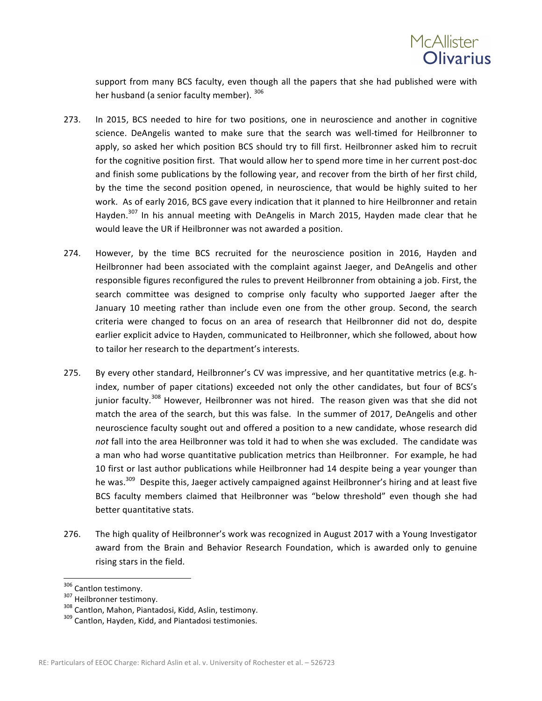

support from many BCS faculty, even though all the papers that she had published were with her husband (a senior faculty member). 306

- 273. In 2015, BCS needed to hire for two positions, one in neuroscience and another in cognitive science. DeAngelis wanted to make sure that the search was well-timed for Heilbronner to apply, so asked her which position BCS should try to fill first. Heilbronner asked him to recruit for the cognitive position first. That would allow her to spend more time in her current post-doc and finish some publications by the following year, and recover from the birth of her first child, by the time the second position opened, in neuroscience, that would be highly suited to her work. As of early 2016, BCS gave every indication that it planned to hire Heilbronner and retain Hayden.<sup>307</sup> In his annual meeting with DeAngelis in March 2015, Hayden made clear that he would leave the UR if Heilbronner was not awarded a position.
- 274. However, by the time BCS recruited for the neuroscience position in 2016, Hayden and Heilbronner had been associated with the complaint against Jaeger, and DeAngelis and other responsible figures reconfigured the rules to prevent Heilbronner from obtaining a job. First, the search committee was designed to comprise only faculty who supported Jaeger after the January 10 meeting rather than include even one from the other group. Second, the search criteria were changed to focus on an area of research that Heilbronner did not do, despite earlier explicit advice to Hayden, communicated to Heilbronner, which she followed, about how to tailor her research to the department's interests.
- 275. By every other standard, Heilbronner's CV was impressive, and her quantitative metrics (e.g. h-‐ index, number of paper citations) exceeded not only the other candidates, but four of BCS's junior faculty.<sup>308</sup> However, Heilbronner was not hired. The reason given was that she did not match the area of the search, but this was false. In the summer of 2017, DeAngelis and other neuroscience faculty sought out and offered a position to a new candidate, whose research did not fall into the area Heilbronner was told it had to when she was excluded. The candidate was a man who had worse quantitative publication metrics than Heilbronner. For example, he had 10 first or last author publications while Heilbronner had 14 despite being a year younger than he was.<sup>309</sup> Despite this, Jaeger actively campaigned against Heilbronner's hiring and at least five BCS faculty members claimed that Heilbronner was "below threshold" even though she had better quantitative stats.
- 276. The high quality of Heilbronner's work was recognized in August 2017 with a Young Investigator award from the Brain and Behavior Research Foundation, which is awarded only to genuine rising stars in the field.

<sup>&</sup>lt;sup>306</sup> Cantlon testimony.<br><sup>307</sup> Heilbronner testimony.<br><sup>308</sup> Cantlon, Mahon, Piantadosi, Kidd, Aslin, testimony.<br><sup>309</sup> Cantlon, Hayden, Kidd, and Piantadosi testimonies.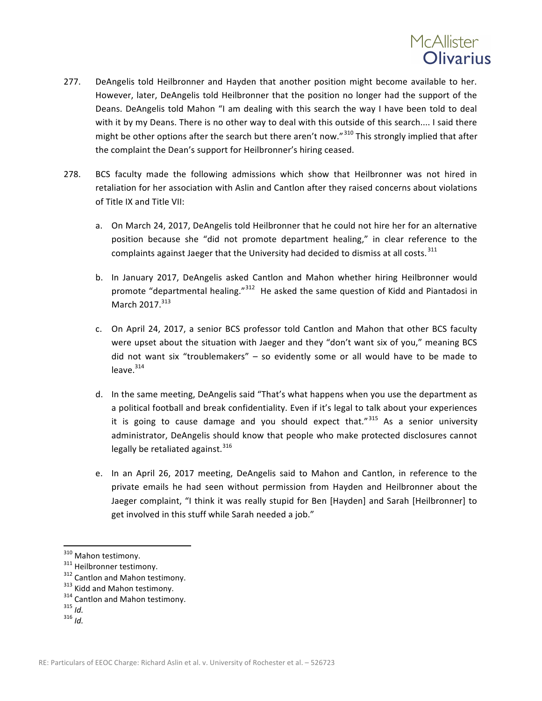

- 277. DeAngelis told Heilbronner and Hayden that another position might become available to her. However, later, DeAngelis told Heilbronner that the position no longer had the support of the Deans. DeAngelis told Mahon "I am dealing with this search the way I have been told to deal with it by my Deans. There is no other way to deal with this outside of this search.... I said there might be other options after the search but there aren't now."<sup>310</sup> This strongly implied that after the complaint the Dean's support for Heilbronner's hiring ceased.
- 278. BCS faculty made the following admissions which show that Heilbronner was not hired in retaliation for her association with Aslin and Cantlon after they raised concerns about violations of Title IX and Title VII:
	- a. On March 24, 2017, DeAngelis told Heilbronner that he could not hire her for an alternative position because she "did not promote department healing," in clear reference to the complaints against Jaeger that the University had decided to dismiss at all costs.<sup>311</sup>
	- b. In January 2017, DeAngelis asked Cantlon and Mahon whether hiring Heilbronner would promote "departmental healing."<sup>312</sup> He asked the same question of Kidd and Piantadosi in March 2017.<sup>313</sup>
	- c. On April 24, 2017, a senior BCS professor told Cantlon and Mahon that other BCS faculty were upset about the situation with Jaeger and they "don't want six of you," meaning BCS did not want six "troublemakers" – so evidently some or all would have to be made to  $leave.<sup>314</sup>$
	- d. In the same meeting, DeAngelis said "That's what happens when you use the department as a political football and break confidentiality. Even if it's legal to talk about your experiences it is going to cause damage and you should expect that." $315$  As a senior university administrator, DeAngelis should know that people who make protected disclosures cannot legally be retaliated against.  $316$
	- e. In an April 26, 2017 meeting, DeAngelis said to Mahon and Cantlon, in reference to the private emails he had seen without permission from Hayden and Heilbronner about the Jaeger complaint, "I think it was really stupid for Ben [Hayden] and Sarah [Heilbronner] to get involved in this stuff while Sarah needed a job."

<sup>&</sup>lt;sup>310</sup> Mahon testimony.<br><sup>311</sup> Cantlon and Mahon testimony.<br><sup>313</sup> Kidd and Mahon testimony.<br><sup>314</sup> Cantlon and Mahon testimony.<br><sup>315</sup> Id.<br><sup>316</sup> Id.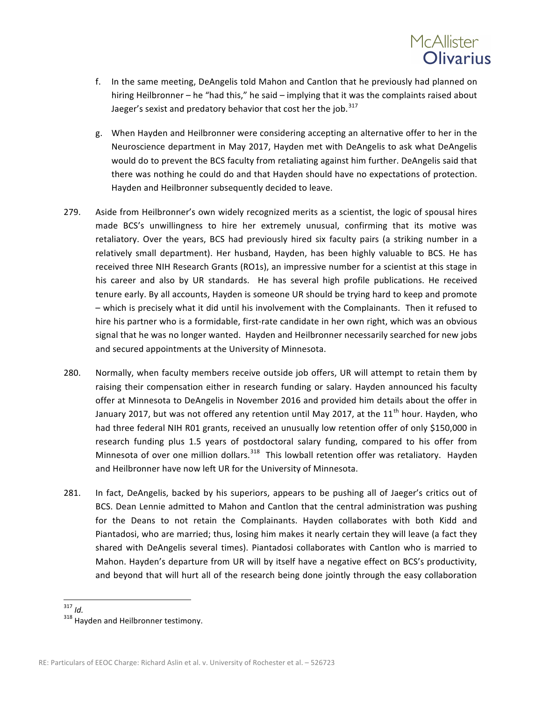

- f. In the same meeting, DeAngelis told Mahon and Cantlon that he previously had planned on hiring Heilbronner – he "had this," he said – implying that it was the complaints raised about Jaeger's sexist and predatory behavior that cost her the job. 317
- g. When Hayden and Heilbronner were considering accepting an alternative offer to her in the Neuroscience department in May 2017, Hayden met with DeAngelis to ask what DeAngelis would do to prevent the BCS faculty from retaliating against him further. DeAngelis said that there was nothing he could do and that Hayden should have no expectations of protection. Hayden and Heilbronner subsequently decided to leave.
- 279. Aside from Heilbronner's own widely recognized merits as a scientist, the logic of spousal hires made BCS's unwillingness to hire her extremely unusual, confirming that its motive was retaliatory. Over the years, BCS had previously hired six faculty pairs (a striking number in a relatively small department). Her husband, Hayden, has been highly valuable to BCS. He has received three NIH Research Grants (RO1s), an impressive number for a scientist at this stage in his career and also by UR standards. He has several high profile publications. He received tenure early. By all accounts, Hayden is someone UR should be trying hard to keep and promote - which is precisely what it did until his involvement with the Complainants. Then it refused to hire his partner who is a formidable, first-rate candidate in her own right, which was an obvious signal that he was no longer wanted. Hayden and Heilbronner necessarily searched for new jobs and secured appointments at the University of Minnesota.
- 280. Normally, when faculty members receive outside job offers, UR will attempt to retain them by raising their compensation either in research funding or salary. Hayden announced his faculty offer at Minnesota to DeAngelis in November 2016 and provided him details about the offer in January 2017, but was not offered any retention until May 2017, at the 11<sup>th</sup> hour. Hayden, who had three federal NIH R01 grants, received an unusually low retention offer of only \$150,000 in research funding plus 1.5 years of postdoctoral salary funding, compared to his offer from Minnesota of over one million dollars.<sup>318</sup> This lowball retention offer was retaliatory. Hayden and Heilbronner have now left UR for the University of Minnesota.
- 281. In fact, DeAngelis, backed by his superiors, appears to be pushing all of Jaeger's critics out of BCS. Dean Lennie admitted to Mahon and Cantlon that the central administration was pushing for the Deans to not retain the Complainants. Hayden collaborates with both Kidd and Piantadosi, who are married; thus, losing him makes it nearly certain they will leave (a fact they shared with DeAngelis several times). Piantadosi collaborates with Cantlon who is married to Mahon. Hayden's departure from UR will by itself have a negative effect on BCS's productivity, and beyond that will hurt all of the research being done jointly through the easy collaboration

 $\frac{317}{318}$  *Id.* 318 Hayden and Heilbronner testimony.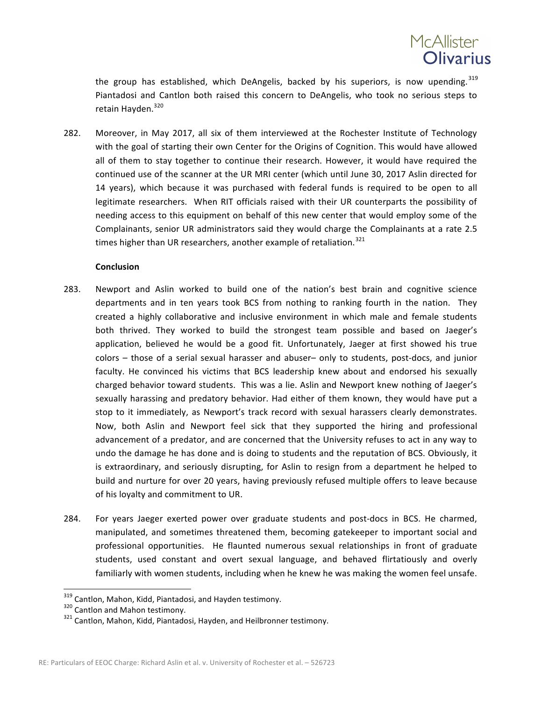

the group has established, which DeAngelis, backed by his superiors, is now upending.<sup>319</sup> Piantadosi and Cantlon both raised this concern to DeAngelis, who took no serious steps to retain Hayden.<sup>320</sup>

282. Moreover, in May 2017, all six of them interviewed at the Rochester Institute of Technology with the goal of starting their own Center for the Origins of Cognition. This would have allowed all of them to stay together to continue their research. However, it would have required the continued use of the scanner at the UR MRI center (which until June 30, 2017 Aslin directed for 14 years), which because it was purchased with federal funds is required to be open to all legitimate researchers. When RIT officials raised with their UR counterparts the possibility of needing access to this equipment on behalf of this new center that would employ some of the Complainants, senior UR administrators said they would charge the Complainants at a rate 2.5 times higher than UR researchers, another example of retaliation.<sup>321</sup>

#### Conclusion

- 283. Newport and Aslin worked to build one of the nation's best brain and cognitive science departments and in ten years took BCS from nothing to ranking fourth in the nation. They created a highly collaborative and inclusive environment in which male and female students both thrived. They worked to build the strongest team possible and based on Jaeger's application, believed he would be a good fit. Unfortunately, Jaeger at first showed his true colors – those of a serial sexual harasser and abuser– only to students, post-docs, and junior faculty. He convinced his victims that BCS leadership knew about and endorsed his sexually charged behavior toward students. This was a lie. Aslin and Newport knew nothing of Jaeger's sexually harassing and predatory behavior. Had either of them known, they would have put a stop to it immediately, as Newport's track record with sexual harassers clearly demonstrates. Now, both Aslin and Newport feel sick that they supported the hiring and professional advancement of a predator, and are concerned that the University refuses to act in any way to undo the damage he has done and is doing to students and the reputation of BCS. Obviously, it is extraordinary, and seriously disrupting, for Aslin to resign from a department he helped to build and nurture for over 20 years, having previously refused multiple offers to leave because of his loyalty and commitment to UR.
- 284. For years Jaeger exerted power over graduate students and post-docs in BCS. He charmed, manipulated, and sometimes threatened them, becoming gatekeeper to important social and professional opportunities. He flaunted numerous sexual relationships in front of graduate students, used constant and overt sexual language, and behaved flirtatiously and overly familiarly with women students, including when he knew he was making the women feel unsafe.

<sup>&</sup>lt;sup>319</sup> Cantlon, Mahon, Kidd, Piantadosi, and Hayden testimony.<br><sup>320</sup> Cantlon and Mahon testimony.<br><sup>321</sup> Cantlon, Mahon, Kidd, Piantadosi, Hayden, and Heilbronner testimony.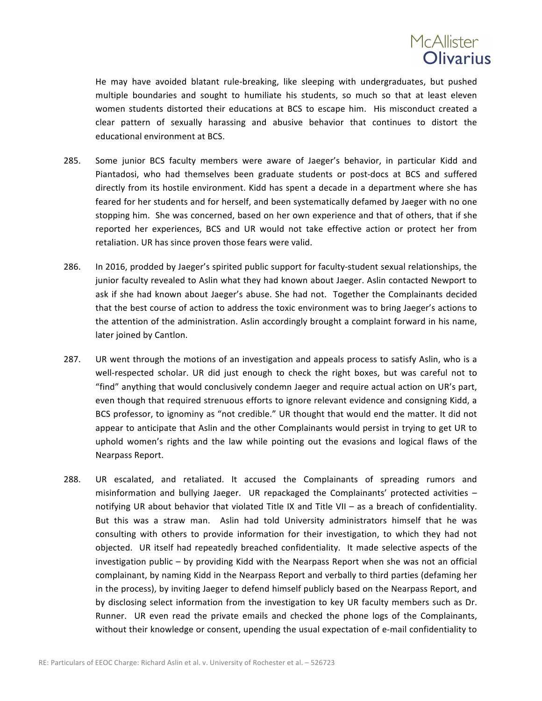

He may have avoided blatant rule-breaking, like sleeping with undergraduates, but pushed multiple boundaries and sought to humiliate his students, so much so that at least eleven women students distorted their educations at BCS to escape him. His misconduct created a clear pattern of sexually harassing and abusive behavior that continues to distort the educational environment at BCS. 

- 285. Some junior BCS faculty members were aware of Jaeger's behavior, in particular Kidd and Piantadosi, who had themselves been graduate students or post-docs at BCS and suffered directly from its hostile environment. Kidd has spent a decade in a department where she has feared for her students and for herself, and been systematically defamed by Jaeger with no one stopping him. She was concerned, based on her own experience and that of others, that if she reported her experiences, BCS and UR would not take effective action or protect her from retaliation. UR has since proven those fears were valid.
- 286. In 2016, prodded by Jaeger's spirited public support for faculty-student sexual relationships, the junior faculty revealed to Aslin what they had known about Jaeger. Aslin contacted Newport to ask if she had known about Jaeger's abuse. She had not. Together the Complainants decided that the best course of action to address the toxic environment was to bring Jaeger's actions to the attention of the administration. Aslin accordingly brought a complaint forward in his name, later joined by Cantlon.
- 287. UR went through the motions of an investigation and appeals process to satisfy Aslin, who is a well-respected scholar. UR did just enough to check the right boxes, but was careful not to "find" anything that would conclusively condemn Jaeger and require actual action on UR's part, even though that required strenuous efforts to ignore relevant evidence and consigning Kidd, a BCS professor, to ignominy as "not credible." UR thought that would end the matter. It did not appear to anticipate that Aslin and the other Complainants would persist in trying to get UR to uphold women's rights and the law while pointing out the evasions and logical flaws of the Nearpass Report.
- 288. UR escalated, and retaliated. It accused the Complainants of spreading rumors and misinformation and bullying Jaeger. UR repackaged the Complainants' protected activities  $$ notifying UR about behavior that violated Title IX and Title VII – as a breach of confidentiality. 

 But this was a straw man. Aslin had told University administrators himself that he was consulting with others to provide information for their investigation, to which they had not objected. UR itself had repeatedly breached confidentiality. It made selective aspects of the investigation public – by providing Kidd with the Nearpass Report when she was not an official complainant, by naming Kidd in the Nearpass Report and verbally to third parties (defaming her in the process), by inviting Jaeger to defend himself publicly based on the Nearpass Report, and by disclosing select information from the investigation to key UR faculty members such as Dr. Runner. UR even read the private emails and checked the phone logs of the Complainants, without their knowledge or consent, upending the usual expectation of e-mail confidentiality to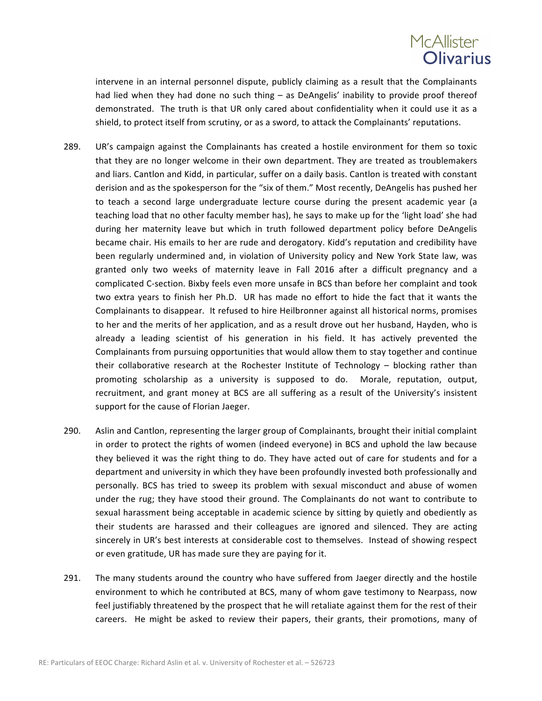# McAllister Olivarius

intervene in an internal personnel dispute, publicly claiming as a result that the Complainants had lied when they had done no such thing – as DeAngelis' inability to provide proof thereof demonstrated. The truth is that UR only cared about confidentiality when it could use it as a shield, to protect itself from scrutiny, or as a sword, to attack the Complainants' reputations. 

- 289. UR's campaign against the Complainants has created a hostile environment for them so toxic that they are no longer welcome in their own department. They are treated as troublemakers and liars. Cantlon and Kidd, in particular, suffer on a daily basis. Cantlon is treated with constant derision and as the spokesperson for the "six of them." Most recently, DeAngelis has pushed her to teach a second large undergraduate lecture course during the present academic year (a teaching load that no other faculty member has), he says to make up for the 'light load' she had during her maternity leave but which in truth followed department policy before DeAngelis became chair. His emails to her are rude and derogatory. Kidd's reputation and credibility have been regularly undermined and, in violation of University policy and New York State law, was granted only two weeks of maternity leave in Fall 2016 after a difficult pregnancy and a complicated C-section. Bixby feels even more unsafe in BCS than before her complaint and took two extra years to finish her Ph.D. UR has made no effort to hide the fact that it wants the Complainants to disappear. It refused to hire Heilbronner against all historical norms, promises to her and the merits of her application, and as a result drove out her husband, Hayden, who is already a leading scientist of his generation in his field. It has actively prevented the Complainants from pursuing opportunities that would allow them to stay together and continue their collaborative research at the Rochester Institute of Technology – blocking rather than promoting scholarship as a university is supposed to do. Morale, reputation, output, recruitment, and grant money at BCS are all suffering as a result of the University's insistent support for the cause of Florian Jaeger.
- 290. Aslin and Cantlon, representing the larger group of Complainants, brought their initial complaint in order to protect the rights of women (indeed everyone) in BCS and uphold the law because they believed it was the right thing to do. They have acted out of care for students and for a department and university in which they have been profoundly invested both professionally and personally. BCS has tried to sweep its problem with sexual misconduct and abuse of women under the rug; they have stood their ground. The Complainants do not want to contribute to sexual harassment being acceptable in academic science by sitting by quietly and obediently as their students are harassed and their colleagues are ignored and silenced. They are acting sincerely in UR's best interests at considerable cost to themselves. Instead of showing respect or even gratitude, UR has made sure they are paying for it.
- 291. The many students around the country who have suffered from Jaeger directly and the hostile environment to which he contributed at BCS, many of whom gave testimony to Nearpass, now feel justifiably threatened by the prospect that he will retaliate against them for the rest of their careers. He might be asked to review their papers, their grants, their promotions, many of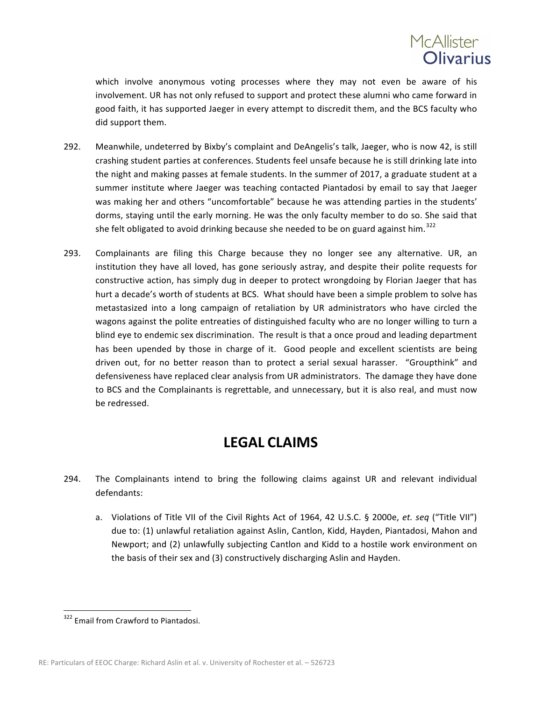

which involve anonymous voting processes where they may not even be aware of his involvement. UR has not only refused to support and protect these alumni who came forward in good faith, it has supported Jaeger in every attempt to discredit them, and the BCS faculty who did support them.

- 292. Meanwhile, undeterred by Bixby's complaint and DeAngelis's talk, Jaeger, who is now 42, is still crashing student parties at conferences. Students feel unsafe because he is still drinking late into the night and making passes at female students. In the summer of 2017, a graduate student at a summer institute where Jaeger was teaching contacted Piantadosi by email to say that Jaeger was making her and others "uncomfortable" because he was attending parties in the students' dorms, staying until the early morning. He was the only faculty member to do so. She said that she felt obligated to avoid drinking because she needed to be on guard against him.<sup>322</sup>
- 293. Complainants are filing this Charge because they no longer see any alternative. UR, an institution they have all loved, has gone seriously astray, and despite their polite requests for constructive action, has simply dug in deeper to protect wrongdoing by Florian Jaeger that has hurt a decade's worth of students at BCS. What should have been a simple problem to solve has metastasized into a long campaign of retaliation by UR administrators who have circled the wagons against the polite entreaties of distinguished faculty who are no longer willing to turn a blind eye to endemic sex discrimination. The result is that a once proud and leading department has been upended by those in charge of it. Good people and excellent scientists are being driven out, for no better reason than to protect a serial sexual harasser. "Groupthink" and defensiveness have replaced clear analysis from UR administrators. The damage they have done to BCS and the Complainants is regrettable, and unnecessary, but it is also real, and must now be redressed.

# LEGAL CLAIMS

- 294. The Complainants intend to bring the following claims against UR and relevant individual defendants:
	- a. Violations of Title VII of the Civil Rights Act of 1964, 42 U.S.C. § 2000e, et. seq ("Title VII") due to: (1) unlawful retaliation against Aslin, Cantlon, Kidd, Hayden, Piantadosi, Mahon and Newport; and (2) unlawfully subjecting Cantlon and Kidd to a hostile work environment on the basis of their sex and (3) constructively discharging Aslin and Hayden.

 <sup>322</sup> Email from Crawford to Piantadosi.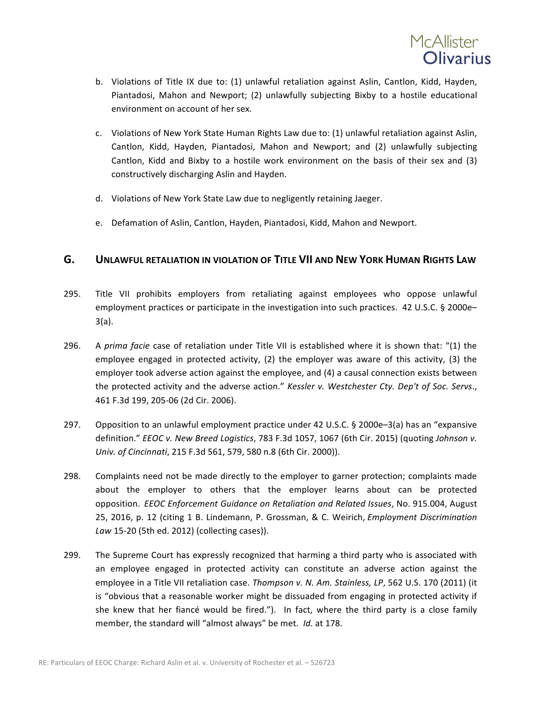

- b. Violations of Title IX due to: (1) unlawful retaliation against Aslin, Cantlon, Kidd, Hayden, Piantadosi, Mahon and Newport; (2) unlawfully subjecting Bixby to a hostile educational environment on account of her sex.
- c. Violations of New York State Human Rights Law due to: (1) unlawful retaliation against Aslin, Cantlon, Kidd, Hayden, Piantadosi, Mahon and Newport; and (2) unlawfully subjecting Cantlon, Kidd and Bixby to a hostile work environment on the basis of their sex and (3) constructively discharging Aslin and Hayden.
- d. Violations of New York State Law due to negligently retaining Jaeger.
- e. Defamation of Aslin, Cantlon, Hayden, Piantadosi, Kidd, Mahon and Newport.

# G. UNLAWFUL RETALIATION IN VIOLATION OF TITLE VII AND NEW YORK HUMAN RIGHTS LAW

- 295. Title VII prohibits employers from retaliating against employees who oppose unlawful employment practices or participate in the investigation into such practices. 42 U.S.C.  $\S$  2000e– 3(a).
- 296. A prima facie case of retaliation under Title VII is established where it is shown that: "(1) the employee engaged in protected activity, (2) the employer was aware of this activity, (3) the employer took adverse action against the employee, and (4) a causal connection exists between the protected activity and the adverse action." Kessler v. Westchester Cty. Dep't of Soc. Servs., 461 F.3d 199, 205-06 (2d Cir. 2006).
- 297. Opposition to an unlawful employment practice under 42 U.S.C. § 2000e–3(a) has an "expansive definition." EEOC v. New Breed Logistics, 783 F.3d 1057, 1067 (6th Cir. 2015) (quoting Johnson v. Univ. of Cincinnati, 215 F.3d 561, 579, 580 n.8 (6th Cir. 2000)).
- 298. Complaints need not be made directly to the employer to garner protection; complaints made about the employer to others that the employer learns about can be protected opposition. EEOC Enforcement Guidance on Retaliation and Related Issues, No. 915.004, August 25, 2016, p. 12 (citing 1 B. Lindemann, P. Grossman, & C. Weirich, Employment Discrimination Law 15-20 (5th ed. 2012) (collecting cases)).
- 299. The Supreme Court has expressly recognized that harming a third party who is associated with an employee engaged in protected activity can constitute an adverse action against the employee in a Title VII retaliation case. Thompson v. N. Am. Stainless, LP, 562 U.S. 170 (2011) (it is "obvious that a reasonable worker might be dissuaded from engaging in protected activity if she knew that her fiancé would be fired."). In fact, where the third party is a close family member, the standard will "almost always" be met. Id. at 178.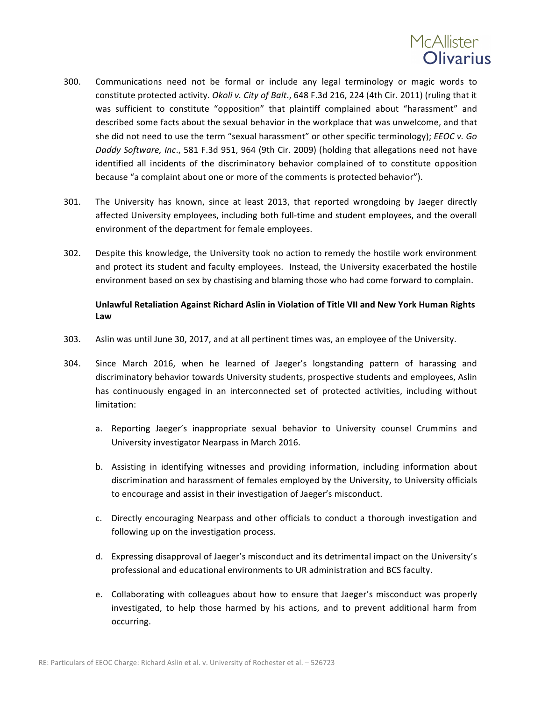

- 300. Communications need not be formal or include any legal terminology or magic words to constitute protected activity. Okoli v. City of Balt., 648 F.3d 216, 224 (4th Cir. 2011) (ruling that it was sufficient to constitute "opposition" that plaintiff complained about "harassment" and described some facts about the sexual behavior in the workplace that was unwelcome, and that she did not need to use the term "sexual harassment" or other specific terminology); EEOC v. Go Daddy Software, Inc., 581 F.3d 951, 964 (9th Cir. 2009) (holding that allegations need not have identified all incidents of the discriminatory behavior complained of to constitute opposition because "a complaint about one or more of the comments is protected behavior").
- 301. The University has known, since at least 2013, that reported wrongdoing by Jaeger directly affected University employees, including both full-time and student employees, and the overall environment of the department for female employees.
- 302. Despite this knowledge, the University took no action to remedy the hostile work environment and protect its student and faculty employees. Instead, the University exacerbated the hostile environment based on sex by chastising and blaming those who had come forward to complain.

### Unlawful Retaliation Against Richard Aslin in Violation of Title VII and New York Human Rights Law

- 303. Aslin was until June 30, 2017, and at all pertinent times was, an employee of the University.
- 304. Since March 2016, when he learned of Jaeger's longstanding pattern of harassing and discriminatory behavior towards University students, prospective students and employees, Aslin has continuously engaged in an interconnected set of protected activities, including without limitation:
	- a. Reporting Jaeger's inappropriate sexual behavior to University counsel Crummins and University investigator Nearpass in March 2016.
	- b. Assisting in identifying witnesses and providing information, including information about discrimination and harassment of females employed by the University, to University officials to encourage and assist in their investigation of Jaeger's misconduct.
	- c. Directly encouraging Nearpass and other officials to conduct a thorough investigation and following up on the investigation process.
	- d. Expressing disapproval of Jaeger's misconduct and its detrimental impact on the University's professional and educational environments to UR administration and BCS faculty.
	- e. Collaborating with colleagues about how to ensure that Jaeger's misconduct was properly investigated, to help those harmed by his actions, and to prevent additional harm from occurring.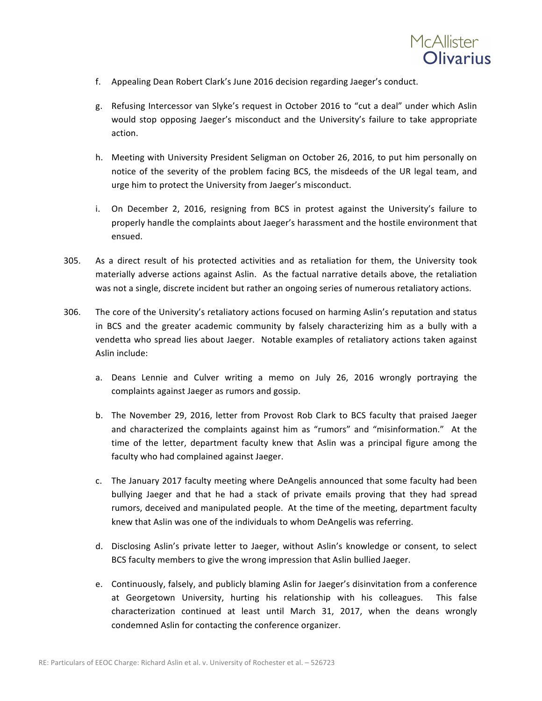

- f. Appealing Dean Robert Clark's June 2016 decision regarding Jaeger's conduct.
- g. Refusing Intercessor van Slyke's request in October 2016 to "cut a deal" under which Aslin would stop opposing Jaeger's misconduct and the University's failure to take appropriate action.
- h. Meeting with University President Seligman on October 26, 2016, to put him personally on notice of the severity of the problem facing BCS, the misdeeds of the UR legal team, and urge him to protect the University from Jaeger's misconduct.
- i. On December 2, 2016, resigning from BCS in protest against the University's failure to properly handle the complaints about Jaeger's harassment and the hostile environment that ensued.
- 305. As a direct result of his protected activities and as retaliation for them, the University took materially adverse actions against Aslin. As the factual narrative details above, the retaliation was not a single, discrete incident but rather an ongoing series of numerous retaliatory actions.
- 306. The core of the University's retaliatory actions focused on harming Aslin's reputation and status in BCS and the greater academic community by falsely characterizing him as a bully with a vendetta who spread lies about Jaeger. Notable examples of retaliatory actions taken against Aslin include:
	- a. Deans Lennie and Culver writing a memo on July 26, 2016 wrongly portraying the complaints against Jaeger as rumors and gossip.
	- b. The November 29, 2016, letter from Provost Rob Clark to BCS faculty that praised Jaeger and characterized the complaints against him as "rumors" and "misinformation." At the time of the letter, department faculty knew that Aslin was a principal figure among the faculty who had complained against Jaeger.
	- c. The January 2017 faculty meeting where DeAngelis announced that some faculty had been bullying Jaeger and that he had a stack of private emails proving that they had spread rumors, deceived and manipulated people. At the time of the meeting, department faculty knew that Aslin was one of the individuals to whom DeAngelis was referring.
	- d. Disclosing Aslin's private letter to Jaeger, without Aslin's knowledge or consent, to select BCS faculty members to give the wrong impression that Aslin bullied Jaeger.
	- e. Continuously, falsely, and publicly blaming Aslin for Jaeger's disinvitation from a conference at Georgetown University, hurting his relationship with his colleagues. This false characterization continued at least until March 31, 2017, when the deans wrongly condemned Aslin for contacting the conference organizer.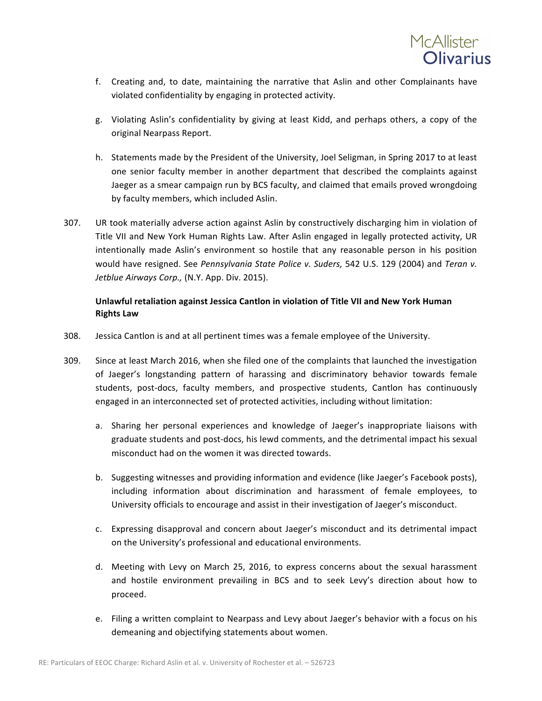

- f. Creating and, to date, maintaining the narrative that Aslin and other Complainants have violated confidentiality by engaging in protected activity.
- g. Violating Aslin's confidentiality by giving at least Kidd, and perhaps others, a copy of the original Nearpass Report.
- h. Statements made by the President of the University, Joel Seligman, in Spring 2017 to at least one senior faculty member in another department that described the complaints against Jaeger as a smear campaign run by BCS faculty, and claimed that emails proved wrongdoing by faculty members, which included Aslin.
- 307. UR took materially adverse action against Aslin by constructively discharging him in violation of Title VII and New York Human Rights Law. After Aslin engaged in legally protected activity, UR intentionally made Aslin's environment so hostile that any reasonable person in his position would have resigned. See Pennsylvania State Police v. Suders, 542 U.S. 129 (2004) and Teran v. Jetblue Airways Corp., (N.Y. App. Div. 2015).

## Unlawful retaliation against Jessica Cantlon in violation of Title VII and New York Human Rights Law

- 308. Jessica Cantlon is and at all pertinent times was a female employee of the University.
- 309. Since at least March 2016, when she filed one of the complaints that launched the investigation of Jaeger's longstanding pattern of harassing and discriminatory behavior towards female students, post-docs, faculty members, and prospective students, Cantlon has continuously engaged in an interconnected set of protected activities, including without limitation:
	- a. Sharing her personal experiences and knowledge of Jaeger's inappropriate liaisons with graduate students and post-docs, his lewd comments, and the detrimental impact his sexual misconduct had on the women it was directed towards.
	- b. Suggesting witnesses and providing information and evidence (like Jaeger's Facebook posts), including information about discrimination and harassment of female employees, to University officials to encourage and assist in their investigation of Jaeger's misconduct.
	- c. Expressing disapproval and concern about Jaeger's misconduct and its detrimental impact on the University's professional and educational environments.
	- d. Meeting with Levy on March 25, 2016, to express concerns about the sexual harassment and hostile environment prevailing in BCS and to seek Levy's direction about how to proceed.
	- e. Filing a written complaint to Nearpass and Levy about Jaeger's behavior with a focus on his demeaning and objectifying statements about women.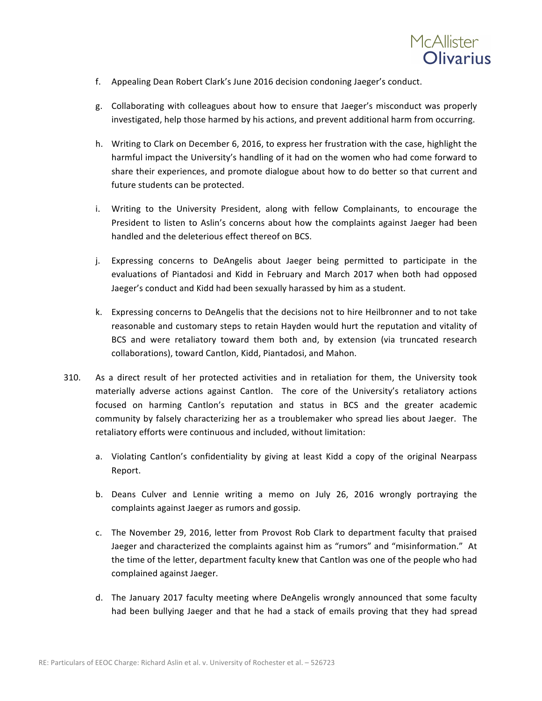

- f. Appealing Dean Robert Clark's June 2016 decision condoning Jaeger's conduct.
- g. Collaborating with colleagues about how to ensure that Jaeger's misconduct was properly investigated, help those harmed by his actions, and prevent additional harm from occurring.
- h. Writing to Clark on December 6, 2016, to express her frustration with the case, highlight the harmful impact the University's handling of it had on the women who had come forward to share their experiences, and promote dialogue about how to do better so that current and future students can be protected.
- i. Writing to the University President, along with fellow Complainants, to encourage the President to listen to Aslin's concerns about how the complaints against Jaeger had been handled and the deleterious effect thereof on BCS.
- j. Expressing concerns to DeAngelis about Jaeger being permitted to participate in the evaluations of Piantadosi and Kidd in February and March 2017 when both had opposed Jaeger's conduct and Kidd had been sexually harassed by him as a student.
- k. Expressing concerns to DeAngelis that the decisions not to hire Heilbronner and to not take reasonable and customary steps to retain Hayden would hurt the reputation and vitality of BCS and were retaliatory toward them both and, by extension (via truncated research collaborations), toward Cantlon, Kidd, Piantadosi, and Mahon.
- 310. As a direct result of her protected activities and in retaliation for them, the University took materially adverse actions against Cantlon. The core of the University's retaliatory actions focused on harming Cantlon's reputation and status in BCS and the greater academic community by falsely characterizing her as a troublemaker who spread lies about Jaeger. The retaliatory efforts were continuous and included, without limitation:
	- a. Violating Cantlon's confidentiality by giving at least Kidd a copy of the original Nearpass Report.
	- b. Deans Culver and Lennie writing a memo on July 26, 2016 wrongly portraying the complaints against Jaeger as rumors and gossip.
	- c. The November 29, 2016, letter from Provost Rob Clark to department faculty that praised Jaeger and characterized the complaints against him as "rumors" and "misinformation." At the time of the letter, department faculty knew that Cantlon was one of the people who had complained against Jaeger.
	- d. The January 2017 faculty meeting where DeAngelis wrongly announced that some faculty had been bullying Jaeger and that he had a stack of emails proving that they had spread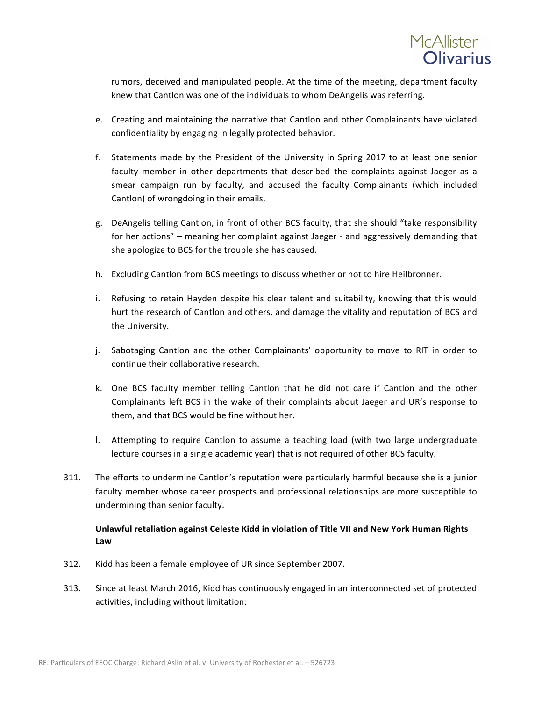

rumors, deceived and manipulated people. At the time of the meeting, department faculty knew that Cantlon was one of the individuals to whom DeAngelis was referring.

- e. Creating and maintaining the narrative that Cantlon and other Complainants have violated confidentiality by engaging in legally protected behavior.
- f. Statements made by the President of the University in Spring 2017 to at least one senior faculty member in other departments that described the complaints against Jaeger as a smear campaign run by faculty, and accused the faculty Complainants (which included Cantlon) of wrongdoing in their emails.
- g. DeAngelis telling Cantlon, in front of other BCS faculty, that she should "take responsibility for her actions" – meaning her complaint against Jaeger - and aggressively demanding that she apologize to BCS for the trouble she has caused.
- h. Excluding Cantlon from BCS meetings to discuss whether or not to hire Heilbronner.
- i. Refusing to retain Hayden despite his clear talent and suitability, knowing that this would hurt the research of Cantlon and others, and damage the vitality and reputation of BCS and the University.
- j. Sabotaging Cantlon and the other Complainants' opportunity to move to RIT in order to continue their collaborative research.
- k. One BCS faculty member telling Cantlon that he did not care if Cantlon and the other Complainants left BCS in the wake of their complaints about Jaeger and UR's response to them, and that BCS would be fine without her.
- l. Attempting to require Cantlon to assume a teaching load (with two large undergraduate lecture courses in a single academic year) that is not required of other BCS faculty.
- 311. The efforts to undermine Cantlon's reputation were particularly harmful because she is a junior faculty member whose career prospects and professional relationships are more susceptible to undermining than senior faculty.

### Unlawful retaliation against Celeste Kidd in violation of Title VII and New York Human Rights Law

- 312. Kidd has been a female employee of UR since September 2007.
- 313. Since at least March 2016, Kidd has continuously engaged in an interconnected set of protected activities, including without limitation: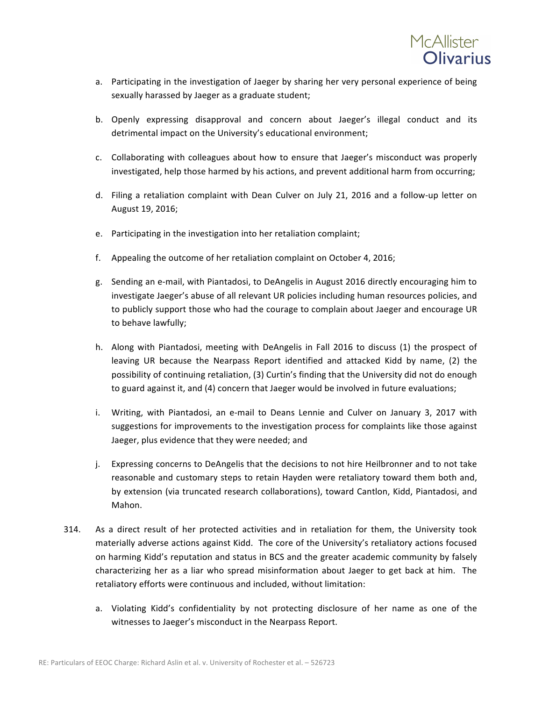

- a. Participating in the investigation of Jaeger by sharing her very personal experience of being sexually harassed by Jaeger as a graduate student;
- b. Openly expressing disapproval and concern about Jaeger's illegal conduct and its detrimental impact on the University's educational environment;
- c. Collaborating with colleagues about how to ensure that Jaeger's misconduct was properly investigated, help those harmed by his actions, and prevent additional harm from occurring;
- d. Filing a retaliation complaint with Dean Culver on July 21, 2016 and a follow-up letter on August 19, 2016;
- e. Participating in the investigation into her retaliation complaint;
- f. Appealing the outcome of her retaliation complaint on October 4, 2016;
- g. Sending an e-mail, with Piantadosi, to DeAngelis in August 2016 directly encouraging him to investigate Jaeger's abuse of all relevant UR policies including human resources policies, and to publicly support those who had the courage to complain about Jaeger and encourage UR to behave lawfully;
- h. Along with Piantadosi, meeting with DeAngelis in Fall 2016 to discuss (1) the prospect of leaving UR because the Nearpass Report identified and attacked Kidd by name, (2) the possibility of continuing retaliation, (3) Curtin's finding that the University did not do enough to guard against it, and (4) concern that Jaeger would be involved in future evaluations;
- i. Writing, with Piantadosi, an e-mail to Deans Lennie and Culver on January 3, 2017 with suggestions for improvements to the investigation process for complaints like those against Jaeger, plus evidence that they were needed; and
- j. Expressing concerns to DeAngelis that the decisions to not hire Heilbronner and to not take reasonable and customary steps to retain Hayden were retaliatory toward them both and, by extension (via truncated research collaborations), toward Cantlon, Kidd, Piantadosi, and Mahon.
- 314. As a direct result of her protected activities and in retaliation for them, the University took materially adverse actions against Kidd. The core of the University's retaliatory actions focused on harming Kidd's reputation and status in BCS and the greater academic community by falsely characterizing her as a liar who spread misinformation about Jaeger to get back at him. The retaliatory efforts were continuous and included, without limitation:
	- a. Violating Kidd's confidentiality by not protecting disclosure of her name as one of the witnesses to Jaeger's misconduct in the Nearpass Report.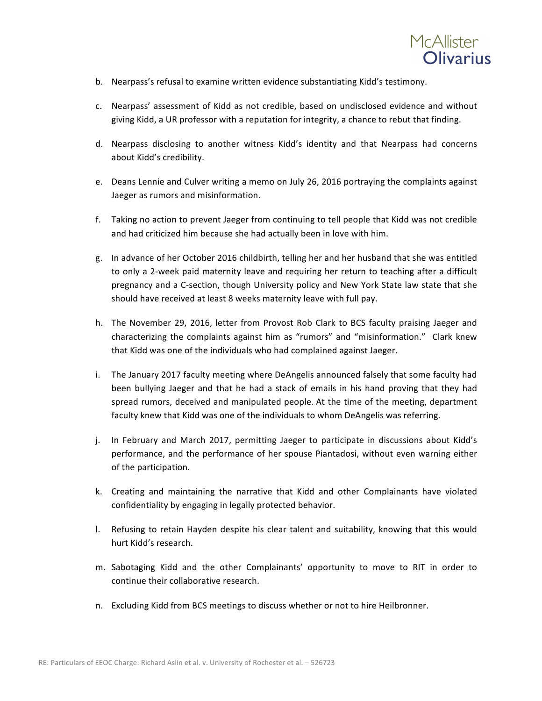

- b. Nearpass's refusal to examine written evidence substantiating Kidd's testimony.
- c. Nearpass' assessment of Kidd as not credible, based on undisclosed evidence and without giving Kidd, a UR professor with a reputation for integrity, a chance to rebut that finding.
- d. Nearpass disclosing to another witness Kidd's identity and that Nearpass had concerns about Kidd's credibility.
- e. Deans Lennie and Culver writing a memo on July 26, 2016 portraying the complaints against Jaeger as rumors and misinformation.
- f. Taking no action to prevent Jaeger from continuing to tell people that Kidd was not credible and had criticized him because she had actually been in love with him.
- g. In advance of her October 2016 childbirth, telling her and her husband that she was entitled to only a 2-week paid maternity leave and requiring her return to teaching after a difficult pregnancy and a C-section, though University policy and New York State law state that she should have received at least 8 weeks maternity leave with full pay.
- h. The November 29, 2016, letter from Provost Rob Clark to BCS faculty praising Jaeger and characterizing the complaints against him as "rumors" and "misinformation." Clark knew that Kidd was one of the individuals who had complained against Jaeger.
- i. The January 2017 faculty meeting where DeAngelis announced falsely that some faculty had been bullying Jaeger and that he had a stack of emails in his hand proving that they had spread rumors, deceived and manipulated people. At the time of the meeting, department faculty knew that Kidd was one of the individuals to whom DeAngelis was referring.
- j. In February and March 2017, permitting Jaeger to participate in discussions about Kidd's performance, and the performance of her spouse Piantadosi, without even warning either of the participation.
- k. Creating and maintaining the narrative that Kidd and other Complainants have violated confidentiality by engaging in legally protected behavior.
- l. Refusing to retain Hayden despite his clear talent and suitability, knowing that this would hurt Kidd's research.
- m. Sabotaging Kidd and the other Complainants' opportunity to move to RIT in order to continue their collaborative research.
- n. Excluding Kidd from BCS meetings to discuss whether or not to hire Heilbronner.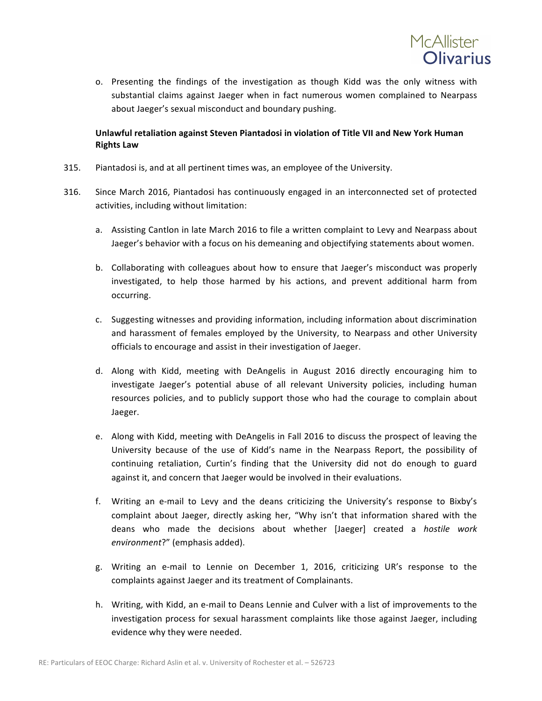

o. Presenting the findings of the investigation as though Kidd was the only witness with substantial claims against Jaeger when in fact numerous women complained to Nearpass about Jaeger's sexual misconduct and boundary pushing. 

### Unlawful retaliation against Steven Piantadosi in violation of Title VII and New York Human Rights Law

- 315. Piantadosi is, and at all pertinent times was, an employee of the University.
- 316. Since March 2016, Piantadosi has continuously engaged in an interconnected set of protected activities, including without limitation:
	- a. Assisting Cantlon in late March 2016 to file a written complaint to Levy and Nearpass about Jaeger's behavior with a focus on his demeaning and objectifying statements about women.
	- b. Collaborating with colleagues about how to ensure that Jaeger's misconduct was properly investigated, to help those harmed by his actions, and prevent additional harm from occurring.
	- c. Suggesting witnesses and providing information, including information about discrimination and harassment of females employed by the University, to Nearpass and other University officials to encourage and assist in their investigation of Jaeger.
	- d. Along with Kidd, meeting with DeAngelis in August 2016 directly encouraging him to investigate Jaeger's potential abuse of all relevant University policies, including human resources policies, and to publicly support those who had the courage to complain about Jaeger.
	- e. Along with Kidd, meeting with DeAngelis in Fall 2016 to discuss the prospect of leaving the University because of the use of Kidd's name in the Nearpass Report, the possibility of continuing retaliation, Curtin's finding that the University did not do enough to guard against it, and concern that Jaeger would be involved in their evaluations.
	- f. Writing an e-mail to Levy and the deans criticizing the University's response to Bixby's complaint about Jaeger, directly asking her, "Why isn't that information shared with the deans who made the decisions about whether [Jaeger] created a hostile work environment?" (emphasis added).
	- g. Writing an e-mail to Lennie on December 1, 2016, criticizing UR's response to the complaints against Jaeger and its treatment of Complainants.
	- h. Writing, with Kidd, an e-mail to Deans Lennie and Culver with a list of improvements to the investigation process for sexual harassment complaints like those against Jaeger, including evidence why they were needed.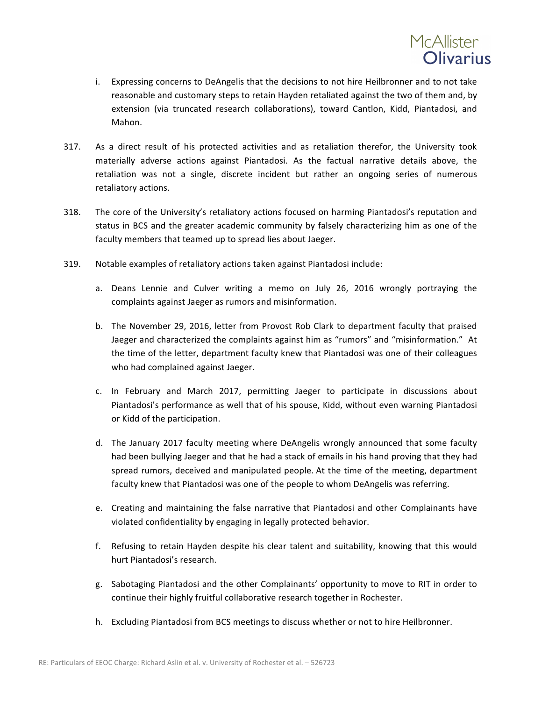

- i. Expressing concerns to DeAngelis that the decisions to not hire Heilbronner and to not take reasonable and customary steps to retain Hayden retaliated against the two of them and, by extension (via truncated research collaborations), toward Cantlon, Kidd, Piantadosi, and Mahon.
- 317. As a direct result of his protected activities and as retaliation therefor, the University took materially adverse actions against Piantadosi. As the factual narrative details above, the retaliation was not a single, discrete incident but rather an ongoing series of numerous retaliatory actions.
- 318. The core of the University's retaliatory actions focused on harming Piantadosi's reputation and status in BCS and the greater academic community by falsely characterizing him as one of the faculty members that teamed up to spread lies about Jaeger.
- 319. Notable examples of retaliatory actions taken against Piantadosi include:
	- a. Deans Lennie and Culver writing a memo on July 26, 2016 wrongly portraying the complaints against Jaeger as rumors and misinformation.
	- b. The November 29, 2016, letter from Provost Rob Clark to department faculty that praised Jaeger and characterized the complaints against him as "rumors" and "misinformation." At the time of the letter, department faculty knew that Piantadosi was one of their colleagues who had complained against Jaeger.
	- c. In February and March 2017, permitting Jaeger to participate in discussions about Piantadosi's performance as well that of his spouse, Kidd, without even warning Piantadosi or Kidd of the participation.
	- d. The January 2017 faculty meeting where DeAngelis wrongly announced that some faculty had been bullying Jaeger and that he had a stack of emails in his hand proving that they had spread rumors, deceived and manipulated people. At the time of the meeting, department faculty knew that Piantadosi was one of the people to whom DeAngelis was referring.
	- e. Creating and maintaining the false narrative that Piantadosi and other Complainants have violated confidentiality by engaging in legally protected behavior.
	- f. Refusing to retain Hayden despite his clear talent and suitability, knowing that this would hurt Piantadosi's research.
	- g. Sabotaging Piantadosi and the other Complainants' opportunity to move to RIT in order to continue their highly fruitful collaborative research together in Rochester.
	- h. Excluding Piantadosi from BCS meetings to discuss whether or not to hire Heilbronner.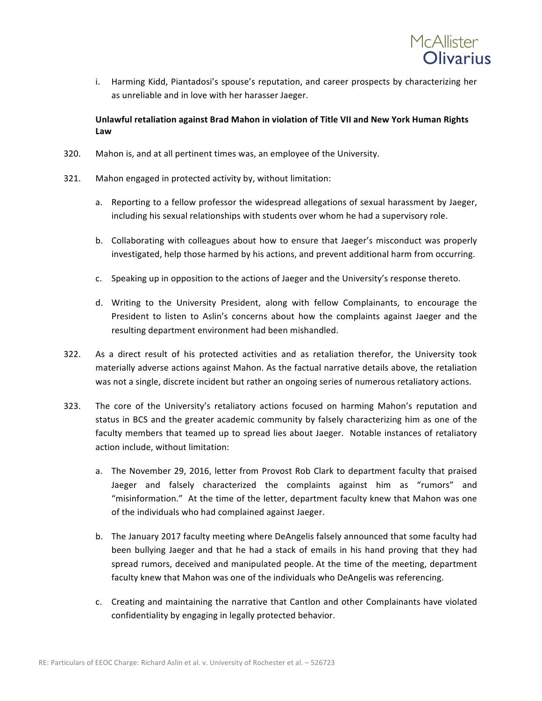

i. Harming Kidd, Piantadosi's spouse's reputation, and career prospects by characterizing her as unreliable and in love with her harasser Jaeger.

#### Unlawful retaliation against Brad Mahon in violation of Title VII and New York Human Rights Law

- 320. Mahon is, and at all pertinent times was, an employee of the University.
- 321. Mahon engaged in protected activity by, without limitation:
	- a. Reporting to a fellow professor the widespread allegations of sexual harassment by Jaeger, including his sexual relationships with students over whom he had a supervisory role.
	- b. Collaborating with colleagues about how to ensure that Jaeger's misconduct was properly investigated, help those harmed by his actions, and prevent additional harm from occurring.
	- c. Speaking up in opposition to the actions of Jaeger and the University's response thereto.
	- d. Writing to the University President, along with fellow Complainants, to encourage the President to listen to Aslin's concerns about how the complaints against Jaeger and the resulting department environment had been mishandled.
- 322. As a direct result of his protected activities and as retaliation therefor, the University took materially adverse actions against Mahon. As the factual narrative details above, the retaliation was not a single, discrete incident but rather an ongoing series of numerous retaliatory actions.
- 323. The core of the University's retaliatory actions focused on harming Mahon's reputation and status in BCS and the greater academic community by falsely characterizing him as one of the faculty members that teamed up to spread lies about Jaeger. Notable instances of retaliatory action include, without limitation:
	- a. The November 29, 2016, letter from Provost Rob Clark to department faculty that praised Jaeger and falsely characterized the complaints against him as "rumors" and "misinformation." At the time of the letter, department faculty knew that Mahon was one of the individuals who had complained against Jaeger.
	- b. The January 2017 faculty meeting where DeAngelis falsely announced that some faculty had been bullying Jaeger and that he had a stack of emails in his hand proving that they had spread rumors, deceived and manipulated people. At the time of the meeting, department faculty knew that Mahon was one of the individuals who DeAngelis was referencing.
	- c. Creating and maintaining the narrative that Cantlon and other Complainants have violated confidentiality by engaging in legally protected behavior.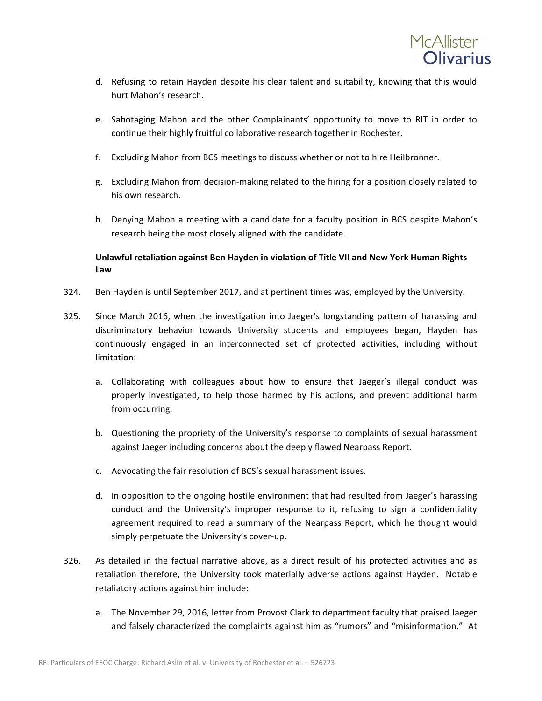

- d. Refusing to retain Hayden despite his clear talent and suitability, knowing that this would hurt Mahon's research.
- e. Sabotaging Mahon and the other Complainants' opportunity to move to RIT in order to continue their highly fruitful collaborative research together in Rochester.
- f. Excluding Mahon from BCS meetings to discuss whether or not to hire Heilbronner.
- g. Excluding Mahon from decision-making related to the hiring for a position closely related to his own research.
- h. Denying Mahon a meeting with a candidate for a faculty position in BCS despite Mahon's research being the most closely aligned with the candidate.

### Unlawful retaliation against Ben Hayden in violation of Title VII and New York Human Rights Law

- 324. Ben Hayden is until September 2017, and at pertinent times was, employed by the University.
- 325. Since March 2016, when the investigation into Jaeger's longstanding pattern of harassing and discriminatory behavior towards University students and employees began, Hayden has continuously engaged in an interconnected set of protected activities, including without limitation:
	- a. Collaborating with colleagues about how to ensure that Jaeger's illegal conduct was properly investigated, to help those harmed by his actions, and prevent additional harm from occurring.
	- b. Questioning the propriety of the University's response to complaints of sexual harassment against Jaeger including concerns about the deeply flawed Nearpass Report.
	- c. Advocating the fair resolution of BCS's sexual harassment issues.
	- d. In opposition to the ongoing hostile environment that had resulted from Jaeger's harassing conduct and the University's improper response to it, refusing to sign a confidentiality agreement required to read a summary of the Nearpass Report, which he thought would simply perpetuate the University's cover-up.
- 326. As detailed in the factual narrative above, as a direct result of his protected activities and as retaliation therefore, the University took materially adverse actions against Hayden. Notable retaliatory actions against him include:
	- a. The November 29, 2016, letter from Provost Clark to department faculty that praised Jaeger and falsely characterized the complaints against him as "rumors" and "misinformation." At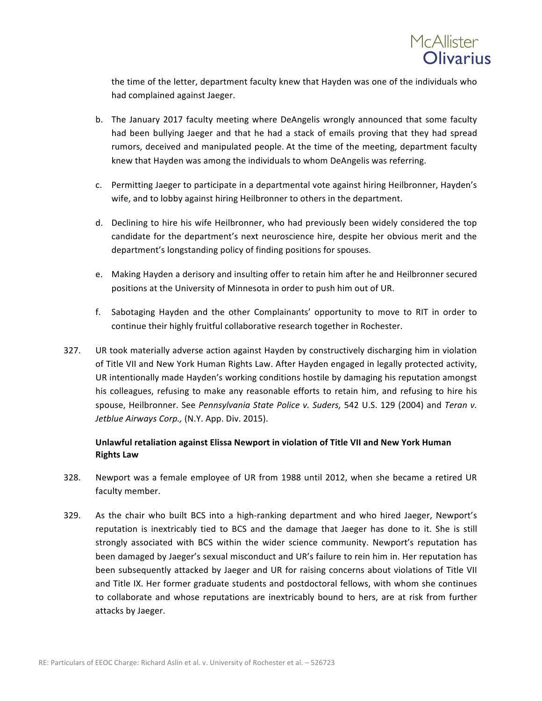

the time of the letter, department faculty knew that Hayden was one of the individuals who had complained against Jaeger.

- b. The January 2017 faculty meeting where DeAngelis wrongly announced that some faculty had been bullying Jaeger and that he had a stack of emails proving that they had spread rumors, deceived and manipulated people. At the time of the meeting, department faculty knew that Hayden was among the individuals to whom DeAngelis was referring.
- c. Permitting Jaeger to participate in a departmental vote against hiring Heilbronner, Hayden's wife, and to lobby against hiring Heilbronner to others in the department.
- d. Declining to hire his wife Heilbronner, who had previously been widely considered the top candidate for the department's next neuroscience hire, despite her obvious merit and the department's longstanding policy of finding positions for spouses.
- e. Making Hayden a derisory and insulting offer to retain him after he and Heilbronner secured positions at the University of Minnesota in order to push him out of UR.
- f. Sabotaging Hayden and the other Complainants' opportunity to move to RIT in order to continue their highly fruitful collaborative research together in Rochester.
- 327. UR took materially adverse action against Hayden by constructively discharging him in violation of Title VII and New York Human Rights Law. After Hayden engaged in legally protected activity, UR intentionally made Hayden's working conditions hostile by damaging his reputation amongst his colleagues, refusing to make any reasonable efforts to retain him, and refusing to hire his spouse, Heilbronner. See Pennsylvania State Police v. Suders, 542 U.S. 129 (2004) and Teran v. Jetblue Airways Corp., (N.Y. App. Div. 2015).

## Unlawful retaliation against Elissa Newport in violation of Title VII and New York Human Rights Law

- 328. Newport was a female employee of UR from 1988 until 2012, when she became a retired UR faculty member.
- 329. As the chair who built BCS into a high-ranking department and who hired Jaeger, Newport's reputation is inextricably tied to BCS and the damage that Jaeger has done to it. She is still strongly associated with BCS within the wider science community. Newport's reputation has been damaged by Jaeger's sexual misconduct and UR's failure to rein him in. Her reputation has been subsequently attacked by Jaeger and UR for raising concerns about violations of Title VII and Title IX. Her former graduate students and postdoctoral fellows, with whom she continues to collaborate and whose reputations are inextricably bound to hers, are at risk from further attacks by Jaeger.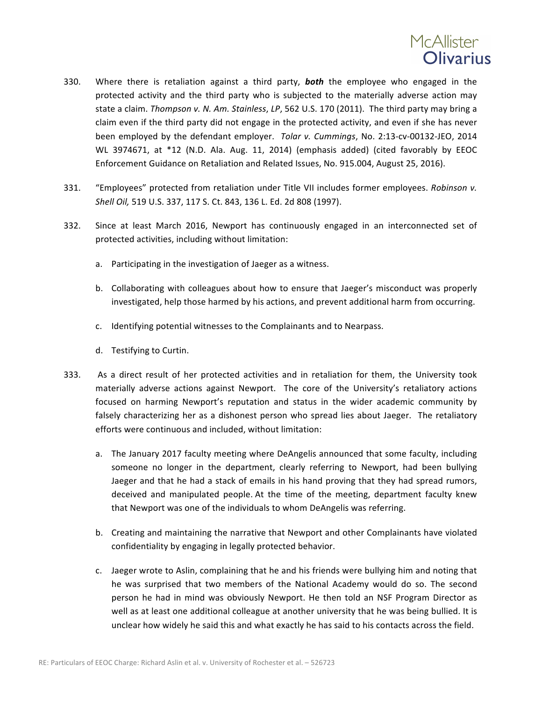

- 330. Where there is retaliation against a third party, both the employee who engaged in the protected activity and the third party who is subjected to the materially adverse action may state a claim. Thompson v. N. Am. Stainless, LP, 562 U.S. 170 (2011). The third party may bring a claim even if the third party did not engage in the protected activity, and even if she has never been employed by the defendant employer. Tolar v. Cummings, No. 2:13-cv-00132-JEO, 2014 WL 3974671, at \*12 (N.D. Ala. Aug. 11, 2014) (emphasis added) (cited favorably by EEOC Enforcement Guidance on Retaliation and Related Issues, No. 915.004, August 25, 2016).
- 331. "Employees" protected from retaliation under Title VII includes former employees. Robinson v. Shell Oil, 519 U.S. 337, 117 S. Ct. 843, 136 L. Ed. 2d 808 (1997).
- 332. Since at least March 2016, Newport has continuously engaged in an interconnected set of protected activities, including without limitation:
	- a. Participating in the investigation of Jaeger as a witness.
	- b. Collaborating with colleagues about how to ensure that Jaeger's misconduct was properly investigated, help those harmed by his actions, and prevent additional harm from occurring.
	- c. Identifying potential witnesses to the Complainants and to Nearpass.
	- d. Testifying to Curtin.
- 333. As a direct result of her protected activities and in retaliation for them, the University took materially adverse actions against Newport. The core of the University's retaliatory actions focused on harming Newport's reputation and status in the wider academic community by falsely characterizing her as a dishonest person who spread lies about Jaeger. The retaliatory efforts were continuous and included, without limitation:
	- a. The January 2017 faculty meeting where DeAngelis announced that some faculty, including someone no longer in the department, clearly referring to Newport, had been bullying Jaeger and that he had a stack of emails in his hand proving that they had spread rumors, deceived and manipulated people. At the time of the meeting, department faculty knew that Newport was one of the individuals to whom DeAngelis was referring.
	- b. Creating and maintaining the narrative that Newport and other Complainants have violated confidentiality by engaging in legally protected behavior.
	- c. Jaeger wrote to Aslin, complaining that he and his friends were bullying him and noting that he was surprised that two members of the National Academy would do so. The second person he had in mind was obviously Newport. He then told an NSF Program Director as well as at least one additional colleague at another university that he was being bullied. It is unclear how widely he said this and what exactly he has said to his contacts across the field.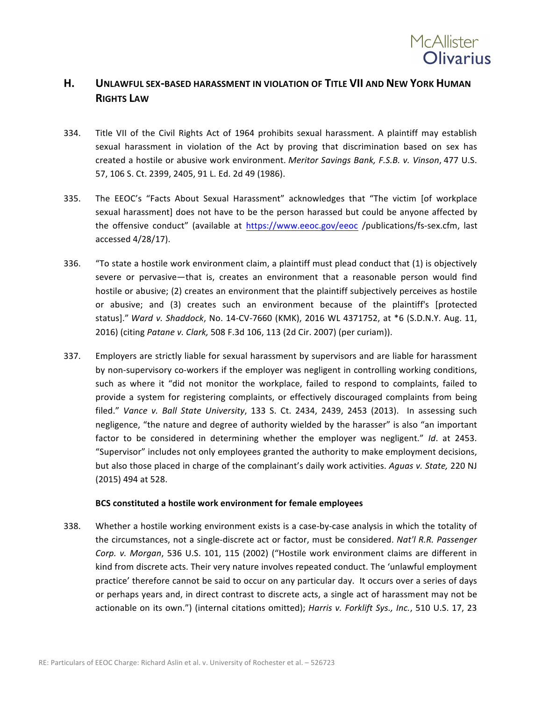

# H. UNLAWFUL SEX-BASED HARASSMENT IN VIOLATION OF TITLE VII AND NEW YORK HUMAN RIGHTS LAW

- 334. Title VII of the Civil Rights Act of 1964 prohibits sexual harassment. A plaintiff may establish sexual harassment in violation of the Act by proving that discrimination based on sex has created a hostile or abusive work environment. Meritor Savings Bank, F.S.B. v. Vinson, 477 U.S. 57, 106 S. Ct. 2399, 2405, 91 L. Ed. 2d 49 (1986).
- 335. The EEOC's "Facts About Sexual Harassment" acknowledges that "The victim [of workplace sexual harassment] does not have to be the person harassed but could be anyone affected by the offensive conduct" (available at https://www.eeoc.gov/eeoc /publications/fs-sex.cfm, last accessed 4/28/17).
- 336. "To state a hostile work environment claim, a plaintiff must plead conduct that (1) is objectively severe or pervasive—that is, creates an environment that a reasonable person would find hostile or abusive; (2) creates an environment that the plaintiff subjectively perceives as hostile or abusive; and (3) creates such an environment because of the plaintiff's [protected status]." Ward v. Shaddock, No. 14-CV-7660 (KMK), 2016 WL 4371752, at \*6 (S.D.N.Y. Aug. 11, 2016) (citing Patane v. Clark, 508 F.3d 106, 113 (2d Cir. 2007) (per curiam)).
- 337. Employers are strictly liable for sexual harassment by supervisors and are liable for harassment by non-supervisory co-workers if the employer was negligent in controlling working conditions, such as where it "did not monitor the workplace, failed to respond to complaints, failed to provide a system for registering complaints, or effectively discouraged complaints from being filed." Vance v. Ball State University, 133 S. Ct. 2434, 2439, 2453 (2013). In assessing such negligence, "the nature and degree of authority wielded by the harasser" is also "an important factor to be considered in determining whether the employer was negligent." Id. at 2453. "Supervisor" includes not only employees granted the authority to make employment decisions, but also those placed in charge of the complainant's daily work activities. Aguas v. State, 220 NJ (2015) 494 at 528.

#### BCS constituted a hostile work environment for female employees

338. Whether a hostile working environment exists is a case-by-case analysis in which the totality of the circumstances, not a single-discrete act or factor, must be considered. Nat'l R.R. Passenger Corp. v. Morgan, 536 U.S. 101, 115 (2002) ("Hostile work environment claims are different in kind from discrete acts. Their very nature involves repeated conduct. The 'unlawful employment practice' therefore cannot be said to occur on any particular day. It occurs over a series of days or perhaps years and, in direct contrast to discrete acts, a single act of harassment may not be actionable on its own.") (internal citations omitted); Harris v. Forklift Sys., Inc., 510 U.S. 17, 23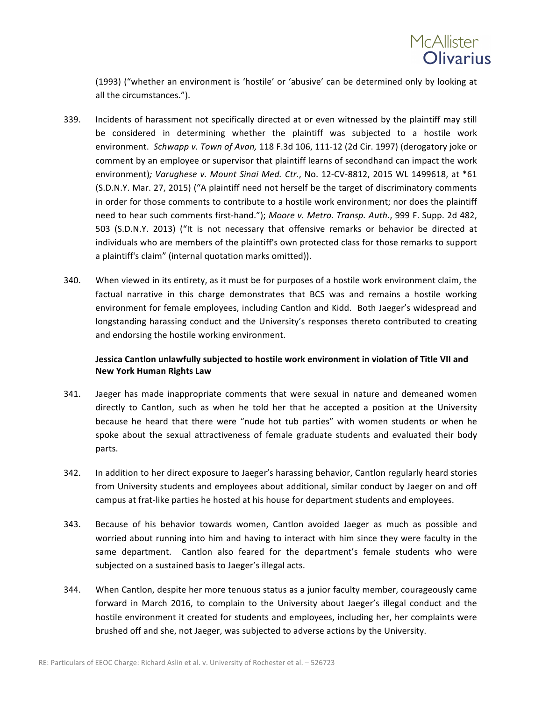

(1993) ("whether an environment is 'hostile' or 'abusive' can be determined only by looking at all the circumstances.").

- 339. Incidents of harassment not specifically directed at or even witnessed by the plaintiff may still be considered in determining whether the plaintiff was subjected to a hostile work environment. Schwapp v. Town of Avon, 118 F.3d 106, 111-12 (2d Cir. 1997) (derogatory joke or comment by an employee or supervisor that plaintiff learns of secondhand can impact the work environment); Varughese v. Mount Sinai Med. Ctr., No. 12-CV-8812, 2015 WL 1499618, at \*61 (S.D.N.Y. Mar. 27, 2015) ("A plaintiff need not herself be the target of discriminatory comments in order for those comments to contribute to a hostile work environment; nor does the plaintiff need to hear such comments first-hand."); Moore v. Metro. Transp. Auth., 999 F. Supp. 2d 482, 503 (S.D.N.Y. 2013) ("It is not necessary that offensive remarks or behavior be directed at individuals who are members of the plaintiff's own protected class for those remarks to support a plaintiff's claim" (internal quotation marks omitted)).
- 340. When viewed in its entirety, as it must be for purposes of a hostile work environment claim, the factual narrative in this charge demonstrates that BCS was and remains a hostile working environment for female employees, including Cantlon and Kidd. Both Jaeger's widespread and longstanding harassing conduct and the University's responses thereto contributed to creating and endorsing the hostile working environment.

## Jessica Cantlon unlawfully subjected to hostile work environment in violation of Title VII and New York Human Rights Law

- 341. Jaeger has made inappropriate comments that were sexual in nature and demeaned women directly to Cantlon, such as when he told her that he accepted a position at the University because he heard that there were "nude hot tub parties" with women students or when he spoke about the sexual attractiveness of female graduate students and evaluated their body parts.
- 342. In addition to her direct exposure to Jaeger's harassing behavior, Cantlon regularly heard stories from University students and employees about additional, similar conduct by Jaeger on and off campus at frat-like parties he hosted at his house for department students and employees.
- 343. Because of his behavior towards women, Cantlon avoided Jaeger as much as possible and worried about running into him and having to interact with him since they were faculty in the same department. Cantlon also feared for the department's female students who were subjected on a sustained basis to Jaeger's illegal acts.
- 344. When Cantlon, despite her more tenuous status as a junior faculty member, courageously came forward in March 2016, to complain to the University about Jaeger's illegal conduct and the hostile environment it created for students and employees, including her, her complaints were brushed off and she, not Jaeger, was subjected to adverse actions by the University.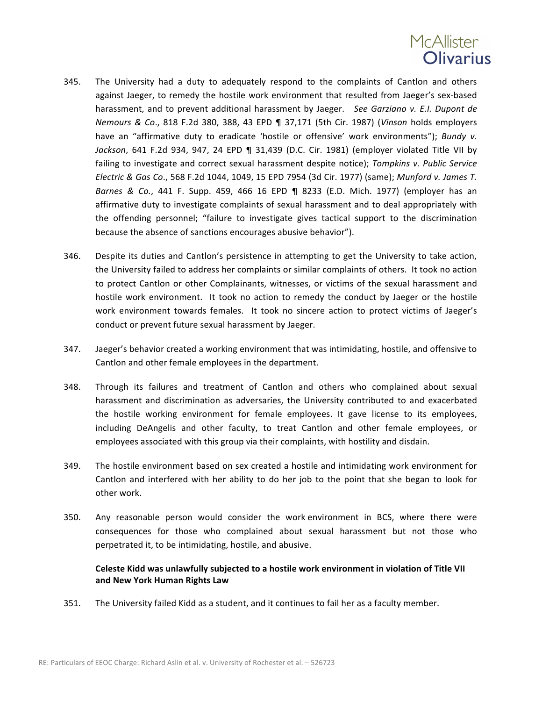

- 345. The University had a duty to adequately respond to the complaints of Cantlon and others against Jaeger, to remedy the hostile work environment that resulted from Jaeger's sex-based harassment, and to prevent additional harassment by Jaeger. See Garziano v. E.I. Dupont de Nemours & Co., 818 F.2d 380, 388, 43 EPD ¶ 37,171 (5th Cir. 1987) (Vinson holds employers have an "affirmative duty to eradicate 'hostile or offensive' work environments"); Bundy v. Jackson, 641 F.2d 934, 947, 24 EPD | 31,439 (D.C. Cir. 1981) (employer violated Title VII by failing to investigate and correct sexual harassment despite notice); Tompkins v. Public Service Electric & Gas Co., 568 F.2d 1044, 1049, 15 EPD 7954 (3d Cir. 1977) (same); Munford v. James T. Barnes & Co., 441 F. Supp. 459, 466 16 EPD ¶ 8233 (E.D. Mich. 1977) (employer has an affirmative duty to investigate complaints of sexual harassment and to deal appropriately with the offending personnel; "failure to investigate gives tactical support to the discrimination because the absence of sanctions encourages abusive behavior").
- 346. Despite its duties and Cantlon's persistence in attempting to get the University to take action, the University failed to address her complaints or similar complaints of others. It took no action to protect Cantlon or other Complainants, witnesses, or victims of the sexual harassment and hostile work environment. It took no action to remedy the conduct by Jaeger or the hostile work environment towards females. It took no sincere action to protect victims of Jaeger's conduct or prevent future sexual harassment by Jaeger.
- 347. Jaeger's behavior created a working environment that was intimidating, hostile, and offensive to Cantlon and other female employees in the department.
- 348. Through its failures and treatment of Cantlon and others who complained about sexual harassment and discrimination as adversaries, the University contributed to and exacerbated the hostile working environment for female employees. It gave license to its employees, including DeAngelis and other faculty, to treat Cantlon and other female employees, or employees associated with this group via their complaints, with hostility and disdain.
- 349. The hostile environment based on sex created a hostile and intimidating work environment for Cantlon and interfered with her ability to do her job to the point that she began to look for other work.
- 350. Any reasonable person would consider the work environment in BCS, where there were consequences for those who complained about sexual harassment but not those who perpetrated it, to be intimidating, hostile, and abusive.

### Celeste Kidd was unlawfully subjected to a hostile work environment in violation of Title VII and New York Human Rights Law

351. The University failed Kidd as a student, and it continues to fail her as a faculty member.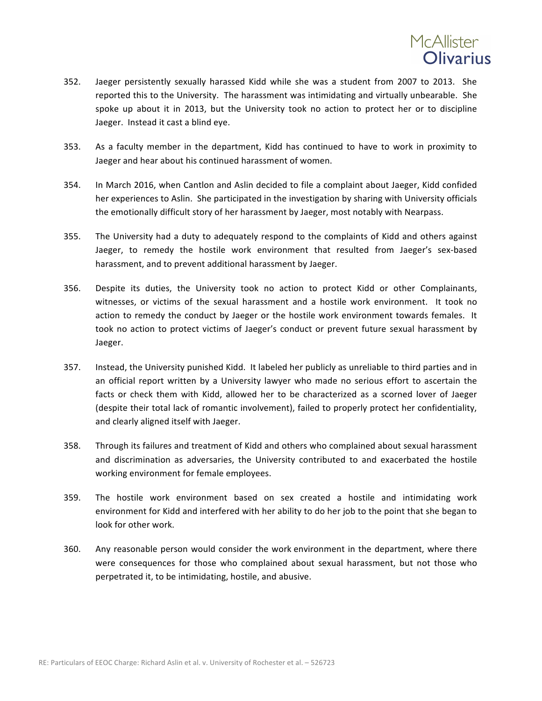

- 352. Jaeger persistently sexually harassed Kidd while she was a student from 2007 to 2013. She reported this to the University. The harassment was intimidating and virtually unbearable. She spoke up about it in 2013, but the University took no action to protect her or to discipline Jaeger. Instead it cast a blind eye.
- 353. As a faculty member in the department, Kidd has continued to have to work in proximity to Jaeger and hear about his continued harassment of women.
- 354. In March 2016, when Cantlon and Aslin decided to file a complaint about Jaeger, Kidd confided her experiences to Aslin. She participated in the investigation by sharing with University officials the emotionally difficult story of her harassment by Jaeger, most notably with Nearpass.
- 355. The University had a duty to adequately respond to the complaints of Kidd and others against Jaeger, to remedy the hostile work environment that resulted from Jaeger's sex-based harassment, and to prevent additional harassment by Jaeger.
- 356. Despite its duties, the University took no action to protect Kidd or other Complainants, witnesses, or victims of the sexual harassment and a hostile work environment. It took no action to remedy the conduct by Jaeger or the hostile work environment towards females. It took no action to protect victims of Jaeger's conduct or prevent future sexual harassment by Jaeger.
- 357. Instead, the University punished Kidd. It labeled her publicly as unreliable to third parties and in an official report written by a University lawyer who made no serious effort to ascertain the facts or check them with Kidd, allowed her to be characterized as a scorned lover of Jaeger (despite their total lack of romantic involvement), failed to properly protect her confidentiality, and clearly aligned itself with Jaeger.
- 358. Through its failures and treatment of Kidd and others who complained about sexual harassment and discrimination as adversaries, the University contributed to and exacerbated the hostile working environment for female employees.
- 359. The hostile work environment based on sex created a hostile and intimidating work environment for Kidd and interfered with her ability to do her job to the point that she began to look for other work.
- 360. Any reasonable person would consider the work environment in the department, where there were consequences for those who complained about sexual harassment, but not those who perpetrated it, to be intimidating, hostile, and abusive.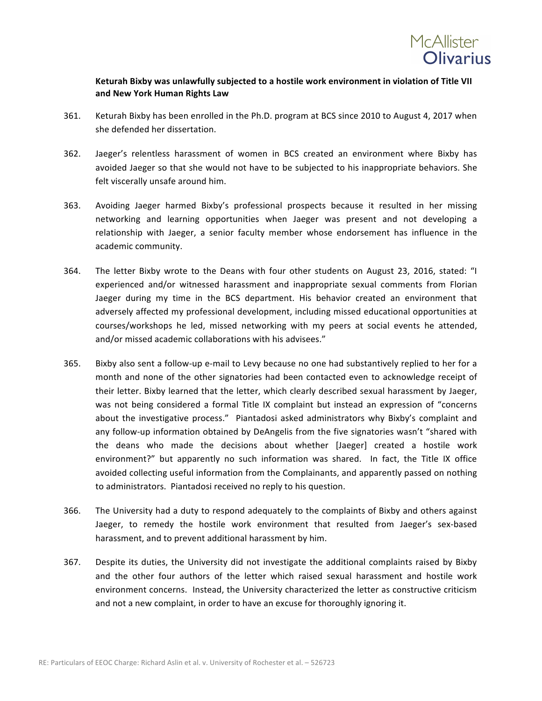

#### Keturah Bixby was unlawfully subjected to a hostile work environment in violation of Title VII and New York Human Rights Law

- 361. Keturah Bixby has been enrolled in the Ph.D. program at BCS since 2010 to August 4, 2017 when she defended her dissertation.
- 362. Jaeger's relentless harassment of women in BCS created an environment where Bixby has avoided Jaeger so that she would not have to be subjected to his inappropriate behaviors. She felt viscerally unsafe around him.
- 363. Avoiding Jaeger harmed Bixby's professional prospects because it resulted in her missing networking and learning opportunities when Jaeger was present and not developing a relationship with Jaeger, a senior faculty member whose endorsement has influence in the academic community.
- 364. The letter Bixby wrote to the Deans with four other students on August 23, 2016, stated: "I experienced and/or witnessed harassment and inappropriate sexual comments from Florian Jaeger during my time in the BCS department. His behavior created an environment that adversely affected my professional development, including missed educational opportunities at courses/workshops he led, missed networking with my peers at social events he attended, and/or missed academic collaborations with his advisees."
- 365. Bixby also sent a follow-up e-mail to Levy because no one had substantively replied to her for a month and none of the other signatories had been contacted even to acknowledge receipt of their letter. Bixby learned that the letter, which clearly described sexual harassment by Jaeger, was not being considered a formal Title IX complaint but instead an expression of "concerns about the investigative process." Piantadosi asked administrators why Bixby's complaint and any follow-up information obtained by DeAngelis from the five signatories wasn't "shared with the deans who made the decisions about whether [Jaeger] created a hostile work environment?" but apparently no such information was shared. In fact, the Title IX office avoided collecting useful information from the Complainants, and apparently passed on nothing to administrators. Piantadosi received no reply to his question.
- 366. The University had a duty to respond adequately to the complaints of Bixby and others against Jaeger, to remedy the hostile work environment that resulted from Jaeger's sex-based harassment, and to prevent additional harassment by him.
- 367. Despite its duties, the University did not investigate the additional complaints raised by Bixby and the other four authors of the letter which raised sexual harassment and hostile work environment concerns. Instead, the University characterized the letter as constructive criticism and not a new complaint, in order to have an excuse for thoroughly ignoring it.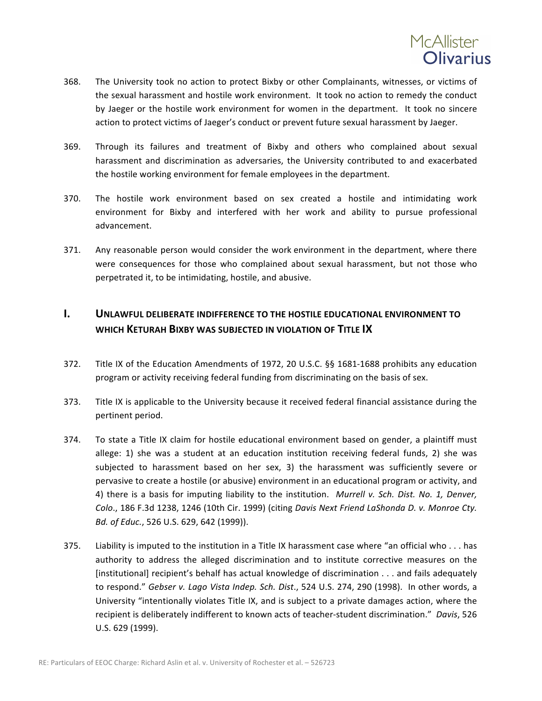

- 368. The University took no action to protect Bixby or other Complainants, witnesses, or victims of the sexual harassment and hostile work environment. It took no action to remedy the conduct by Jaeger or the hostile work environment for women in the department. It took no sincere action to protect victims of Jaeger's conduct or prevent future sexual harassment by Jaeger.
- 369. Through its failures and treatment of Bixby and others who complained about sexual harassment and discrimination as adversaries, the University contributed to and exacerbated the hostile working environment for female employees in the department.
- 370. The hostile work environment based on sex created a hostile and intimidating work environment for Bixby and interfered with her work and ability to pursue professional advancement.
- 371. Any reasonable person would consider the work environment in the department, where there were consequences for those who complained about sexual harassment, but not those who perpetrated it, to be intimidating, hostile, and abusive.

# I. UNLAWFUL DELIBERATE INDIFFERENCE TO THE HOSTILE EDUCATIONAL ENVIRONMENT TO WHICH KETURAH BIXBY WAS SUBJECTED IN VIOLATION OF TITLE IX

- 372. Title IX of the Education Amendments of 1972, 20 U.S.C. §§ 1681-1688 prohibits any education program or activity receiving federal funding from discriminating on the basis of sex.
- 373. Title IX is applicable to the University because it received federal financial assistance during the pertinent period.
- 374. To state a Title IX claim for hostile educational environment based on gender, a plaintiff must allege: 1) she was a student at an education institution receiving federal funds, 2) she was subjected to harassment based on her sex, 3) the harassment was sufficiently severe or pervasive to create a hostile (or abusive) environment in an educational program or activity, and 4) there is a basis for imputing liability to the institution. Murrell v. Sch. Dist. No. 1, Denver, Colo., 186 F.3d 1238, 1246 (10th Cir. 1999) (citing Davis Next Friend LaShonda D. v. Monroe Cty. Bd. of Educ., 526 U.S. 629, 642 (1999)).
- 375. Liability is imputed to the institution in a Title IX harassment case where "an official who . . . has authority to address the alleged discrimination and to institute corrective measures on the [institutional] recipient's behalf has actual knowledge of discrimination . . . and fails adequately to respond." Gebser v. Lago Vista Indep. Sch. Dist., 524 U.S. 274, 290 (1998). In other words, a University "intentionally violates Title IX, and is subject to a private damages action, where the recipient is deliberately indifferent to known acts of teacher-student discrimination." Davis, 526 U.S. 629 (1999).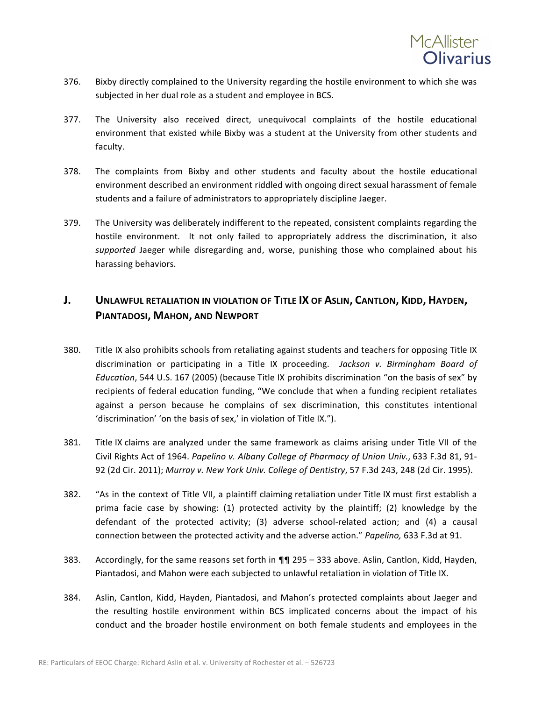

- 376. Bixby directly complained to the University regarding the hostile environment to which she was subjected in her dual role as a student and employee in BCS.
- 377. The University also received direct, unequivocal complaints of the hostile educational environment that existed while Bixby was a student at the University from other students and faculty.
- 378. The complaints from Bixby and other students and faculty about the hostile educational environment described an environment riddled with ongoing direct sexual harassment of female students and a failure of administrators to appropriately discipline Jaeger.
- 379. The University was deliberately indifferent to the repeated, consistent complaints regarding the hostile environment. It not only failed to appropriately address the discrimination, it also supported Jaeger while disregarding and, worse, punishing those who complained about his harassing behaviors.

# J. UNLAWFUL RETALIATION IN VIOLATION OF TITLE IX OF ASLIN, CANTLON, KIDD, HAYDEN, PIANTADOSI, MAHON, AND NEWPORT

- 380. Title IX also prohibits schools from retaliating against students and teachers for opposing Title IX discrimination or participating in a Title IX proceeding. Jackson v. Birmingham Board of Education, 544 U.S. 167 (2005) (because Title IX prohibits discrimination "on the basis of sex" by recipients of federal education funding, "We conclude that when a funding recipient retaliates against a person because he complains of sex discrimination, this constitutes intentional 'discrimination' 'on the basis of sex,' in violation of Title IX.").
- 381. Title IX claims are analyzed under the same framework as claims arising under Title VII of the Civil Rights Act of 1964. Papelino v. Albany College of Pharmacy of Union Univ., 633 F.3d 81, 91-‐ 92 (2d Cir. 2011); Murray v. New York Univ. College of Dentistry, 57 F.3d 243, 248 (2d Cir. 1995).
- 382. "As in the context of Title VII, a plaintiff claiming retaliation under Title IX must first establish a prima facie case by showing: (1) protected activity by the plaintiff; (2) knowledge by the defendant of the protected activity; (3) adverse school-related action; and (4) a causal connection between the protected activity and the adverse action." Papelino, 633 F.3d at 91.
- 383. Accordingly, for the same reasons set forth in ¶¶ 295 333 above. Aslin, Cantlon, Kidd, Hayden, Piantadosi, and Mahon were each subjected to unlawful retaliation in violation of Title IX.
- 384. Aslin, Cantlon, Kidd, Hayden, Piantadosi, and Mahon's protected complaints about Jaeger and the resulting hostile environment within BCS implicated concerns about the impact of his conduct and the broader hostile environment on both female students and employees in the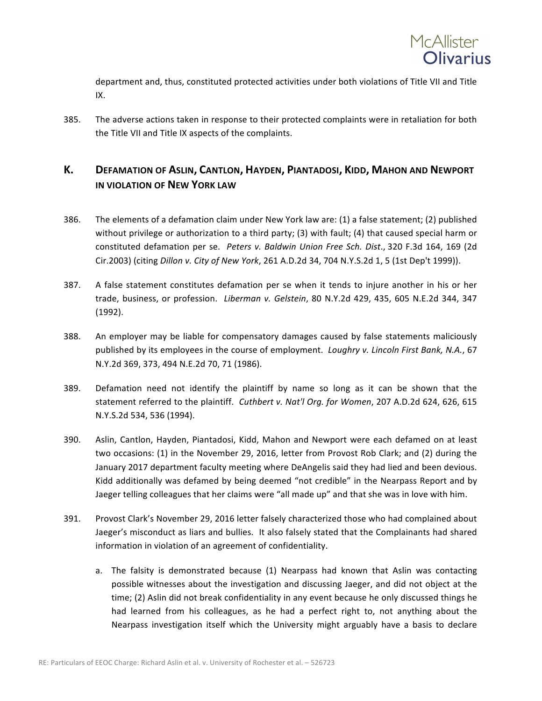

department and, thus, constituted protected activities under both violations of Title VII and Title IX.

385. The adverse actions taken in response to their protected complaints were in retaliation for both the Title VII and Title IX aspects of the complaints.

## K. DEFAMATION OF ASLIN, CANTLON, HAYDEN, PIANTADOSI, KIDD, MAHON AND NEWPORT IN VIOLATION OF NEW YORK LAW

- 386. The elements of a defamation claim under New York law are: (1) a false statement; (2) published without privilege or authorization to a third party; (3) with fault; (4) that caused special harm or constituted defamation per se. Peters v. Baldwin Union Free Sch. Dist., 320 F.3d 164, 169 (2d Cir.2003) (citing Dillon v. City of New York, 261 A.D.2d 34, 704 N.Y.S.2d 1, 5 (1st Dep't 1999)).
- 387. A false statement constitutes defamation per se when it tends to injure another in his or her trade, business, or profession. Liberman v. Gelstein, 80 N.Y.2d 429, 435, 605 N.E.2d 344, 347 (1992).
- 388. An employer may be liable for compensatory damages caused by false statements maliciously published by its employees in the course of employment. Loughry v. Lincoln First Bank, N.A., 67 N.Y.2d 369, 373, 494 N.E.2d 70, 71 (1986).
- 389. Defamation need not identify the plaintiff by name so long as it can be shown that the statement referred to the plaintiff. Cuthbert v. Nat'l Org. for Women, 207 A.D.2d 624, 626, 615 N.Y.S.2d 534, 536 (1994).
- 390. Aslin, Cantlon, Hayden, Piantadosi, Kidd, Mahon and Newport were each defamed on at least two occasions: (1) in the November 29, 2016, letter from Provost Rob Clark; and (2) during the January 2017 department faculty meeting where DeAngelis said they had lied and been devious. 

 Kidd additionally was defamed by being deemed "not credible" in the Nearpass Report and by Jaeger telling colleagues that her claims were "all made up" and that she was in love with him.
- 391. Provost Clark's November 29, 2016 letter falsely characterized those who had complained about Jaeger's misconduct as liars and bullies. It also falsely stated that the Complainants had shared information in violation of an agreement of confidentiality.
	- a. The falsity is demonstrated because (1) Nearpass had known that Aslin was contacting possible witnesses about the investigation and discussing Jaeger, and did not object at the time; (2) Aslin did not break confidentiality in any event because he only discussed things he had learned from his colleagues, as he had a perfect right to, not anything about the Nearpass investigation itself which the University might arguably have a basis to declare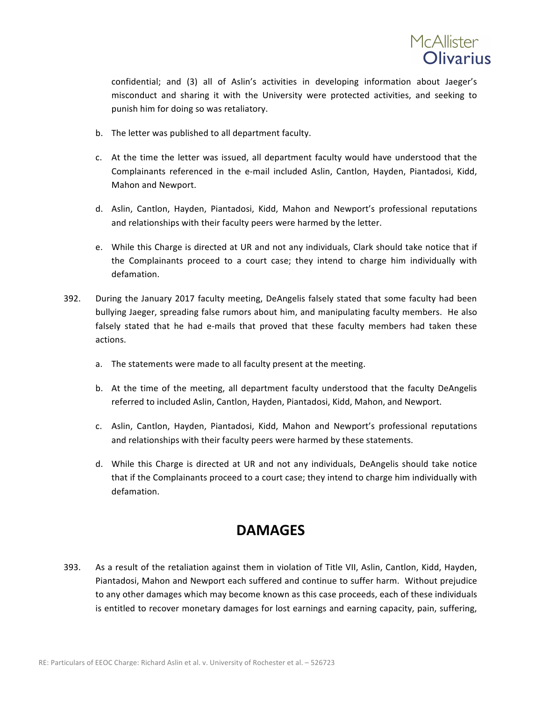

confidential; and (3) all of Aslin's activities in developing information about Jaeger's misconduct and sharing it with the University were protected activities, and seeking to punish him for doing so was retaliatory. 

- b. The letter was published to all department faculty.
- c. At the time the letter was issued, all department faculty would have understood that the Complainants referenced in the e-mail included Aslin, Cantlon, Hayden, Piantadosi, Kidd, Mahon and Newport.
- d. Aslin, Cantlon, Hayden, Piantadosi, Kidd, Mahon and Newport's professional reputations and relationships with their faculty peers were harmed by the letter.
- e. While this Charge is directed at UR and not any individuals, Clark should take notice that if the Complainants proceed to a court case; they intend to charge him individually with defamation.
- 392. During the January 2017 faculty meeting, DeAngelis falsely stated that some faculty had been bullying Jaeger, spreading false rumors about him, and manipulating faculty members. He also falsely stated that he had e-mails that proved that these faculty members had taken these actions.
	- a. The statements were made to all faculty present at the meeting.
	- b. At the time of the meeting, all department faculty understood that the faculty DeAngelis referred to included Aslin, Cantlon, Hayden, Piantadosi, Kidd, Mahon, and Newport.
	- c. Aslin, Cantlon, Hayden, Piantadosi, Kidd, Mahon and Newport's professional reputations and relationships with their faculty peers were harmed by these statements.
	- d. While this Charge is directed at UR and not any individuals, DeAngelis should take notice that if the Complainants proceed to a court case; they intend to charge him individually with defamation.

## DAMAGES

393. As a result of the retaliation against them in violation of Title VII, Aslin, Cantlon, Kidd, Hayden, Piantadosi, Mahon and Newport each suffered and continue to suffer harm. Without prejudice to any other damages which may become known as this case proceeds, each of these individuals is entitled to recover monetary damages for lost earnings and earning capacity, pain, suffering,